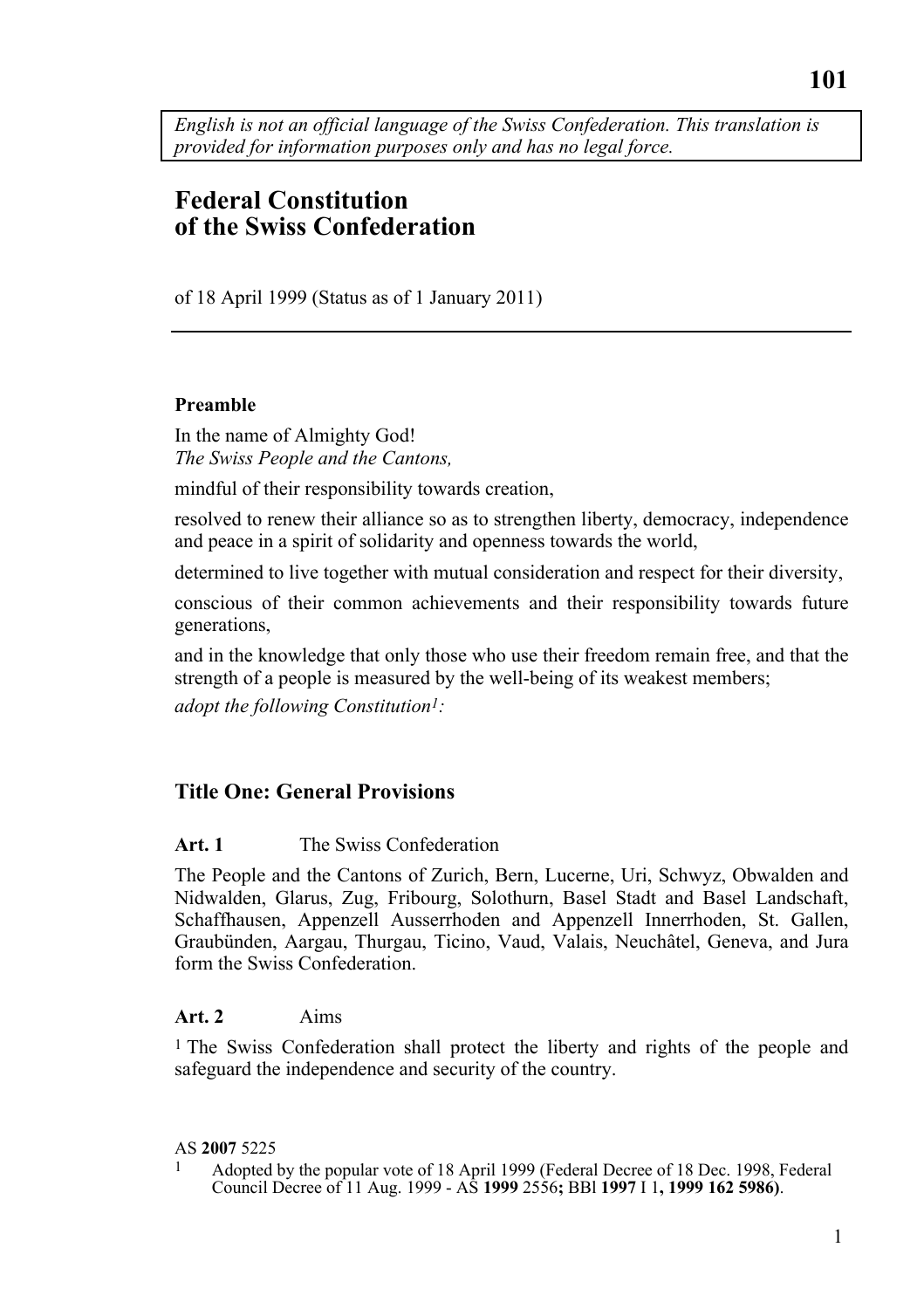*English is not an official language of the Swiss Confederation. This translation is provided for information purposes only and has no legal force.* 

# **Federal Constitution of the Swiss Confederation**

of 18 April 1999 (Status as of 1 January 2011)

#### **Preamble**

In the name of Almighty God! *The Swiss People and the Cantons,* 

mindful of their responsibility towards creation,

resolved to renew their alliance so as to strengthen liberty, democracy, independence and peace in a spirit of solidarity and openness towards the world,

determined to live together with mutual consideration and respect for their diversity,

conscious of their common achievements and their responsibility towards future generations,

and in the knowledge that only those who use their freedom remain free, and that the strength of a people is measured by the well-being of its weakest members;

*adopt the following Constitution1:* 

### **Title One: General Provisions**

#### **Art. 1** The Swiss Confederation

The People and the Cantons of Zurich, Bern, Lucerne, Uri, Schwyz, Obwalden and Nidwalden, Glarus, Zug, Fribourg, Solothurn, Basel Stadt and Basel Landschaft, Schaffhausen, Appenzell Ausserrhoden and Appenzell Innerrhoden, St. Gallen, Graubünden, Aargau, Thurgau, Ticino, Vaud, Valais, Neuchâtel, Geneva, and Jura form the Swiss Confederation.

#### **Art. 2** Aims

1 The Swiss Confederation shall protect the liberty and rights of the people and safeguard the independence and security of the country.

AS **2007** 5225<br><sup>1</sup> Adopted by the popular vote of 18 April 1999 (Federal Decree of 18 Dec. 1998, Federal Council Decree of 11 Aug. 1999 - AS **1999** 2556**;** BBl **1997** I 1**, 1999 162 5986)**.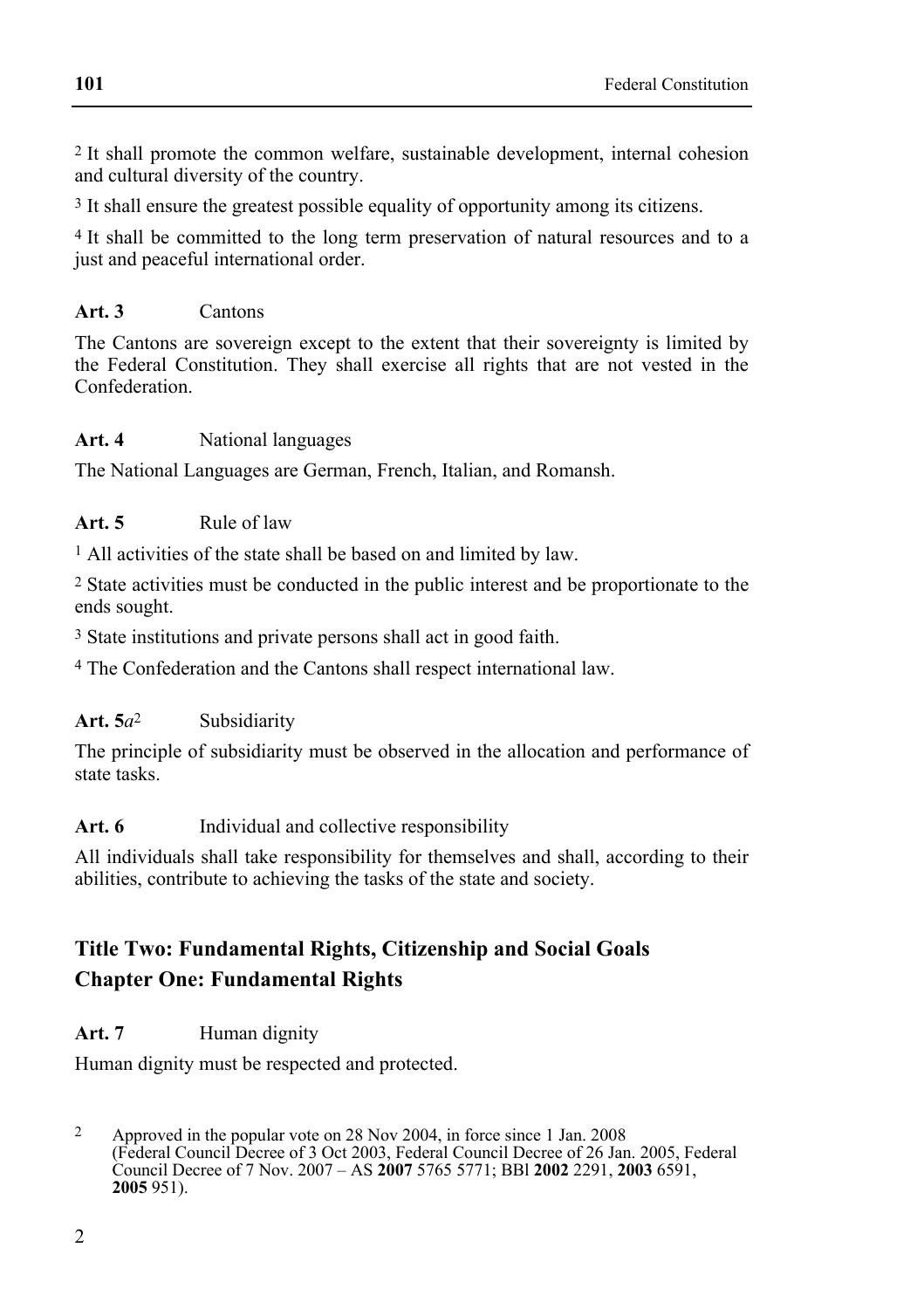2 It shall promote the common welfare, sustainable development, internal cohesion and cultural diversity of the country.

3 It shall ensure the greatest possible equality of opportunity among its citizens.

4 It shall be committed to the long term preservation of natural resources and to a just and peaceful international order.

### **Art. 3** Cantons

The Cantons are sovereign except to the extent that their sovereignty is limited by the Federal Constitution. They shall exercise all rights that are not vested in the Confederation.

#### **Art. 4** National languages

The National Languages are German, French, Italian, and Romansh.

#### Art. 5 **Rule of law**

1 All activities of the state shall be based on and limited by law.

2 State activities must be conducted in the public interest and be proportionate to the ends sought.

3 State institutions and private persons shall act in good faith.

4 The Confederation and the Cantons shall respect international law.

#### **Art. 5***a*2 Subsidiarity

The principle of subsidiarity must be observed in the allocation and performance of state tasks

#### Art. 6 Individual and collective responsibility

All individuals shall take responsibility for themselves and shall, according to their abilities, contribute to achieving the tasks of the state and society.

# **Title Two: Fundamental Rights, Citizenship and Social Goals Chapter One: Fundamental Rights**

#### Art. 7 **Human dignity**

Human dignity must be respected and protected.

 $\mathfrak{D}$ 2 Approved in the popular vote on 28 Nov 2004, in force since 1 Jan. 2008 (Federal Council Decree of 3 Oct 2003, Federal Council Decree of 26 Jan. 2005, Federal Council Decree of 7 Nov. 2007 – AS **2007** 5765 5771; BBl **2002** 2291, **2003** 6591, **2005** 951).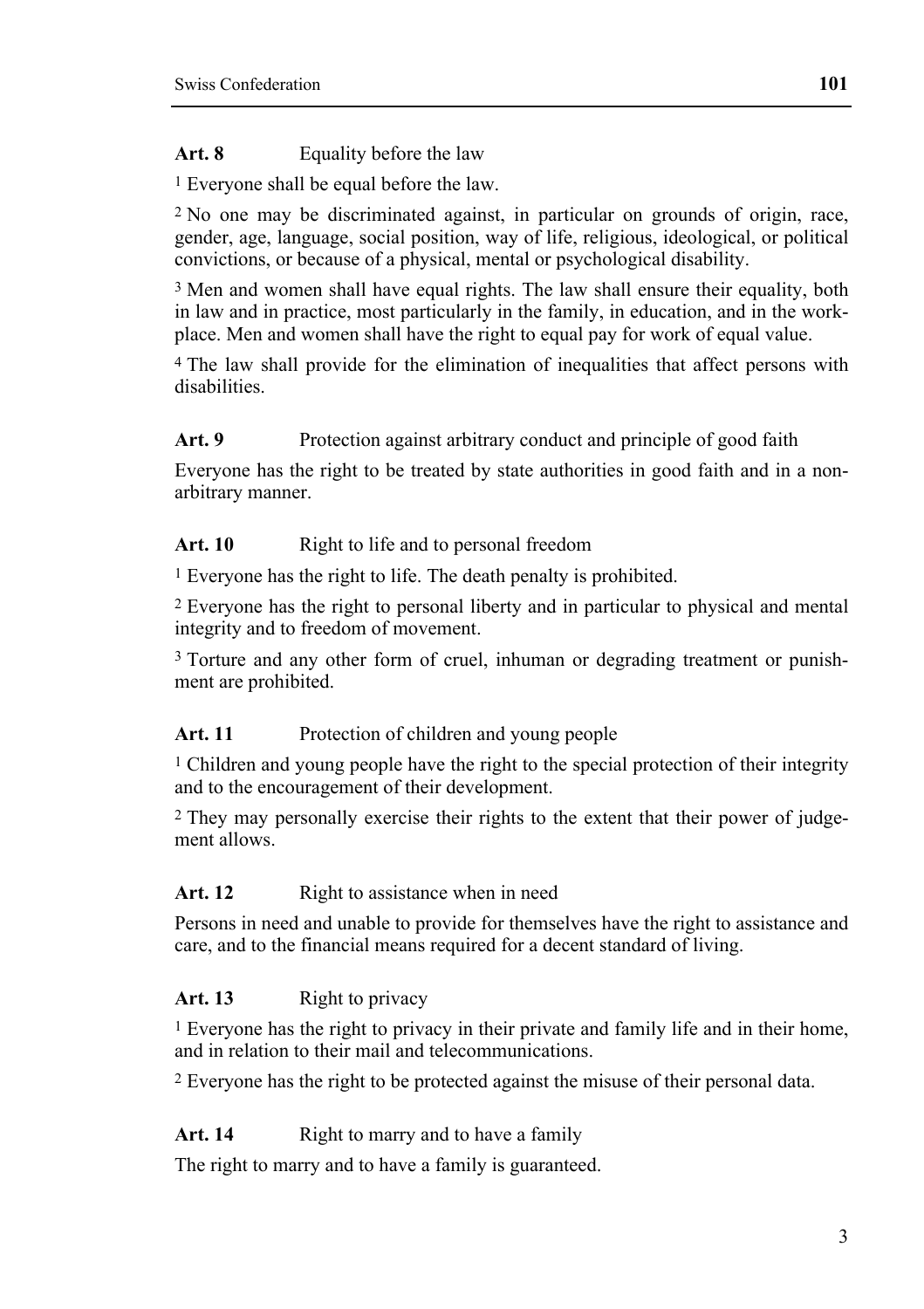### Art. 8 **Equality before the law**

1 Everyone shall be equal before the law.

2 No one may be discriminated against, in particular on grounds of origin, race, gender, age, language, social position, way of life, religious, ideological, or political convictions, or because of a physical, mental or psychological disability.

3 Men and women shall have equal rights. The law shall ensure their equality, both in law and in practice, most particularly in the family, in education, and in the workplace. Men and women shall have the right to equal pay for work of equal value.

4 The law shall provide for the elimination of inequalities that affect persons with disabilities.

#### Art. 9 **Protection against arbitrary conduct and principle of good faith**

Everyone has the right to be treated by state authorities in good faith and in a nonarbitrary manner.

#### Art. 10 Right to life and to personal freedom

1 Everyone has the right to life. The death penalty is prohibited.

2 Everyone has the right to personal liberty and in particular to physical and mental integrity and to freedom of movement.

<sup>3</sup> Torture and any other form of cruel, inhuman or degrading treatment or punishment are prohibited.

#### Art. 11 Protection of children and young people

<sup>1</sup> Children and young people have the right to the special protection of their integrity and to the encouragement of their development.

2 They may personally exercise their rights to the extent that their power of judgement allows<sup>1</sup>

#### Art. 12 Right to assistance when in need

Persons in need and unable to provide for themselves have the right to assistance and care, and to the financial means required for a decent standard of living.

### Art. 13 Right to privacy

1 Everyone has the right to privacy in their private and family life and in their home, and in relation to their mail and telecommunications.

2 Everyone has the right to be protected against the misuse of their personal data.

### Art. 14 **Right to marry and to have a family**

The right to marry and to have a family is guaranteed.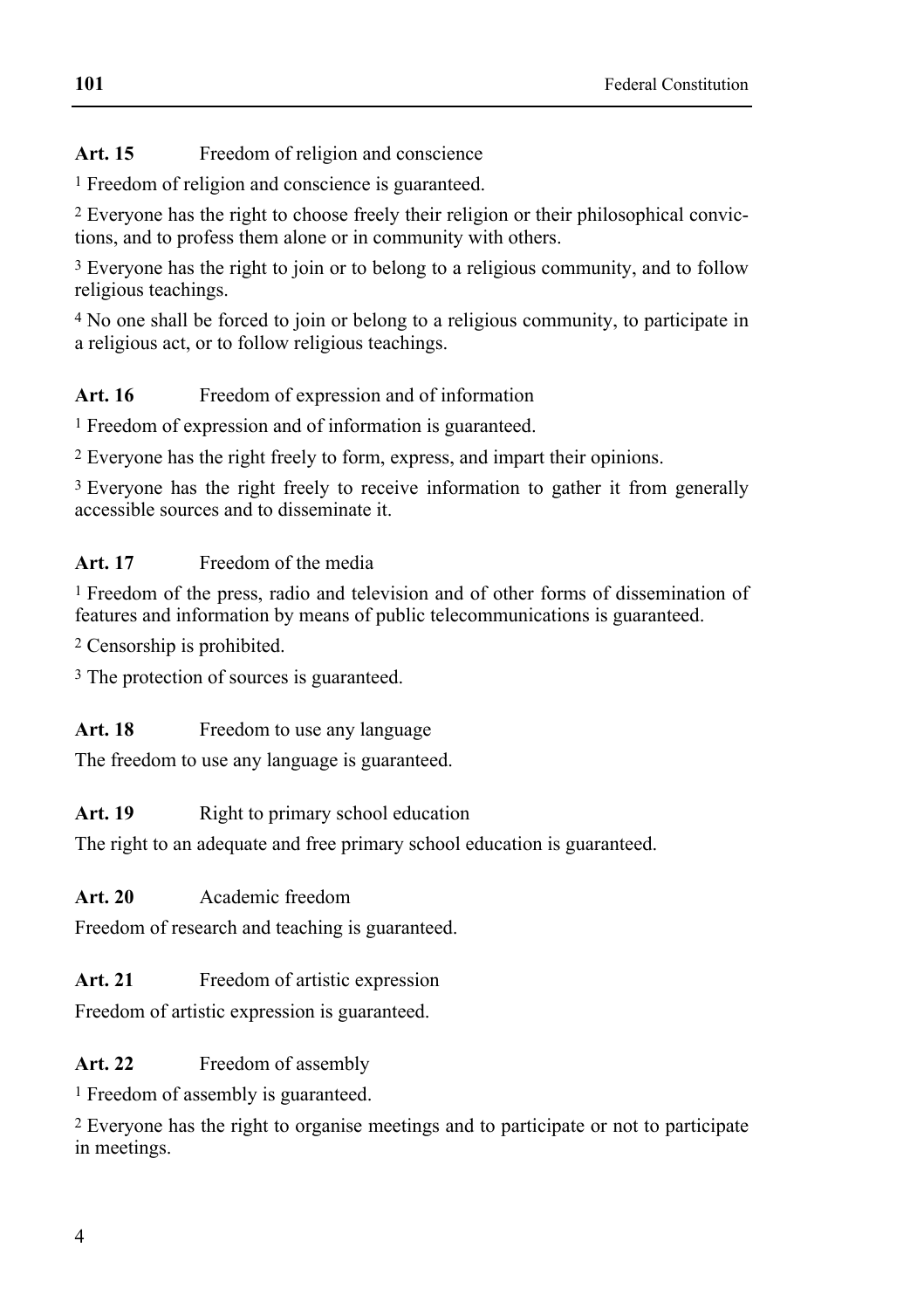# Art. 15 Freedom of religion and conscience

1 Freedom of religion and conscience is guaranteed.

2 Everyone has the right to choose freely their religion or their philosophical convictions, and to profess them alone or in community with others.

3 Everyone has the right to join or to belong to a religious community, and to follow religious teachings.

4 No one shall be forced to join or belong to a religious community, to participate in a religious act, or to follow religious teachings.

# Art. 16 Freedom of expression and of information

1 Freedom of expression and of information is guaranteed.

2 Everyone has the right freely to form, express, and impart their opinions.

<sup>3</sup> Everyone has the right freely to receive information to gather it from generally accessible sources and to disseminate it.

# **Art. 17** Freedom of the media

1 Freedom of the press, radio and television and of other forms of dissemination of features and information by means of public telecommunications is guaranteed.

2 Censorship is prohibited.

3 The protection of sources is guaranteed.

# Art. 18 Freedom to use any language

The freedom to use any language is guaranteed.

# Art. 19 **Right to primary school education**

The right to an adequate and free primary school education is guaranteed.

# **Art. 20** Academic freedom

Freedom of research and teaching is guaranteed.

# Art. 21 Freedom of artistic expression

Freedom of artistic expression is guaranteed.

# Art. 22 Freedom of assembly

1 Freedom of assembly is guaranteed.

2 Everyone has the right to organise meetings and to participate or not to participate in meetings.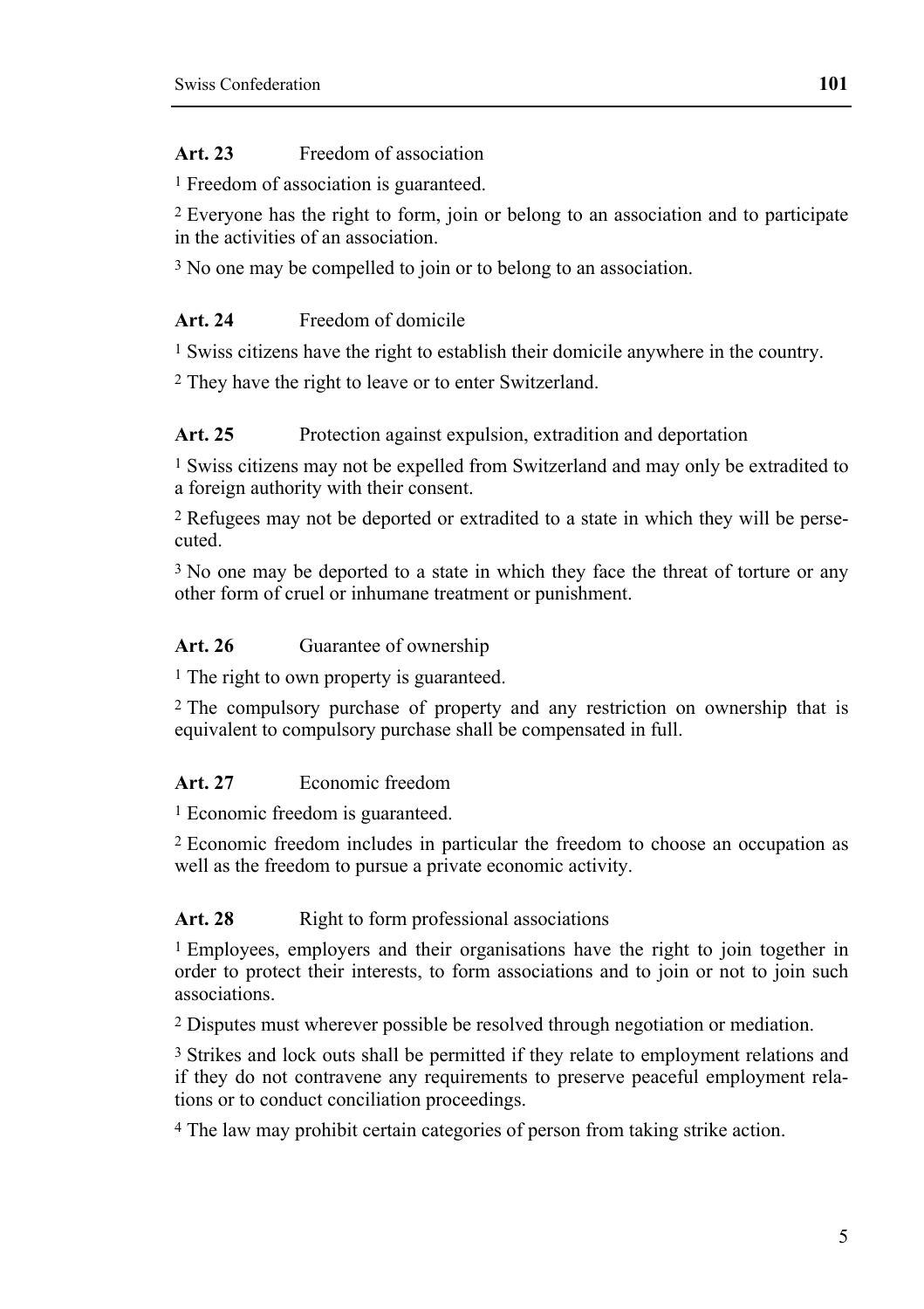# **Art. 23** Freedom of association

1 Freedom of association is guaranteed.

2 Everyone has the right to form, join or belong to an association and to participate in the activities of an association.

<sup>3</sup> No one may be compelled to join or to belong to an association.

# **Art. 24** Freedom of domicile

1 Swiss citizens have the right to establish their domicile anywhere in the country.

2 They have the right to leave or to enter Switzerland.

# Art. 25 Protection against expulsion, extradition and deportation

1 Swiss citizens may not be expelled from Switzerland and may only be extradited to a foreign authority with their consent.

2 Refugees may not be deported or extradited to a state in which they will be persecuted.

3 No one may be deported to a state in which they face the threat of torture or any other form of cruel or inhumane treatment or punishment.

# Art. 26 **Guarantee of ownership**

1 The right to own property is guaranteed.

2 The compulsory purchase of property and any restriction on ownership that is equivalent to compulsory purchase shall be compensated in full.

# **Art. 27** Economic freedom

1 Economic freedom is guaranteed.

2 Economic freedom includes in particular the freedom to choose an occupation as well as the freedom to pursue a private economic activity.

# Art. 28 Right to form professional associations

1 Employees, employers and their organisations have the right to join together in order to protect their interests, to form associations and to join or not to join such associations.

2 Disputes must wherever possible be resolved through negotiation or mediation.

3 Strikes and lock outs shall be permitted if they relate to employment relations and if they do not contravene any requirements to preserve peaceful employment relations or to conduct conciliation proceedings.

4 The law may prohibit certain categories of person from taking strike action.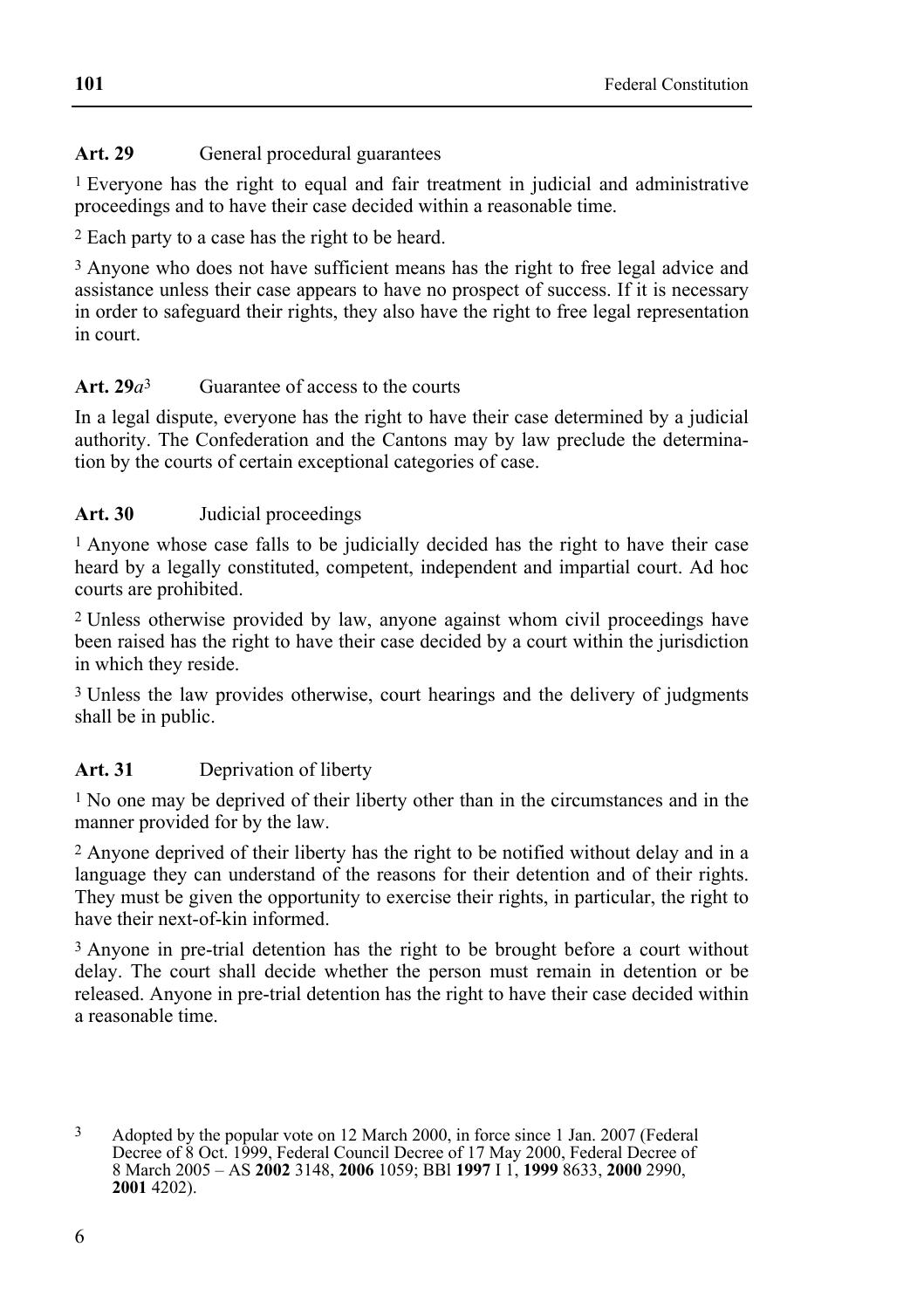### Art. 29 **General procedural guarantees**

1 Everyone has the right to equal and fair treatment in judicial and administrative proceedings and to have their case decided within a reasonable time.

2 Each party to a case has the right to be heard.

<sup>3</sup> Anyone who does not have sufficient means has the right to free legal advice and assistance unless their case appears to have no prospect of success. If it is necessary in order to safeguard their rights, they also have the right to free legal representation in court.

### **Art. 29***a*3 Guarantee of access to the courts

In a legal dispute, everyone has the right to have their case determined by a judicial authority. The Confederation and the Cantons may by law preclude the determination by the courts of certain exceptional categories of case.

### **Art. 30** Judicial proceedings

1 Anyone whose case falls to be judicially decided has the right to have their case heard by a legally constituted, competent, independent and impartial court. Ad hoc courts are prohibited.

2 Unless otherwise provided by law, anyone against whom civil proceedings have been raised has the right to have their case decided by a court within the jurisdiction in which they reside.

3 Unless the law provides otherwise, court hearings and the delivery of judgments shall be in public.

### **Art. 31** Deprivation of liberty

1 No one may be deprived of their liberty other than in the circumstances and in the manner provided for by the law.

2 Anyone deprived of their liberty has the right to be notified without delay and in a language they can understand of the reasons for their detention and of their rights. They must be given the opportunity to exercise their rights, in particular, the right to have their next-of-kin informed.

3 Anyone in pre-trial detention has the right to be brought before a court without delay. The court shall decide whether the person must remain in detention or be released. Anyone in pre-trial detention has the right to have their case decided within a reasonable time.

 $\mathbf{3}$ 3 Adopted by the popular vote on 12 March 2000, in force since 1 Jan. 2007 (Federal Decree of 8 Oct. 1999, Federal Council Decree of 17 May 2000, Federal Decree of 8 March 2005 – AS **2002** 3148, **2006** 1059; BBl **1997** I 1, **1999** 8633, **2000** 2990, **2001** 4202).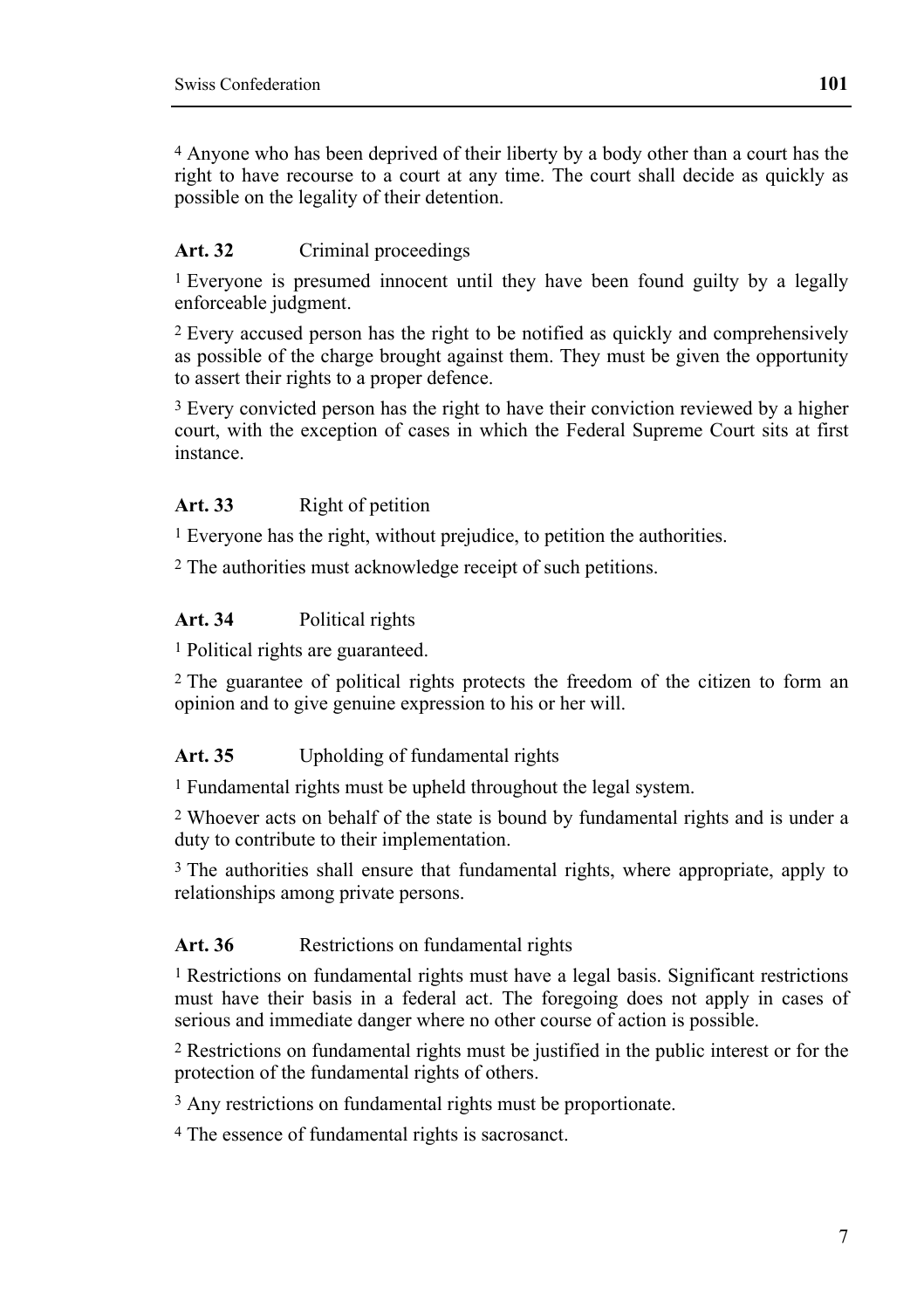4 Anyone who has been deprived of their liberty by a body other than a court has the right to have recourse to a court at any time. The court shall decide as quickly as possible on the legality of their detention.

# Art. 32 Criminal proceedings

<sup>1</sup> Everyone is presumed innocent until they have been found guilty by a legally enforceable judgment.

2 Every accused person has the right to be notified as quickly and comprehensively as possible of the charge brought against them. They must be given the opportunity to assert their rights to a proper defence.

<sup>3</sup> Every convicted person has the right to have their conviction reviewed by a higher court, with the exception of cases in which the Federal Supreme Court sits at first instance.

### Art. 33 Right of petition

1 Everyone has the right, without prejudice, to petition the authorities.

2 The authorities must acknowledge receipt of such petitions.

### **Art. 34** Political rights

1 Political rights are guaranteed.

2 The guarantee of political rights protects the freedom of the citizen to form an opinion and to give genuine expression to his or her will.

# **Art. 35** Upholding of fundamental rights

1 Fundamental rights must be upheld throughout the legal system.

2 Whoever acts on behalf of the state is bound by fundamental rights and is under a duty to contribute to their implementation.

3 The authorities shall ensure that fundamental rights, where appropriate, apply to relationships among private persons.

### Art. 36 **Restrictions on fundamental rights**

1 Restrictions on fundamental rights must have a legal basis. Significant restrictions must have their basis in a federal act. The foregoing does not apply in cases of serious and immediate danger where no other course of action is possible.

2 Restrictions on fundamental rights must be justified in the public interest or for the protection of the fundamental rights of others.

3 Any restrictions on fundamental rights must be proportionate.

4 The essence of fundamental rights is sacrosanct.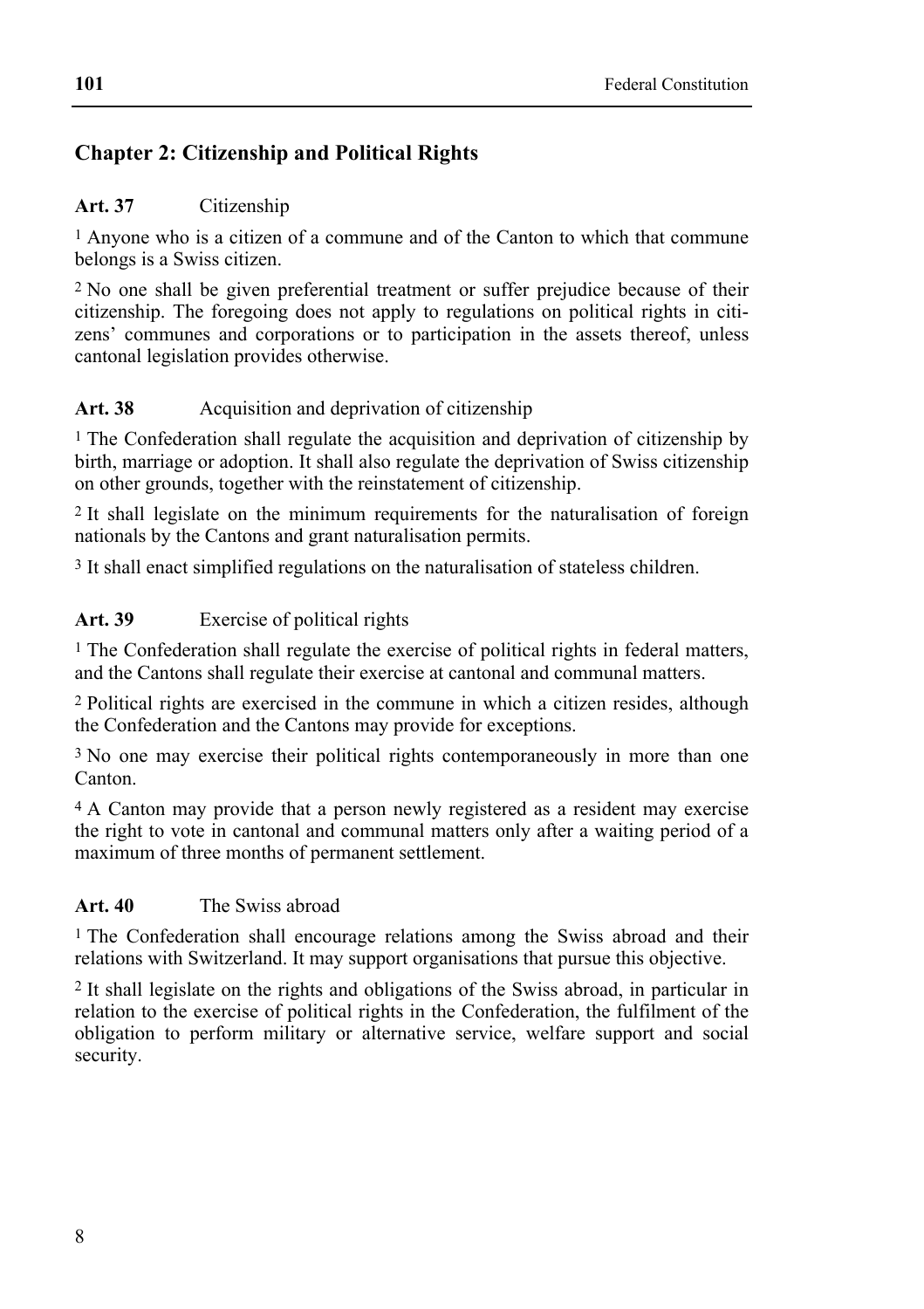# **Chapter 2: Citizenship and Political Rights**

### **Art. 37** Citizenship

1 Anyone who is a citizen of a commune and of the Canton to which that commune belongs is a Swiss citizen.

2 No one shall be given preferential treatment or suffer prejudice because of their citizenship. The foregoing does not apply to regulations on political rights in citizens' communes and corporations or to participation in the assets thereof, unless cantonal legislation provides otherwise.

### Art. 38 **Acquisition and deprivation of citizenship**

1 The Confederation shall regulate the acquisition and deprivation of citizenship by birth, marriage or adoption. It shall also regulate the deprivation of Swiss citizenship on other grounds, together with the reinstatement of citizenship.

2 It shall legislate on the minimum requirements for the naturalisation of foreign nationals by the Cantons and grant naturalisation permits.

3 It shall enact simplified regulations on the naturalisation of stateless children.

### **Art. 39** Exercise of political rights

1 The Confederation shall regulate the exercise of political rights in federal matters, and the Cantons shall regulate their exercise at cantonal and communal matters.

2 Political rights are exercised in the commune in which a citizen resides, although the Confederation and the Cantons may provide for exceptions.

<sup>3</sup> No one may exercise their political rights contemporaneously in more than one Canton.

4 A Canton may provide that a person newly registered as a resident may exercise the right to vote in cantonal and communal matters only after a waiting period of a maximum of three months of permanent settlement.

#### **Art. 40** The Swiss abroad

1 The Confederation shall encourage relations among the Swiss abroad and their relations with Switzerland. It may support organisations that pursue this objective.

2 It shall legislate on the rights and obligations of the Swiss abroad, in particular in relation to the exercise of political rights in the Confederation, the fulfilment of the obligation to perform military or alternative service, welfare support and social security.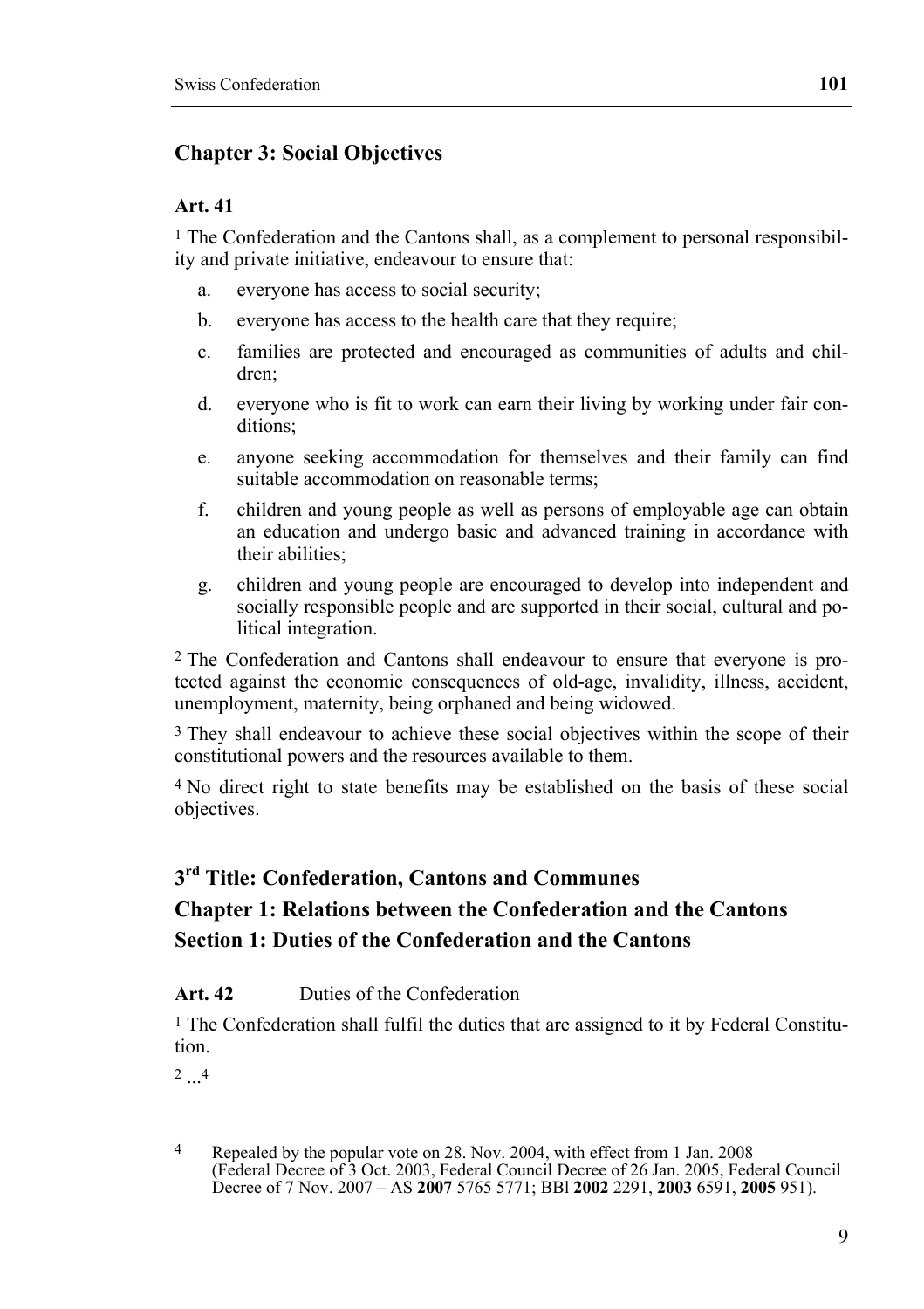### **Chapter 3: Social Objectives**

#### **Art. 41**

 $<sup>1</sup>$  The Confederation and the Cantons shall, as a complement to personal responsibil-</sup> ity and private initiative, endeavour to ensure that:

- a. everyone has access to social security;
- b. everyone has access to the health care that they require;
- c. families are protected and encouraged as communities of adults and children;
- d. everyone who is fit to work can earn their living by working under fair conditions:
- e. anyone seeking accommodation for themselves and their family can find suitable accommodation on reasonable terms;
- f. children and young people as well as persons of employable age can obtain an education and undergo basic and advanced training in accordance with their abilities;
- g. children and young people are encouraged to develop into independent and socially responsible people and are supported in their social, cultural and political integration.

2 The Confederation and Cantons shall endeavour to ensure that everyone is protected against the economic consequences of old-age, invalidity, illness, accident, unemployment, maternity, being orphaned and being widowed.

3 They shall endeavour to achieve these social objectives within the scope of their constitutional powers and the resources available to them.

4 No direct right to state benefits may be established on the basis of these social objectives.

### **3rd Title: Confederation, Cantons and Communes**

# **Chapter 1: Relations between the Confederation and the Cantons Section 1: Duties of the Confederation and the Cantons**

#### **Art. 42** Duties of the Confederation

<sup>1</sup> The Confederation shall fulfil the duties that are assigned to it by Federal Constitution.

 $2\quad 4$ 

 $\overline{4}$ <sup>4</sup> Repealed by the popular vote on 28. Nov. 2004, with effect from 1 Jan. 2008 (Federal Decree of 3 Oct. 2003, Federal Council Decree of 26 Jan. 2005, Federal Council Decree of 7 Nov. 2007 – AS **2007** 5765 5771; BBl **2002** 2291, **2003** 6591, **2005** 951).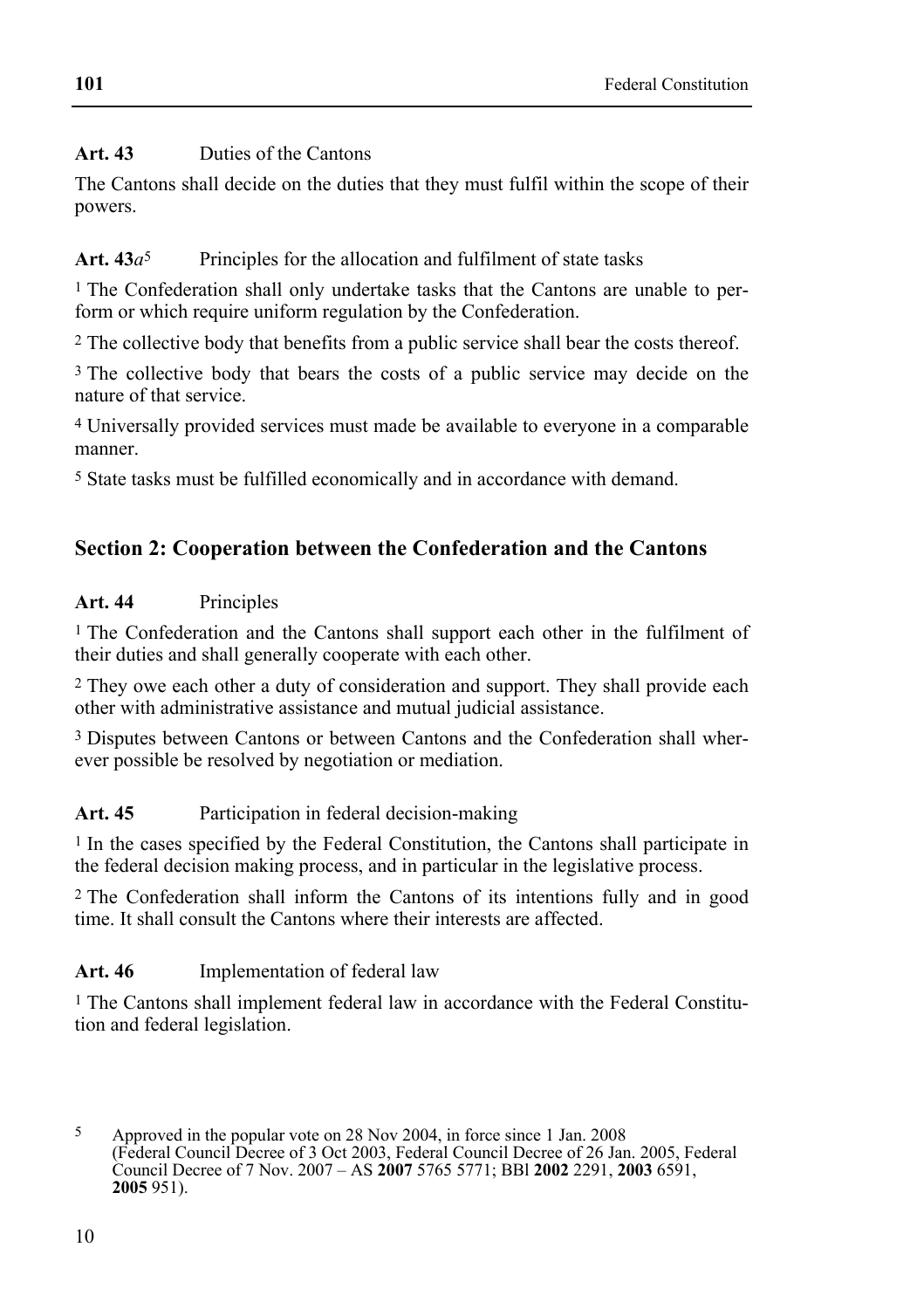# **Art. 43** Duties of the Cantons

The Cantons shall decide on the duties that they must fulfil within the scope of their powers.

# Art.  $43a^5$  Principles for the allocation and fulfilment of state tasks

<sup>1</sup> The Confederation shall only undertake tasks that the Cantons are unable to perform or which require uniform regulation by the Confederation.

2 The collective body that benefits from a public service shall bear the costs thereof.

<sup>3</sup> The collective body that bears the costs of a public service may decide on the nature of that service.

4 Universally provided services must made be available to everyone in a comparable manner.

5 State tasks must be fulfilled economically and in accordance with demand.

# **Section 2: Cooperation between the Confederation and the Cantons**

# **Art. 44** Principles

1 The Confederation and the Cantons shall support each other in the fulfilment of their duties and shall generally cooperate with each other.

2 They owe each other a duty of consideration and support. They shall provide each other with administrative assistance and mutual judicial assistance.

3 Disputes between Cantons or between Cantons and the Confederation shall wherever possible be resolved by negotiation or mediation.

# Art. 45 Participation in federal decision-making

1 In the cases specified by the Federal Constitution, the Cantons shall participate in the federal decision making process, and in particular in the legislative process.

2 The Confederation shall inform the Cantons of its intentions fully and in good time. It shall consult the Cantons where their interests are affected.

# **Art. 46** Implementation of federal law

1 The Cantons shall implement federal law in accordance with the Federal Constitution and federal legislation.

 $\overline{\phantom{a}}$ 5 Approved in the popular vote on 28 Nov 2004, in force since 1 Jan. 2008 (Federal Council Decree of 3 Oct 2003, Federal Council Decree of 26 Jan. 2005, Federal Council Decree of 7 Nov. 2007 – AS **2007** 5765 5771; BBl **2002** 2291, **2003** 6591, **2005** 951).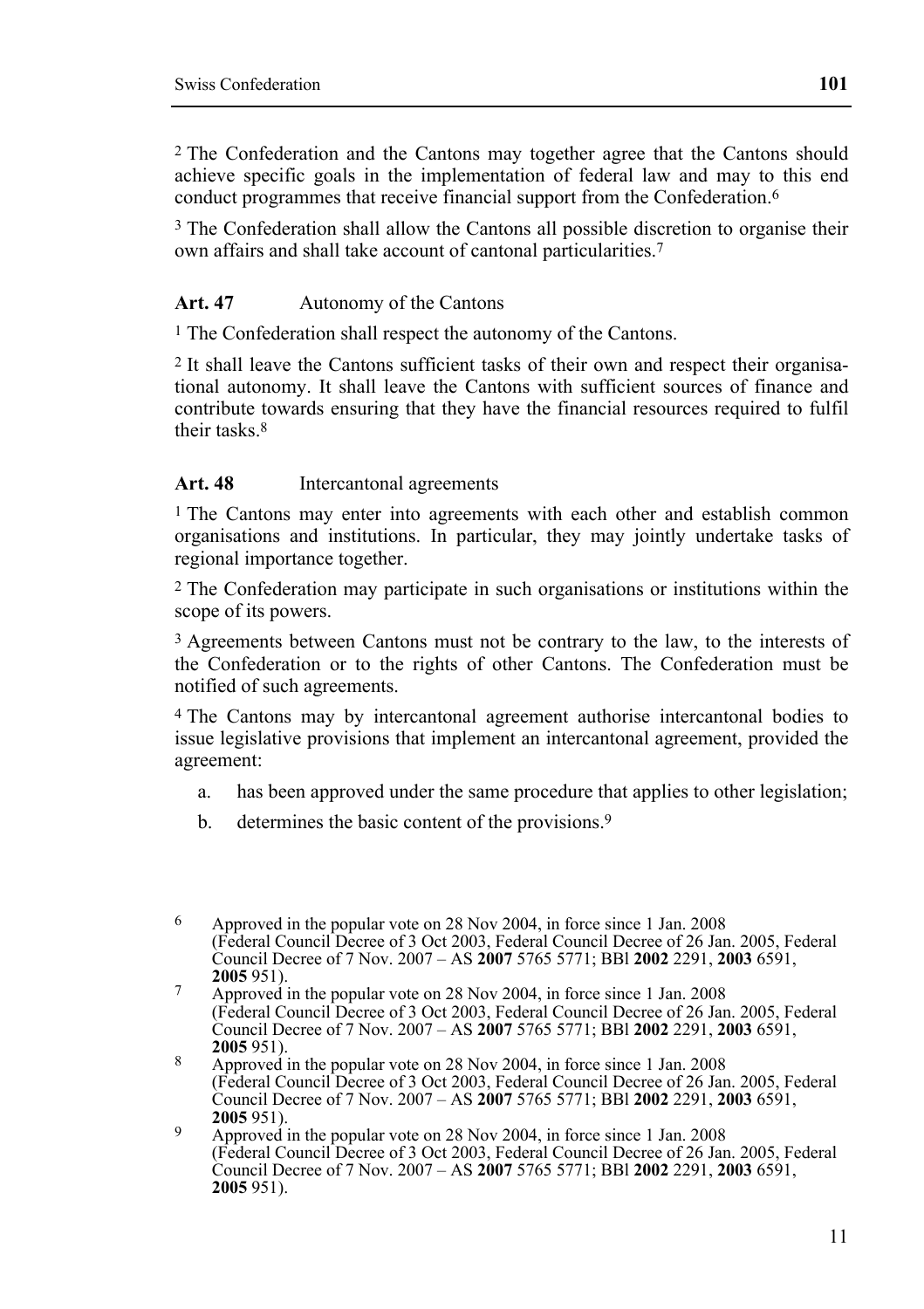2 The Confederation and the Cantons may together agree that the Cantons should achieve specific goals in the implementation of federal law and may to this end conduct programmes that receive financial support from the Confederation.<sup>6</sup>

<sup>3</sup> The Confederation shall allow the Cantons all possible discretion to organise their own affairs and shall take account of cantonal particularities.7

#### **Art. 47** Autonomy of the Cantons

<sup>1</sup> The Confederation shall respect the autonomy of the Cantons.

2 It shall leave the Cantons sufficient tasks of their own and respect their organisational autonomy. It shall leave the Cantons with sufficient sources of finance and contribute towards ensuring that they have the financial resources required to fulfil their tasks 8

#### **Art. 48** Intercantonal agreements

<sup>1</sup> The Cantons may enter into agreements with each other and establish common organisations and institutions. In particular, they may jointly undertake tasks of regional importance together.

2 The Confederation may participate in such organisations or institutions within the scope of its powers.

3 Agreements between Cantons must not be contrary to the law, to the interests of the Confederation or to the rights of other Cantons. The Confederation must be notified of such agreements.

4 The Cantons may by intercantonal agreement authorise intercantonal bodies to issue legislative provisions that implement an intercantonal agreement, provided the agreement:

- a. has been approved under the same procedure that applies to other legislation;
- b. determines the basic content of the provisions.<sup>9</sup>

<sup>6</sup> 6 Approved in the popular vote on 28 Nov 2004, in force since 1 Jan. 2008 (Federal Council Decree of 3 Oct 2003, Federal Council Decree of 26 Jan. 2005, Federal Council Decree of 7 Nov. 2007 – AS **2007** 5765 5771; BBl **2002** 2291, **2003** 6591,

<sup>&</sup>lt;sup>7</sup> Approved in the popular vote on 28 Nov 2004, in force since 1 Jan. 2008 (Federal Council Decree of 3 Oct 2003, Federal Council Decree of 26 Jan. 2005, Federal Council Decree of 7 Nov. 2007 – AS **2007** 5765 5771; BBl **2002** 2291, **2003** 6591,

<sup>&</sup>lt;sup>8</sup> Approved in the popular vote on 28 Nov 2004, in force since 1 Jan. 2008 (Federal Council Decree of 3 Oct 2003, Federal Council Decree of 26 Jan. 2005, Federal Council Decree of 7 Nov. 2007 – AS **2007** 5765 5771; BBl **2002** 2291, **2003** 6591,

<sup>&</sup>lt;sup>9</sup> Approved in the popular vote on 28 Nov 2004, in force since 1 Jan. 2008 (Federal Council Decree of 3 Oct 2003, Federal Council Decree of 26 Jan. 2005, Federal Council Decree of 7 Nov. 2007 – AS **2007** 5765 5771; BBl **2002** 2291, **2003** 6591, **2005** 951).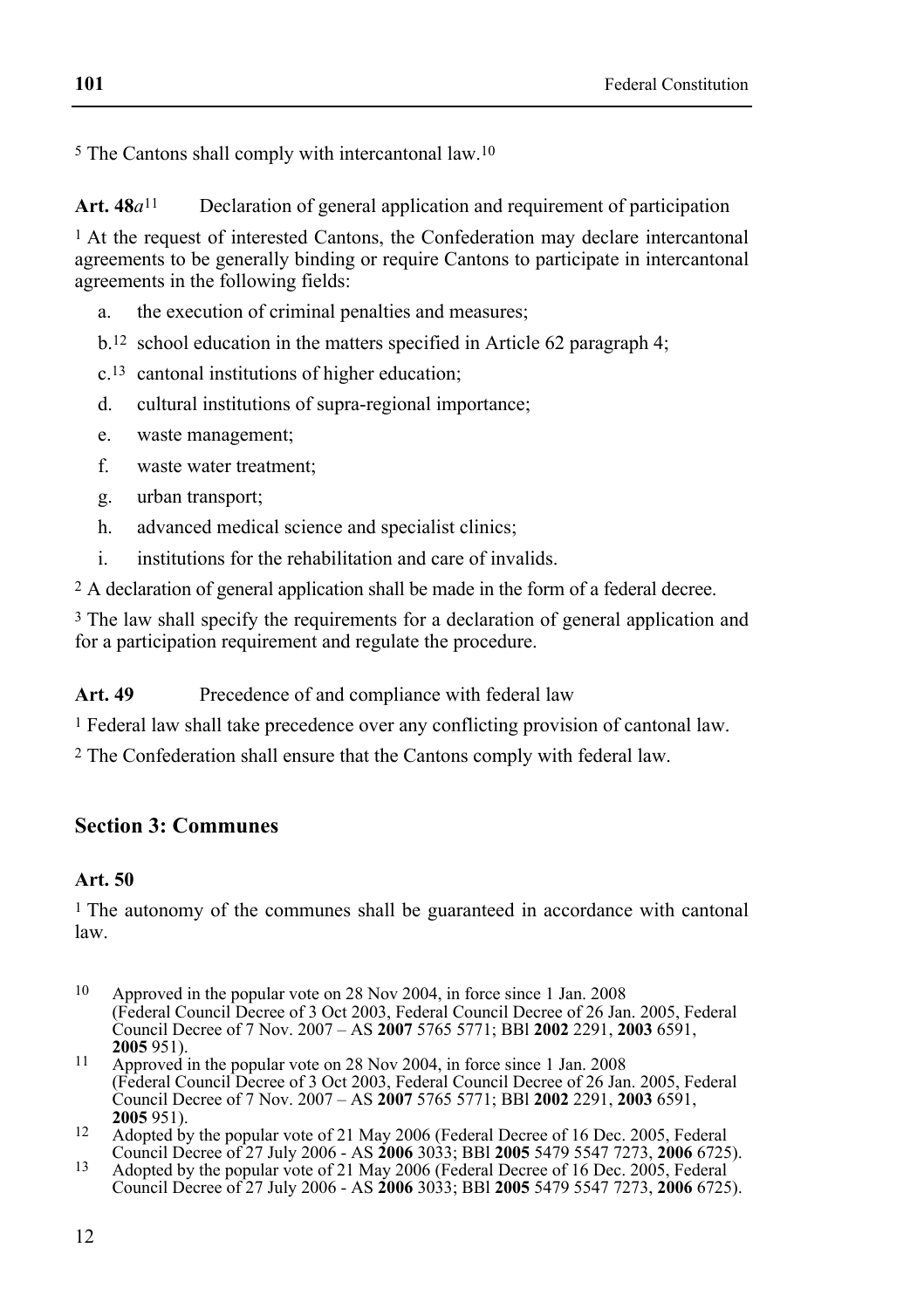5 The Cantons shall comply with intercantonal law.10

**Art. 48***a*11 Declaration of general application and requirement of participation

 $<sup>1</sup>$  At the request of interested Cantons, the Confederation may declare intercantonal</sup> agreements to be generally binding or require Cantons to participate in intercantonal agreements in the following fields:

- a. the execution of criminal penalties and measures;
- b.12 school education in the matters specified in Article 62 paragraph 4;
- c.13 cantonal institutions of higher education;
- d. cultural institutions of supra-regional importance;
- e. waste management;
- f. waste water treatment;
- g. urban transport;
- h. advanced medical science and specialist clinics;
- i. institutions for the rehabilitation and care of invalids.

2 A declaration of general application shall be made in the form of a federal decree.

<sup>3</sup> The law shall specify the requirements for a declaration of general application and for a participation requirement and regulate the procedure.

Art. 49 Precedence of and compliance with federal law

1 Federal law shall take precedence over any conflicting provision of cantonal law.

2 The Confederation shall ensure that the Cantons comply with federal law.

### **Section 3: Communes**

#### **Art. 50**

1 The autonomy of the communes shall be guaranteed in accordance with cantonal law.

- 10 Approved in the popular vote on 28 Nov 2004, in force since 1 Jan. 2008 (Federal Council Decree of 3 Oct 2003, Federal Council Decree of 26 Jan. 2005, Federal Council Decree of 7 Nov. 2007 – AS **2007** 5765 5771; BBl **2002** 2291, **2003** 6591,
- **<sup>2005</sup>**951). 11 Approved in the popular vote on 28 Nov 2004, in force since 1 Jan. 2008 (Federal Council Decree of 3 Oct 2003, Federal Council Decree of 26 Jan. 2005, Federal Council Decree of 7 Nov. 2007 – AS **2007** 5765 5771; BBl **2002** 2291, **2003** 6591,
- <sup>12</sup> Adopted by the popular vote of 21 May 2006 (Federal Decree of 16 Dec. 2005, Federal Council Decree of 27 July 2006 AS **2006** 3033; BBI **2005** 5479 5547 7273, **2006** 6725).
- Council Decree of 27 July 2006 AS **2006** 3033; BBl **2005** 5479 5547 7273, **2006** 6725). 13 Adopted by the popular vote of 21 May 2006 (Federal Decree of 16 Dec. 2005, Federal Council Decree of 27 July 2006 - AS **2006** 3033; BBl **2005** 5479 5547 7273, **2006** 6725).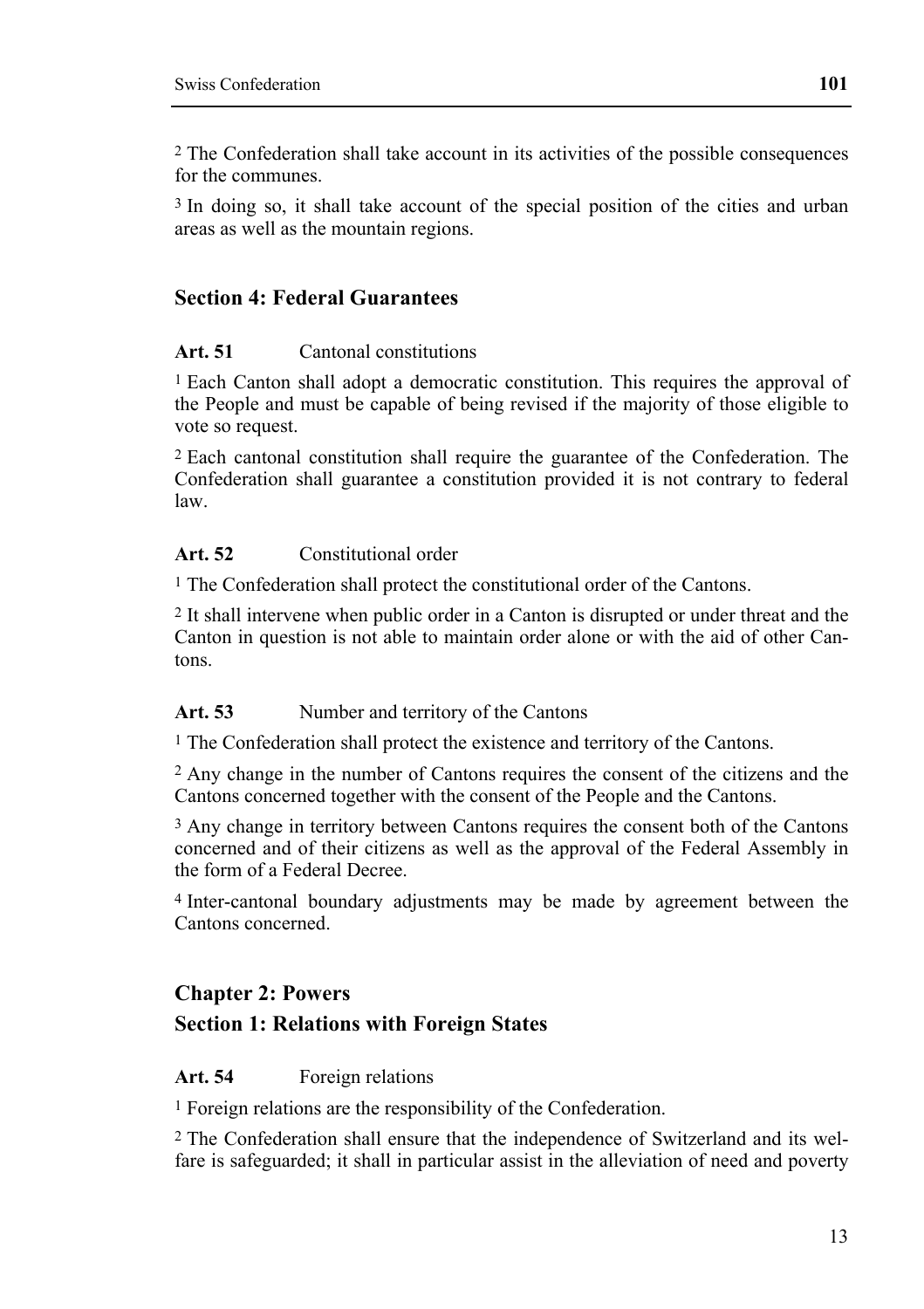2 The Confederation shall take account in its activities of the possible consequences for the communes.

3 In doing so, it shall take account of the special position of the cities and urban areas as well as the mountain regions.

#### **Section 4: Federal Guarantees**

#### **Art. 51** Cantonal constitutions

1 Each Canton shall adopt a democratic constitution. This requires the approval of the People and must be capable of being revised if the majority of those eligible to vote so request.

2 Each cantonal constitution shall require the guarantee of the Confederation. The Confederation shall guarantee a constitution provided it is not contrary to federal law.

#### **Art. 52** Constitutional order

1 The Confederation shall protect the constitutional order of the Cantons.

2 It shall intervene when public order in a Canton is disrupted or under threat and the Canton in question is not able to maintain order alone or with the aid of other Cantons.

#### Art. 53 Number and territory of the Cantons

1 The Confederation shall protect the existence and territory of the Cantons.

2 Any change in the number of Cantons requires the consent of the citizens and the Cantons concerned together with the consent of the People and the Cantons.

<sup>3</sup> Any change in territory between Cantons requires the consent both of the Cantons concerned and of their citizens as well as the approval of the Federal Assembly in the form of a Federal Decree.

4 Inter-cantonal boundary adjustments may be made by agreement between the Cantons concerned.

### **Chapter 2: Powers**

#### **Section 1: Relations with Foreign States**

#### **Art. 54** Foreign relations

1 Foreign relations are the responsibility of the Confederation.

2 The Confederation shall ensure that the independence of Switzerland and its welfare is safeguarded; it shall in particular assist in the alleviation of need and poverty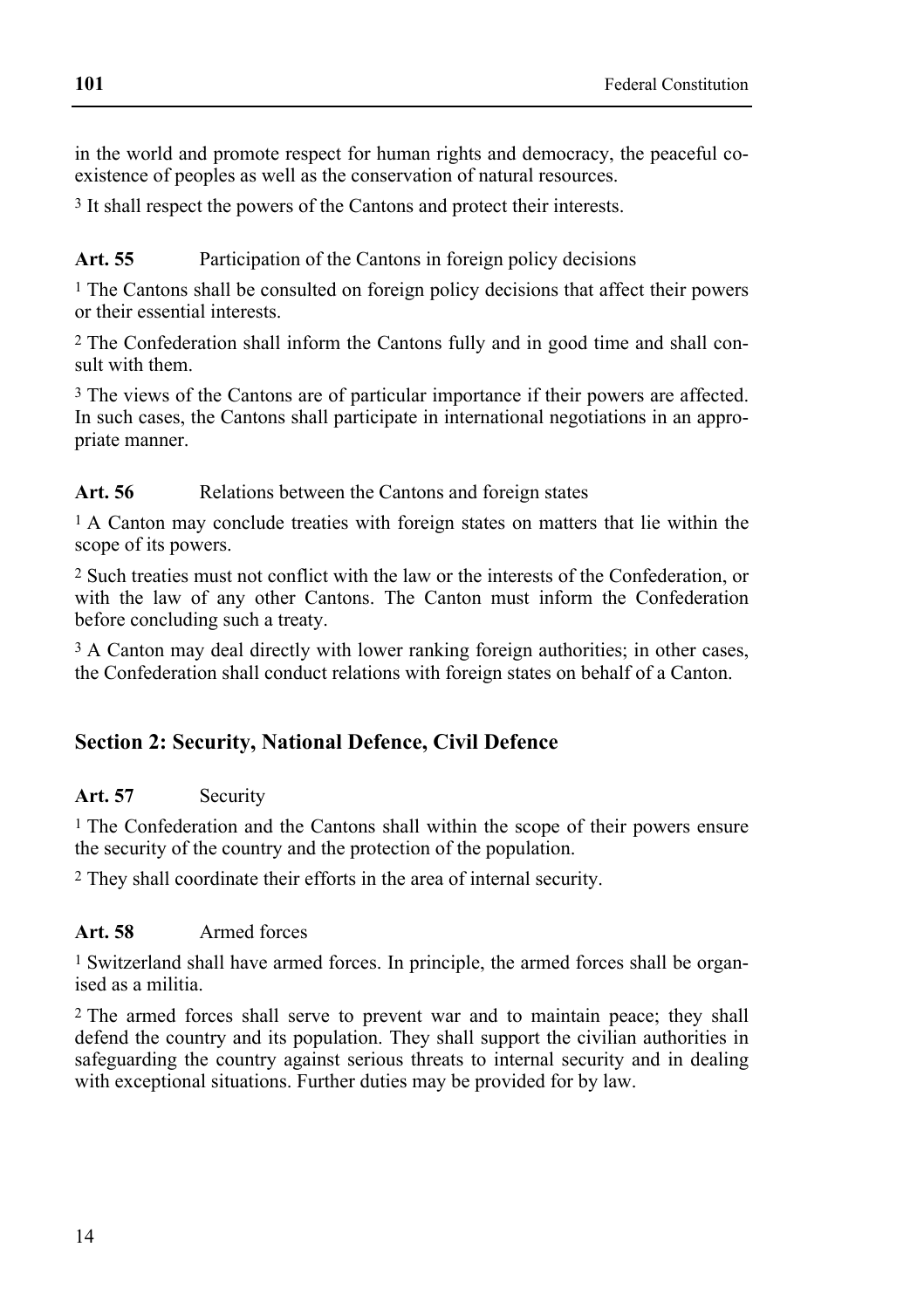in the world and promote respect for human rights and democracy, the peaceful coexistence of peoples as well as the conservation of natural resources.

3 It shall respect the powers of the Cantons and protect their interests.

Art. 55 Participation of the Cantons in foreign policy decisions

1 The Cantons shall be consulted on foreign policy decisions that affect their powers or their essential interests.

2 The Confederation shall inform the Cantons fully and in good time and shall consult with them.

3 The views of the Cantons are of particular importance if their powers are affected. In such cases, the Cantons shall participate in international negotiations in an appropriate manner.

Art. 56 **Relations between the Cantons and foreign states** 

1 A Canton may conclude treaties with foreign states on matters that lie within the scope of its powers.

2 Such treaties must not conflict with the law or the interests of the Confederation, or with the law of any other Cantons. The Canton must inform the Confederation before concluding such a treaty.

<sup>3</sup> A Canton may deal directly with lower ranking foreign authorities; in other cases, the Confederation shall conduct relations with foreign states on behalf of a Canton.

# **Section 2: Security, National Defence, Civil Defence**

### **Art. 57** Security

<sup>1</sup> The Confederation and the Cantons shall within the scope of their powers ensure the security of the country and the protection of the population.

2 They shall coordinate their efforts in the area of internal security.

### **Art. 58** Armed forces

1 Switzerland shall have armed forces. In principle, the armed forces shall be organised as a militia.

2 The armed forces shall serve to prevent war and to maintain peace; they shall defend the country and its population. They shall support the civilian authorities in safeguarding the country against serious threats to internal security and in dealing with exceptional situations. Further duties may be provided for by law.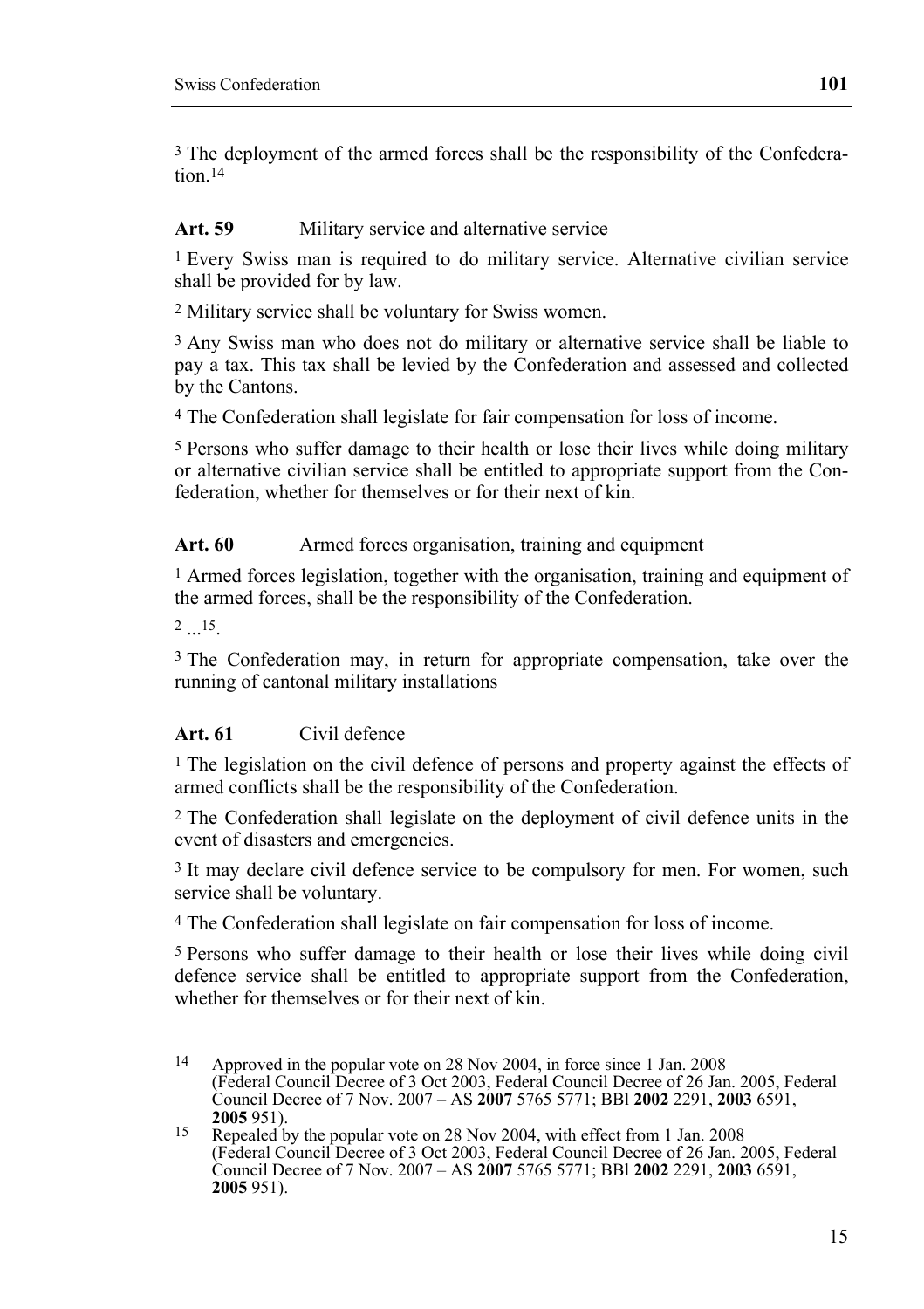3 The deployment of the armed forces shall be the responsibility of the Confederation 14

#### Art. 59 Military service and alternative service

1 Every Swiss man is required to do military service. Alternative civilian service shall be provided for by law.

2 Military service shall be voluntary for Swiss women.

<sup>3</sup> Any Swiss man who does not do military or alternative service shall be liable to pay a tax. This tax shall be levied by the Confederation and assessed and collected by the Cantons.

4 The Confederation shall legislate for fair compensation for loss of income.

5 Persons who suffer damage to their health or lose their lives while doing military or alternative civilian service shall be entitled to appropriate support from the Confederation, whether for themselves or for their next of kin.

#### Art. 60 Armed forces organisation, training and equipment

1 Armed forces legislation, together with the organisation, training and equipment of the armed forces, shall be the responsibility of the Confederation.

2 15

<sup>3</sup> The Confederation may, in return for appropriate compensation, take over the running of cantonal military installations

#### **Art. 61** Civil defence

<sup>1</sup> The legislation on the civil defence of persons and property against the effects of armed conflicts shall be the responsibility of the Confederation.

2 The Confederation shall legislate on the deployment of civil defence units in the event of disasters and emergencies.

3 It may declare civil defence service to be compulsory for men. For women, such service shall be voluntary.

4 The Confederation shall legislate on fair compensation for loss of income.

5 Persons who suffer damage to their health or lose their lives while doing civil defence service shall be entitled to appropriate support from the Confederation, whether for themselves or for their next of kin.

 $14$ Approved in the popular vote on 28 Nov 2004, in force since 1 Jan. 2008 (Federal Council Decree of 3 Oct 2003, Federal Council Decree of 26 Jan. 2005, Federal Council Decree of 7 Nov. 2007 – AS **2007** 5765 5771; BBl **2002** 2291, **2003** 6591,

**<sup>2005</sup>**951). 15 Repealed by the popular vote on 28 Nov 2004, with effect from 1 Jan. 2008 (Federal Council Decree of 3 Oct 2003, Federal Council Decree of 26 Jan. 2005, Federal Council Decree of 7 Nov. 2007 – AS **2007** 5765 5771; BBl **2002** 2291, **2003** 6591, **2005** 951).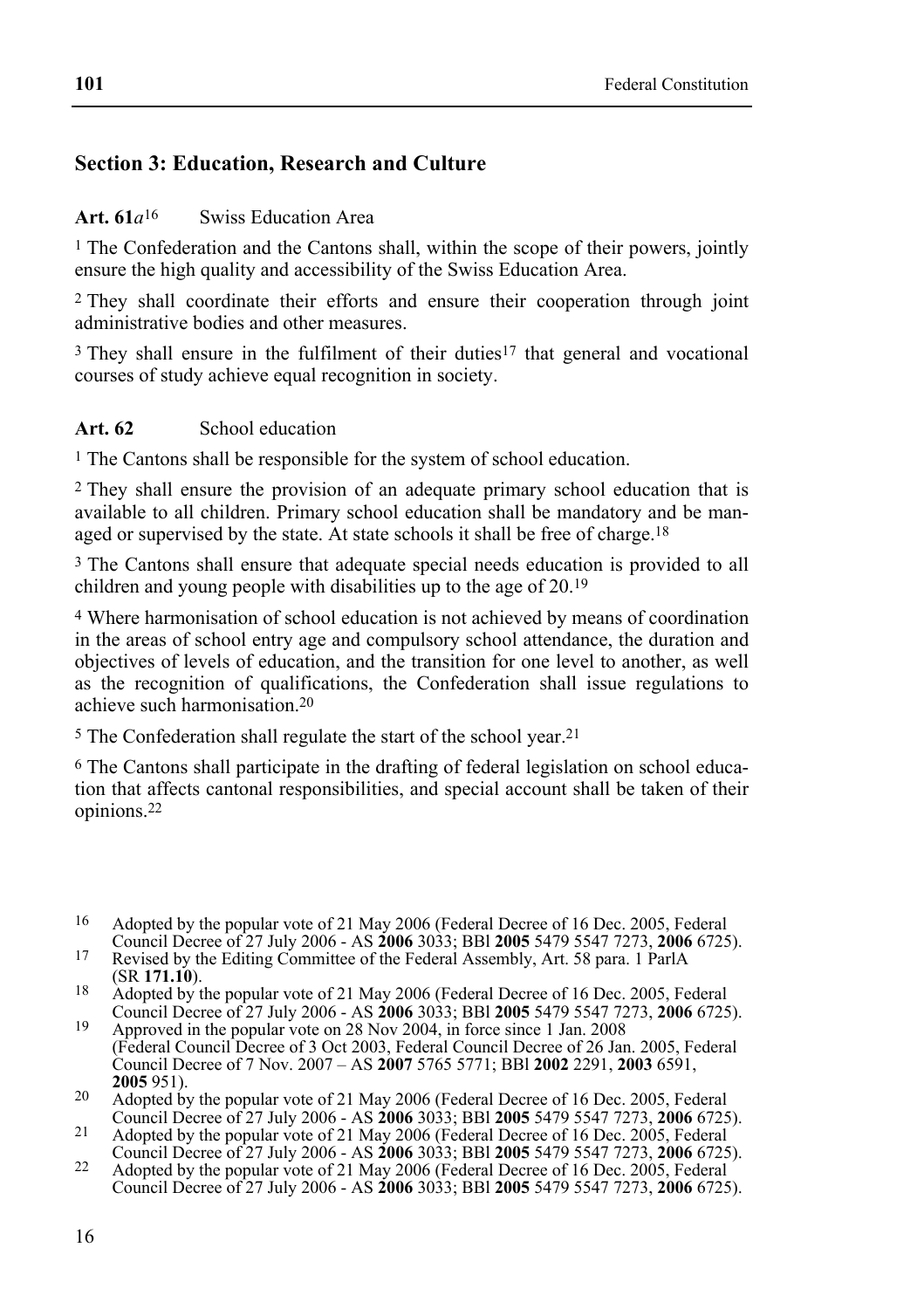# **Section 3: Education, Research and Culture**

#### **Art. 61***a*16 Swiss Education Area

<sup>1</sup> The Confederation and the Cantons shall, within the scope of their powers, jointly ensure the high quality and accessibility of the Swiss Education Area.

2 They shall coordinate their efforts and ensure their cooperation through joint administrative bodies and other measures.

3 They shall ensure in the fulfilment of their duties17 that general and vocational courses of study achieve equal recognition in society.

#### **Art. 62** School education

1 The Cantons shall be responsible for the system of school education.

2 They shall ensure the provision of an adequate primary school education that is available to all children. Primary school education shall be mandatory and be managed or supervised by the state. At state schools it shall be free of charge.<sup>18</sup>

<sup>3</sup> The Cantons shall ensure that adequate special needs education is provided to all children and young people with disabilities up to the age of 20.19

4 Where harmonisation of school education is not achieved by means of coordination in the areas of school entry age and compulsory school attendance, the duration and objectives of levels of education, and the transition for one level to another, as well as the recognition of qualifications, the Confederation shall issue regulations to achieve such harmonisation.20

5 The Confederation shall regulate the start of the school year.21

6 The Cantons shall participate in the drafting of federal legislation on school education that affects cantonal responsibilities, and special account shall be taken of their opinions.22

(SR **171.10**). 18 Adopted by the popular vote of 21 May 2006 (Federal Decree of 16 Dec. 2005, Federal Council Decree of 27 July 2006 - AS **2006** 3033; BBl **2005** 5479 5547 7273, **2006** 6725). 19 Approved in the popular vote on 28 Nov 2004, in force since 1 Jan. 2008

(Federal Council Decree of 3 Oct 2003, Federal Council Decree of 26 Jan. 2005, Federal Council Decree of 7 Nov. 2007 – AS **2007** 5765 5771; BBl **2002** 2291, **2003** 6591,

**2005** 951).<br>
20 Adopted by the popular vote of 21 May 2006 (Federal Decree of 16 Dec. 2005, Federal Council Decree of 27 July 2006 - AS **2006** 3033; BBI **2005** 5479 5547 7273, **2006** 6725). Council Decree of 27 July 2006 - AS **2006** 3033; BBl **2005** 5479 5547 7273, **2006** 6725). 21 Adopted by the popular vote of 21 May 2006 (Federal Decree of 16 Dec. 2005, Federal

<sup>16</sup> Adopted by the popular vote of 21 May 2006 (Federal Decree of 16 Dec. 2005, Federal Council Decree of 27 July 2006 - AS 2006 3033: BBI 2005 5479 5547 7273. 2006 6725).

Revised by the Editing Committee of the Federal Assembly, Art. 58 para. 1 ParlA<br>
(SR 171.10).

Council Decree of 27 July 2006 - AS **2006** 3033; BBl **2005** 5479 5547 7273, **2006** 6725). 22 Adopted by the popular vote of 21 May 2006 (Federal Decree of 16 Dec. 2005, Federal Council Decree of 27 July 2006 - AS **2006** 3033; BBl **2005** 5479 5547 7273, **2006** 6725).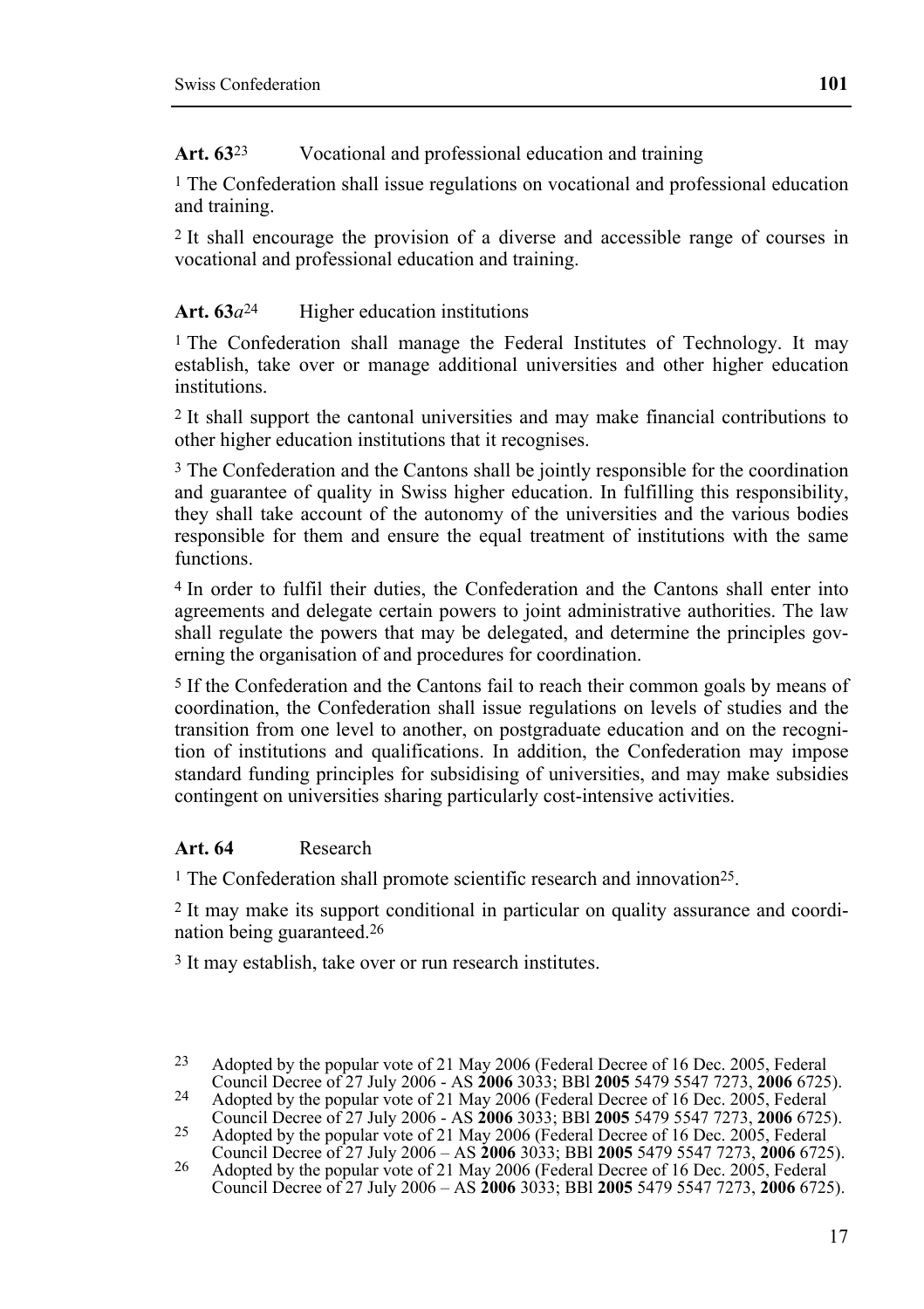Art.  $63<sup>23</sup>$  Vocational and professional education and training

1 The Confederation shall issue regulations on vocational and professional education and training.

2 It shall encourage the provision of a diverse and accessible range of courses in vocational and professional education and training.

# Art. 63*a*<sup>24</sup> Higher education institutions

<sup>1</sup> The Confederation shall manage the Federal Institutes of Technology. It may establish, take over or manage additional universities and other higher education institutions.

2 It shall support the cantonal universities and may make financial contributions to other higher education institutions that it recognises.

3 The Confederation and the Cantons shall be jointly responsible for the coordination and guarantee of quality in Swiss higher education. In fulfilling this responsibility, they shall take account of the autonomy of the universities and the various bodies responsible for them and ensure the equal treatment of institutions with the same functions.

4 In order to fulfil their duties, the Confederation and the Cantons shall enter into agreements and delegate certain powers to joint administrative authorities. The law shall regulate the powers that may be delegated, and determine the principles governing the organisation of and procedures for coordination.

5 If the Confederation and the Cantons fail to reach their common goals by means of coordination, the Confederation shall issue regulations on levels of studies and the transition from one level to another, on postgraduate education and on the recognition of institutions and qualifications. In addition, the Confederation may impose standard funding principles for subsidising of universities, and may make subsidies contingent on universities sharing particularly cost-intensive activities.

### **Art. 64** Research

<sup>1</sup> The Confederation shall promote scientific research and innovation<sup>25</sup>.

2 It may make its support conditional in particular on quality assurance and coordination being guaranteed.26

3 It may establish, take over or run research institutes.

<sup>&</sup>lt;sup>23</sup> Adopted by the popular vote of 21 May 2006 (Federal Decree of 16 Dec. 2005, Federal Council Decree of 27 July 2006 - AS **2006** 3033; BBI **2005** 5479 5547 7273, **2006** 6725). Council Decree of 27 July 2006 - AS **2006** 3033; BBl **2005** 5479 5547 7273, **2006** 6725). 24 Adopted by the popular vote of 21 May 2006 (Federal Decree of 16 Dec. 2005, Federal

Council Decree of 27 July 2006 - AS **2006** 3033; BBl **2005** 5479 5547 7273, **2006** 6725). 25 Adopted by the popular vote of 21 May 2006 (Federal Decree of 16 Dec. 2005, Federal

Council Decree of 27 July 2006 – AS **2006** 3033; BBl **2005** 5479 5547 7273, **2006** 6725). 26 Adopted by the popular vote of 21 May 2006 (Federal Decree of 16 Dec. 2005, Federal Council Decree of 27 July 2006 – AS **2006** 3033; BBl **2005** 5479 5547 7273, **2006** 6725).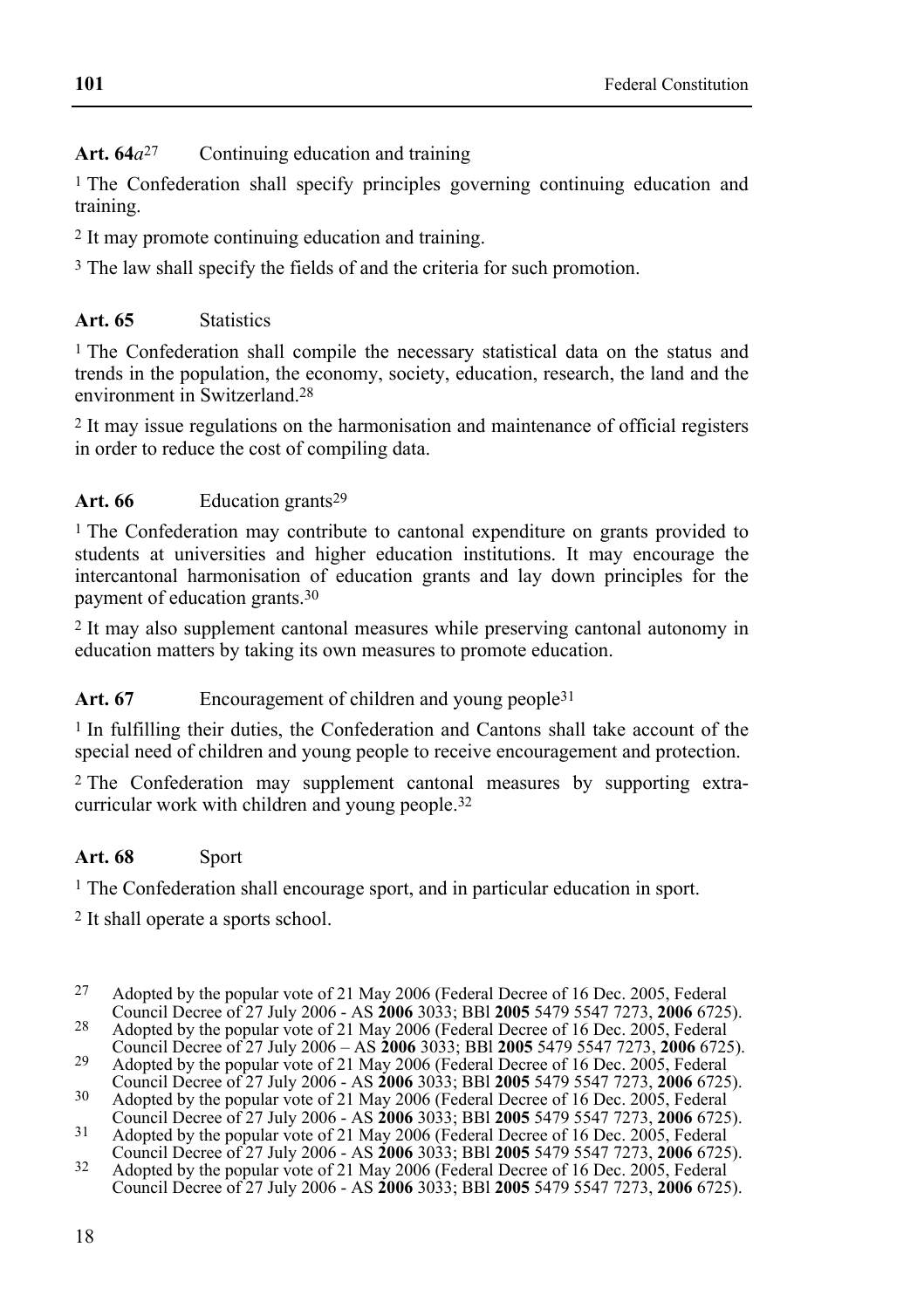Art. 64*a*<sup>27</sup> Continuing education and training

1 The Confederation shall specify principles governing continuing education and training.

2 It may promote continuing education and training.

3 The law shall specify the fields of and the criteria for such promotion.

# **Art. 65** Statistics

1 The Confederation shall compile the necessary statistical data on the status and trends in the population, the economy, society, education, research, the land and the environment in Switzerland.28

2 It may issue regulations on the harmonisation and maintenance of official registers in order to reduce the cost of compiling data.

# Art. 66 Education grants<sup>29</sup>

<sup>1</sup> The Confederation may contribute to cantonal expenditure on grants provided to students at universities and higher education institutions. It may encourage the intercantonal harmonisation of education grants and lay down principles for the payment of education grants.30

2 It may also supplement cantonal measures while preserving cantonal autonomy in education matters by taking its own measures to promote education.

Art. 67 **Encouragement of children and young people**<sup>31</sup>

1 In fulfilling their duties, the Confederation and Cantons shall take account of the special need of children and young people to receive encouragement and protection.

2 The Confederation may supplement cantonal measures by supporting extracurricular work with children and young people.32

# **Art. 68** Sport

<sup>1</sup> The Confederation shall encourage sport, and in particular education in sport.

2 It shall operate a sports school.

<sup>&</sup>lt;sup>27</sup> Adopted by the popular vote of 21 May 2006 (Federal Decree of 16 Dec. 2005, Federal Council Decree of 27 July 2006 - AS **2006** 3033; BBI **2005** 5479 5547 7273, **2006** 6725).

<sup>&</sup>lt;sup>28</sup> Adopted by the popular vote of 21 May 2006 (Federal Decree of 16 Dec. 2005, Federal

Council Decree of 27 July 2006 – AS **2006** 3033; BBI **2005** 5479 5547 7273, **2006** 6725).<br>
29 Adopted by the popular vote of 21 May 2006 (Federal Decree of 16 Dec. 2005, Federal Council Decree of 27 July 2006 - AS **2006** 3

Adopted by the popular vote of 21 May 2006 (Federal Decree of 16 Dec. 2005, Federal Council Decree of 27 July 2006 - AS **2006** 3033; BBI **2005** 5479 5547 7273, **2006** 6725). Council Decree of 27 July 2006 - AS **2006** 3033; BBl **2005** 5479 5547 7273, **2006** 6725). 31 Adopted by the popular vote of 21 May 2006 (Federal Decree of 16 Dec. 2005, Federal

Council Decree of 27 July 2006 - AS **2006** 3033; BBl **2005** 5479 5547 7273, **2006** 6725). 32 Adopted by the popular vote of 21 May 2006 (Federal Decree of 16 Dec. 2005, Federal Council Decree of 27 July 2006 - AS **2006** 3033; BBl **2005** 5479 5547 7273, **2006** 6725).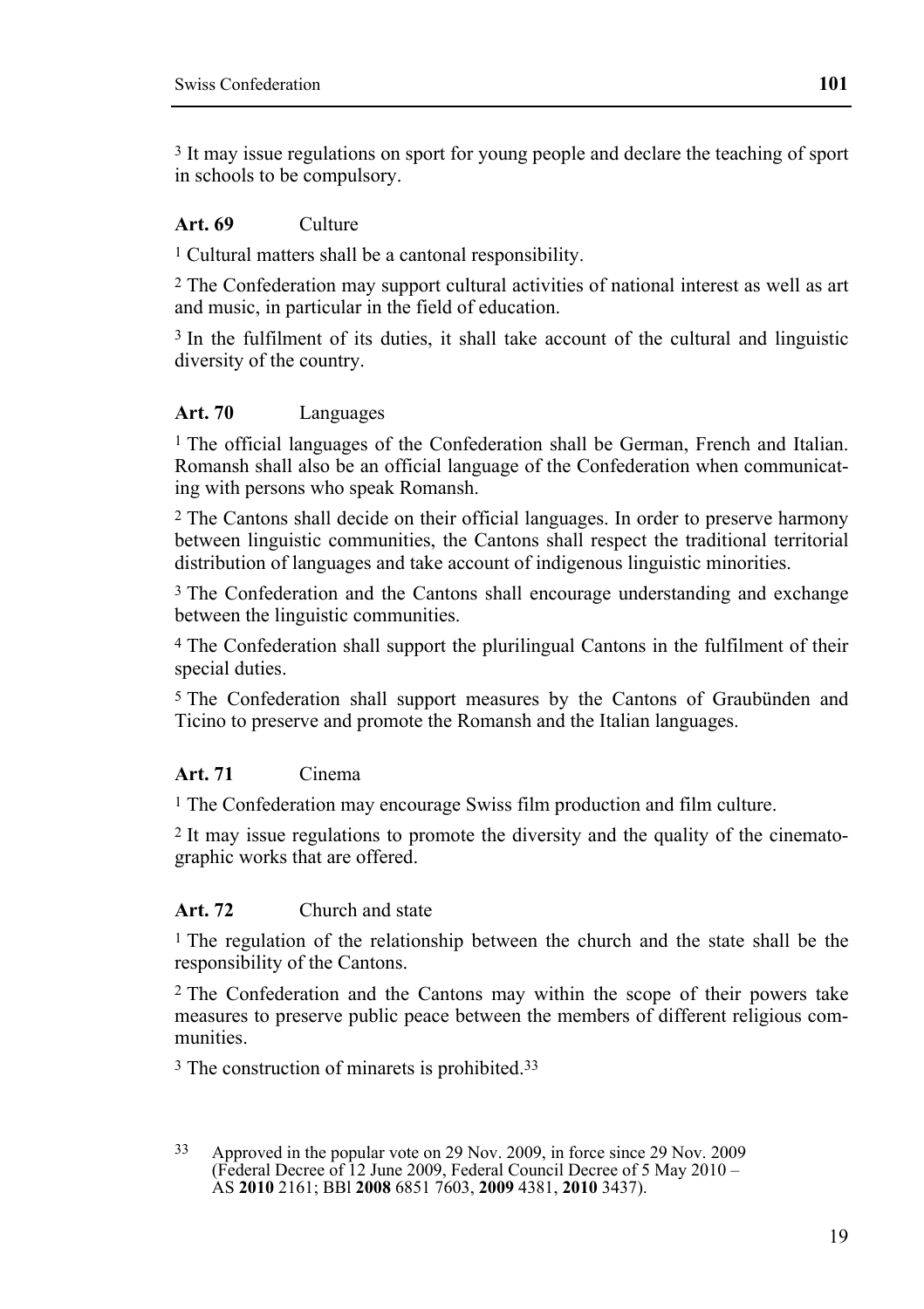3 It may issue regulations on sport for young people and declare the teaching of sport in schools to be compulsory.

#### **Art. 69** Culture

1 Cultural matters shall be a cantonal responsibility.

2 The Confederation may support cultural activities of national interest as well as art and music, in particular in the field of education.

3 In the fulfilment of its duties, it shall take account of the cultural and linguistic diversity of the country.

#### **Art. 70** Languages

1 The official languages of the Confederation shall be German, French and Italian. Romansh shall also be an official language of the Confederation when communicating with persons who speak Romansh.

2 The Cantons shall decide on their official languages. In order to preserve harmony between linguistic communities, the Cantons shall respect the traditional territorial distribution of languages and take account of indigenous linguistic minorities.

3 The Confederation and the Cantons shall encourage understanding and exchange between the linguistic communities.

4 The Confederation shall support the plurilingual Cantons in the fulfilment of their special duties.

5 The Confederation shall support measures by the Cantons of Graubünden and Ticino to preserve and promote the Romansh and the Italian languages.

#### **Art. 71** Cinema

1 The Confederation may encourage Swiss film production and film culture.

2 It may issue regulations to promote the diversity and the quality of the cinematographic works that are offered.

#### **Art. 72** Church and state

1 The regulation of the relationship between the church and the state shall be the responsibility of the Cantons.

2 The Confederation and the Cantons may within the scope of their powers take measures to preserve public peace between the members of different religious communities.

3 The construction of minarets is prohibited.33

<sup>33</sup> Approved in the popular vote on 29 Nov. 2009, in force since 29 Nov. 2009 (Federal Decree of 12 June 2009, Federal Council Decree of 5 May 2010 – AS **2010** 2161; BBl **2008** 6851 7603, **2009** 4381, **2010** 3437).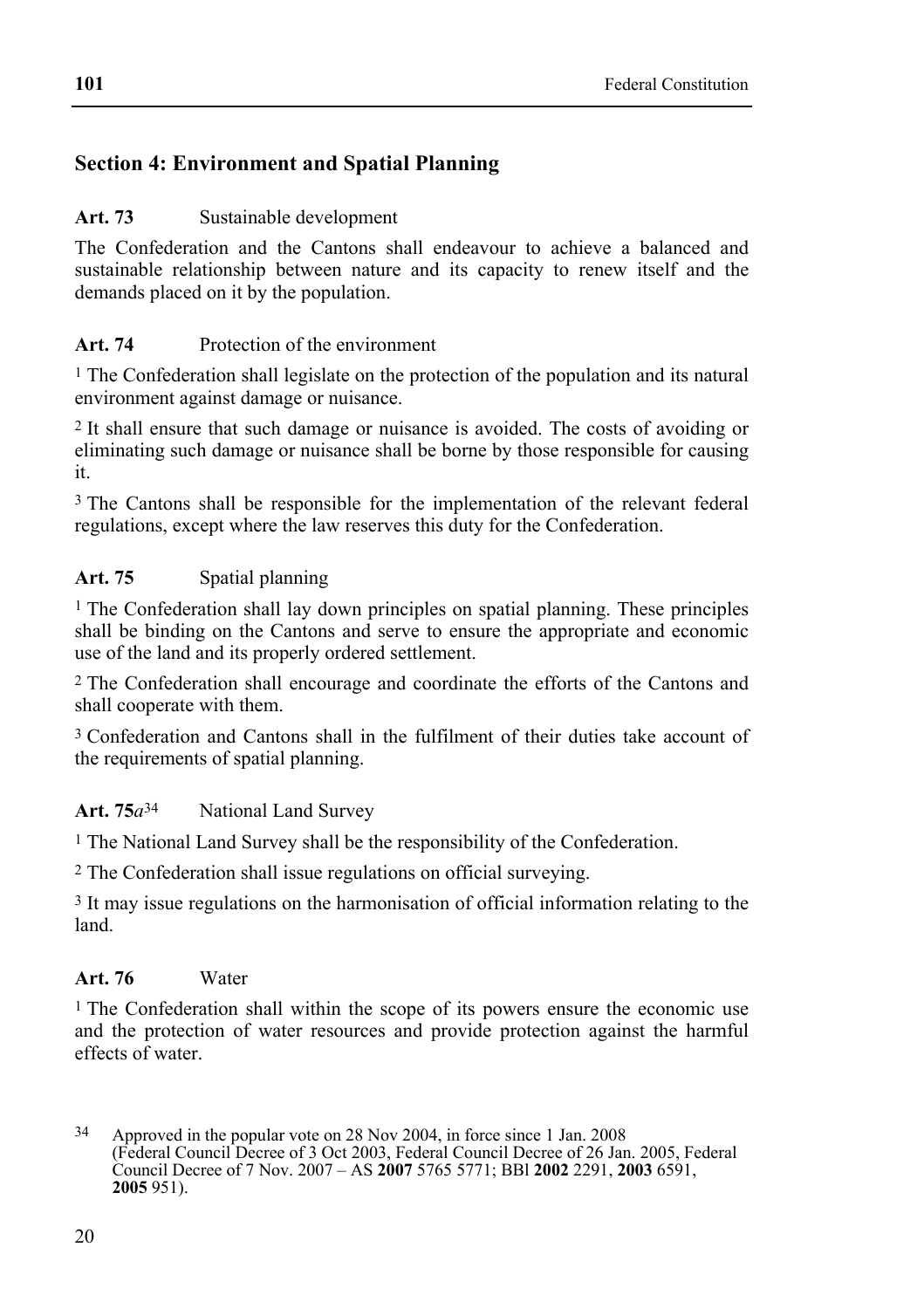# **Section 4: Environment and Spatial Planning**

### Art. 73 Sustainable development

The Confederation and the Cantons shall endeavour to achieve a balanced and sustainable relationship between nature and its capacity to renew itself and the demands placed on it by the population.

### **Art. 74** Protection of the environment

<sup>1</sup> The Confederation shall legislate on the protection of the population and its natural environment against damage or nuisance.

2 It shall ensure that such damage or nuisance is avoided. The costs of avoiding or eliminating such damage or nuisance shall be borne by those responsible for causing it.

3 The Cantons shall be responsible for the implementation of the relevant federal regulations, except where the law reserves this duty for the Confederation.

# Art. 75 **Spatial planning**

1 The Confederation shall lay down principles on spatial planning. These principles shall be binding on the Cantons and serve to ensure the appropriate and economic use of the land and its properly ordered settlement.

2 The Confederation shall encourage and coordinate the efforts of the Cantons and shall cooperate with them.

3 Confederation and Cantons shall in the fulfilment of their duties take account of the requirements of spatial planning.

### **Art. 75***a*34 National Land Survey

1 The National Land Survey shall be the responsibility of the Confederation.

2 The Confederation shall issue regulations on official surveying.

3 It may issue regulations on the harmonisation of official information relating to the land.

### **Art. 76** Water

1 The Confederation shall within the scope of its powers ensure the economic use and the protection of water resources and provide protection against the harmful effects of water.

 $34$ 34 Approved in the popular vote on 28 Nov 2004, in force since 1 Jan. 2008 (Federal Council Decree of 3 Oct 2003, Federal Council Decree of 26 Jan. 2005, Federal Council Decree of 7 Nov. 2007 – AS **2007** 5765 5771; BBl **2002** 2291, **2003** 6591, **2005** 951).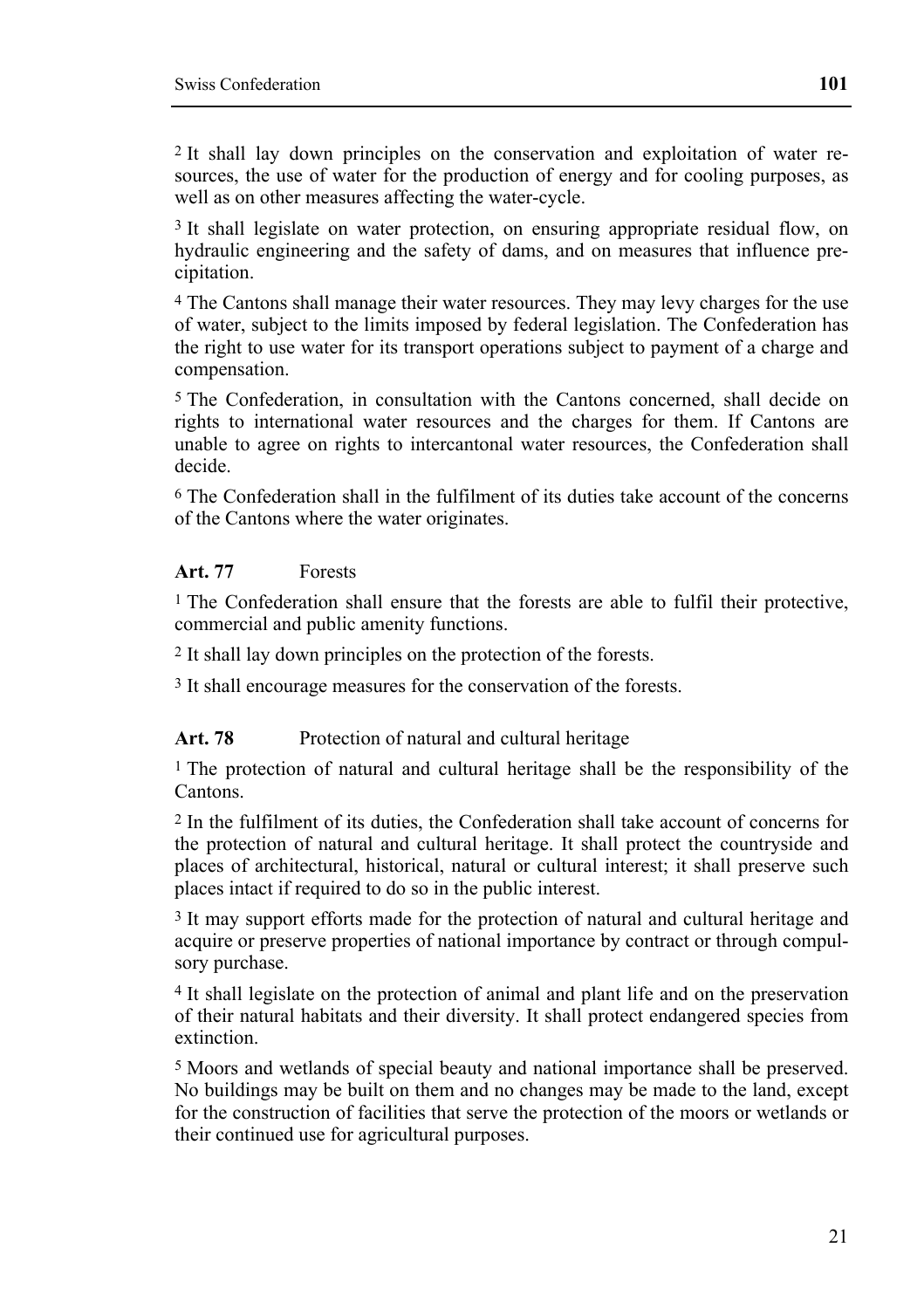2 It shall lay down principles on the conservation and exploitation of water resources, the use of water for the production of energy and for cooling purposes, as well as on other measures affecting the water-cycle.

<sup>3</sup> It shall legislate on water protection, on ensuring appropriate residual flow, on hydraulic engineering and the safety of dams, and on measures that influence precipitation.

4 The Cantons shall manage their water resources. They may levy charges for the use of water, subject to the limits imposed by federal legislation. The Confederation has the right to use water for its transport operations subject to payment of a charge and compensation.

5 The Confederation, in consultation with the Cantons concerned, shall decide on rights to international water resources and the charges for them. If Cantons are unable to agree on rights to intercantonal water resources, the Confederation shall decide.

6 The Confederation shall in the fulfilment of its duties take account of the concerns of the Cantons where the water originates.

#### **Art. 77** Forests

1 The Confederation shall ensure that the forests are able to fulfil their protective, commercial and public amenity functions.

2 It shall lay down principles on the protection of the forests.

3 It shall encourage measures for the conservation of the forests.

#### Art. 78 Protection of natural and cultural heritage

1 The protection of natural and cultural heritage shall be the responsibility of the Cantons.

2 In the fulfilment of its duties, the Confederation shall take account of concerns for the protection of natural and cultural heritage. It shall protect the countryside and places of architectural, historical, natural or cultural interest; it shall preserve such places intact if required to do so in the public interest.

<sup>3</sup> It may support efforts made for the protection of natural and cultural heritage and acquire or preserve properties of national importance by contract or through compulsory purchase.

4 It shall legislate on the protection of animal and plant life and on the preservation of their natural habitats and their diversity. It shall protect endangered species from extinction.

5 Moors and wetlands of special beauty and national importance shall be preserved. No buildings may be built on them and no changes may be made to the land, except for the construction of facilities that serve the protection of the moors or wetlands or their continued use for agricultural purposes.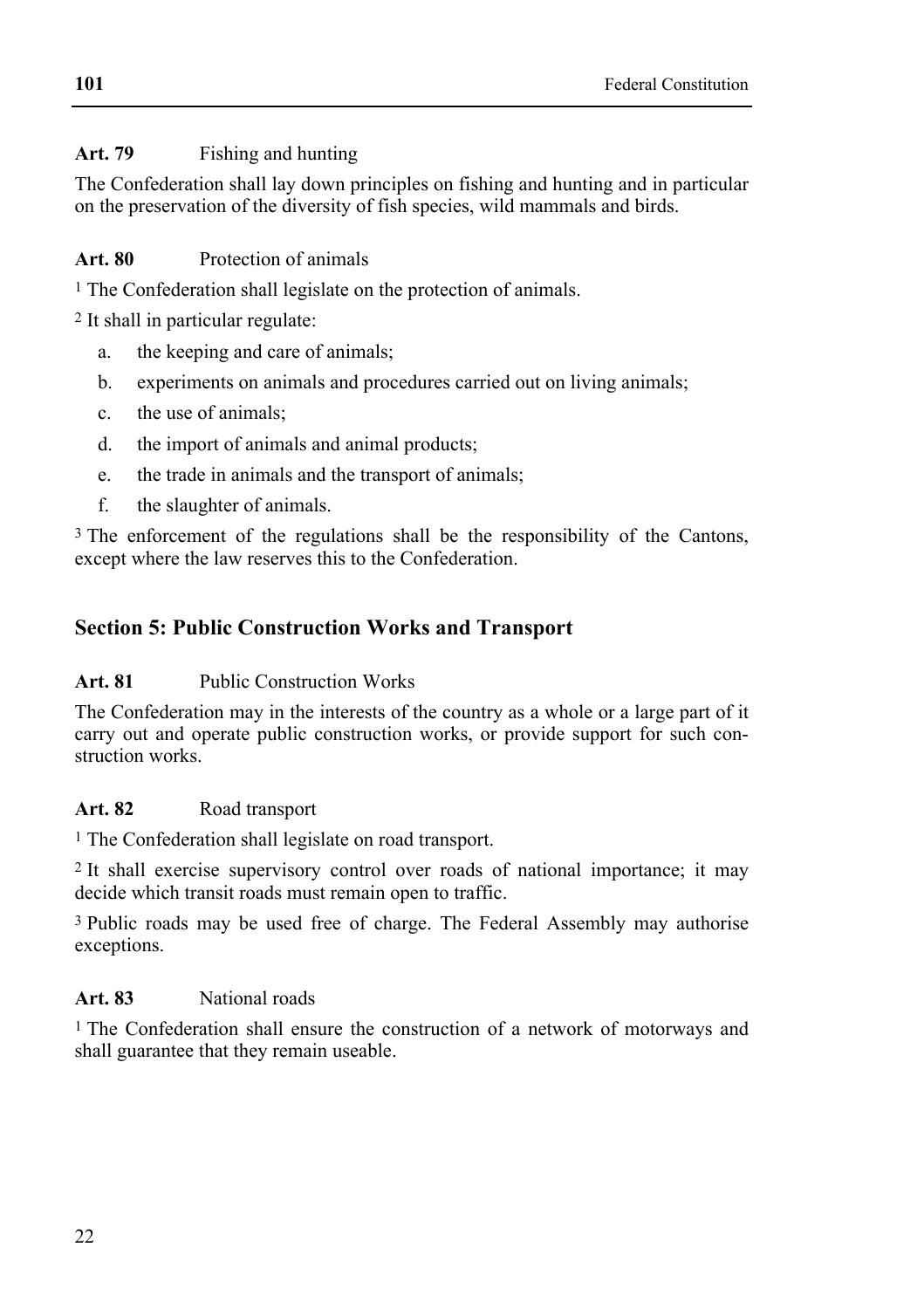### **Art. 79** Fishing and hunting

The Confederation shall lay down principles on fishing and hunting and in particular on the preservation of the diversity of fish species, wild mammals and birds.

### **Art. 80** Protection of animals

1 The Confederation shall legislate on the protection of animals.

2 It shall in particular regulate:

- a. the keeping and care of animals;
- b. experiments on animals and procedures carried out on living animals;
- c. the use of animals;
- d. the import of animals and animal products;
- e. the trade in animals and the transport of animals;
- f. the slaughter of animals.

<sup>3</sup> The enforcement of the regulations shall be the responsibility of the Cantons, except where the law reserves this to the Confederation.

# **Section 5: Public Construction Works and Transport**

### **Art. 81** Public Construction Works

The Confederation may in the interests of the country as a whole or a large part of it carry out and operate public construction works, or provide support for such construction works.

### Art. 82 Road transport

1 The Confederation shall legislate on road transport.

2 It shall exercise supervisory control over roads of national importance; it may decide which transit roads must remain open to traffic.

3 Public roads may be used free of charge. The Federal Assembly may authorise exceptions.

### **Art. 83** National roads

1 The Confederation shall ensure the construction of a network of motorways and shall guarantee that they remain useable.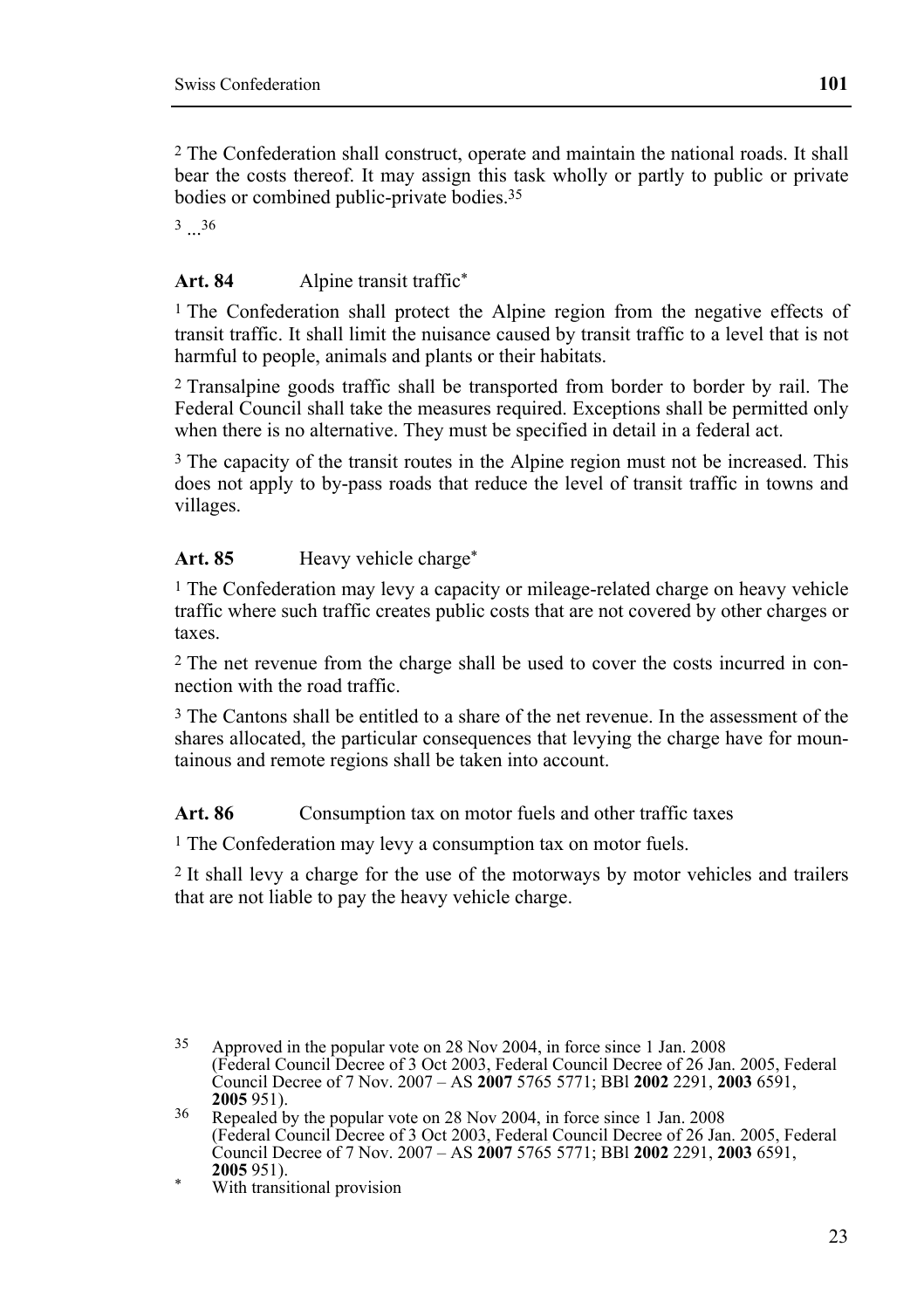2 The Confederation shall construct, operate and maintain the national roads. It shall bear the costs thereof. It may assign this task wholly or partly to public or private bodies or combined public-private bodies.35

36

#### Art. 84 Alpine transit traffic<sup>\*</sup>

1 The Confederation shall protect the Alpine region from the negative effects of transit traffic. It shall limit the nuisance caused by transit traffic to a level that is not harmful to people, animals and plants or their habitats.

2 Transalpine goods traffic shall be transported from border to border by rail. The Federal Council shall take the measures required. Exceptions shall be permitted only when there is no alternative. They must be specified in detail in a federal act.

<sup>3</sup> The capacity of the transit routes in the Alpine region must not be increased. This does not apply to by-pass roads that reduce the level of transit traffic in towns and villages.

#### Art. 85 **Heavy vehicle charge\***

<sup>1</sup> The Confederation may levy a capacity or mileage-related charge on heavy vehicle traffic where such traffic creates public costs that are not covered by other charges or taxes.

2 The net revenue from the charge shall be used to cover the costs incurred in connection with the road traffic.

3 The Cantons shall be entitled to a share of the net revenue. In the assessment of the shares allocated, the particular consequences that levying the charge have for mountainous and remote regions shall be taken into account.

Art. 86 Consumption tax on motor fuels and other traffic taxes

1 The Confederation may levy a consumption tax on motor fuels.

2 It shall levy a charge for the use of the motorways by motor vehicles and trailers that are not liable to pay the heavy vehicle charge.

<sup>35</sup> Approved in the popular vote on 28 Nov 2004, in force since 1 Jan. 2008 (Federal Council Decree of 3 Oct 2003, Federal Council Decree of 26 Jan. 2005, Federal Council Decree of 7 Nov. 2007 – AS **2007** 5765 5771; BBl **2002** 2291, **2003** 6591,

**<sup>2005</sup>**951). 36 Repealed by the popular vote on 28 Nov 2004, in force since 1 Jan. 2008 (Federal Council Decree of 3 Oct 2003, Federal Council Decree of 26 Jan. 2005, Federal Council Decree of 7 Nov. 2007 – AS **2007** 5765 5771; BBl **2002** 2291, **2003** 6591,

**<sup>2005</sup>** 951). \* With transitional provision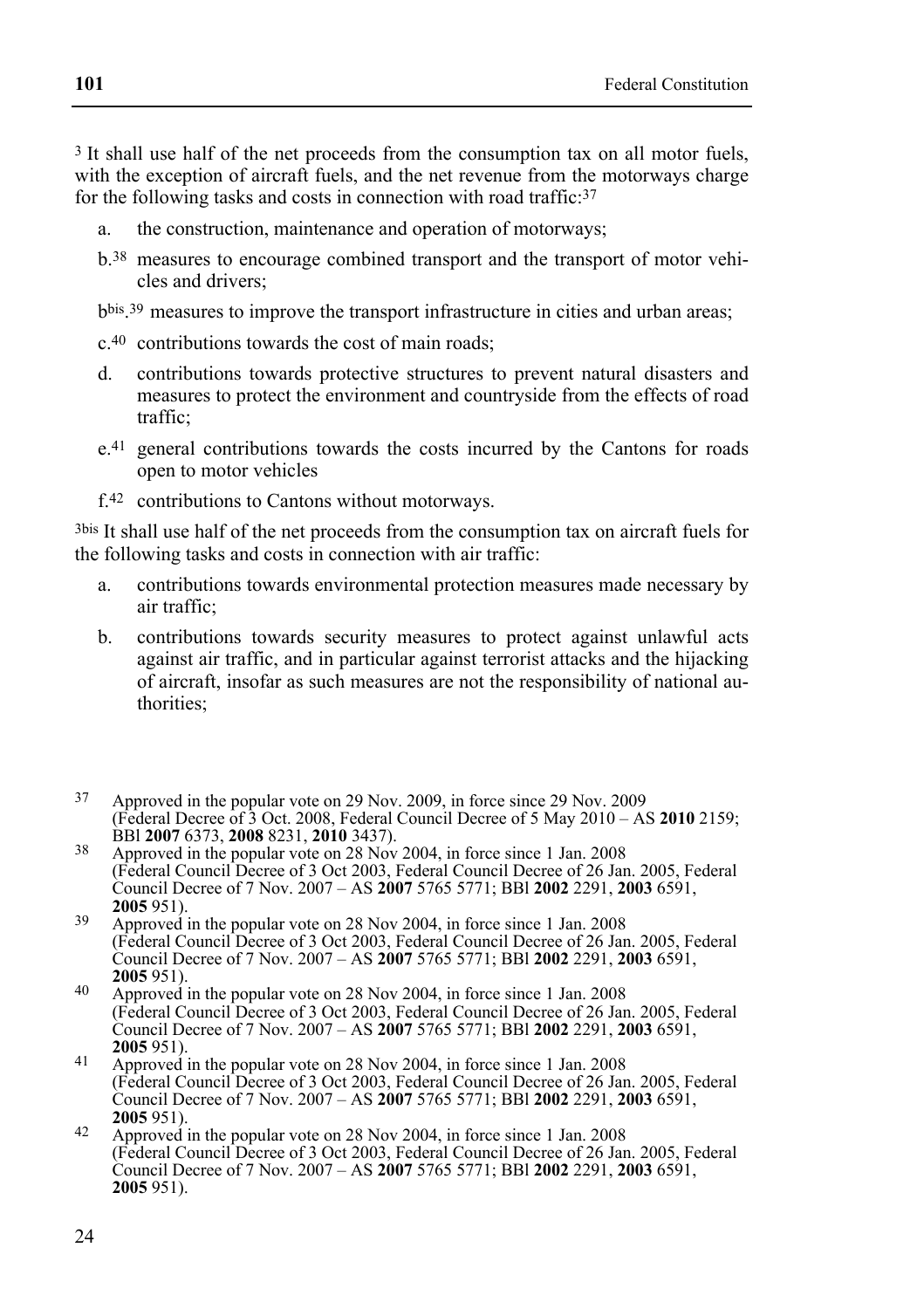3 It shall use half of the net proceeds from the consumption tax on all motor fuels, with the exception of aircraft fuels, and the net revenue from the motorways charge for the following tasks and costs in connection with road traffic:<sup>37</sup>

- a. the construction, maintenance and operation of motorways;
- b.38 measures to encourage combined transport and the transport of motor vehicles and drivers;
- bbis.39 measures to improve the transport infrastructure in cities and urban areas;
- c.40 contributions towards the cost of main roads;
- d. contributions towards protective structures to prevent natural disasters and measures to protect the environment and countryside from the effects of road traffic;
- e.41 general contributions towards the costs incurred by the Cantons for roads open to motor vehicles
- f.42 contributions to Cantons without motorways.

3bis It shall use half of the net proceeds from the consumption tax on aircraft fuels for the following tasks and costs in connection with air traffic:

- a. contributions towards environmental protection measures made necessary by air traffic;
- b. contributions towards security measures to protect against unlawful acts against air traffic, and in particular against terrorist attacks and the hijacking of aircraft, insofar as such measures are not the responsibility of national authorities;
- 37 Approved in the popular vote on 29 Nov. 2009, in force since 29 Nov. 2009 (Federal Decree of 3 Oct. 2008, Federal Council Decree of 5 May 2010 – AS **2010** 2159;
- BBl **2007** 6373, **2008** 8231, **2010** 3437). 38 Approved in the popular vote on 28 Nov 2004, in force since 1 Jan. 2008 (Federal Council Decree of 3 Oct 2003, Federal Council Decree of 26 Jan. 2005, Federal Council Decree of 7 Nov. 2007 – AS **2007** 5765 5771; BBl **2002** 2291, **2003** 6591,
- **<sup>2005</sup>**951). 39 Approved in the popular vote on 28 Nov 2004, in force since 1 Jan. 2008 (Federal Council Decree of 3 Oct 2003, Federal Council Decree of 26 Jan. 2005, Federal Council Decree of 7 Nov. 2007 – AS **2007** 5765 5771; BBl **2002** 2291, **2003** 6591,
- **2005** 951). **2005** 951). **2006** Approved in the popular vote on 28 Nov 2004, in force since 1 Jan. 2008 (Federal Council Decree of 3 Oct 2003, Federal Council Decree of 26 Jan. 2005, Federal Council Decree of 7 Nov. 2007 – AS **2007** 5765 5771; BBl **2002** 2291, **2003** 6591,
- **<sup>2005</sup>**951). 41 Approved in the popular vote on 28 Nov 2004, in force since 1 Jan. 2008 (Federal Council Decree of 3 Oct 2003, Federal Council Decree of 26 Jan. 2005, Federal Council Decree of 7 Nov. 2007 – AS **2007** 5765 5771; BBl **2002** 2291, **2003** 6591,
- **<sup>2005</sup>**951). 42 Approved in the popular vote on 28 Nov 2004, in force since 1 Jan. 2008 (Federal Council Decree of 3 Oct 2003, Federal Council Decree of 26 Jan. 2005, Federal Council Decree of 7 Nov. 2007 – AS **2007** 5765 5771; BBl **2002** 2291, **2003** 6591, **2005** 951).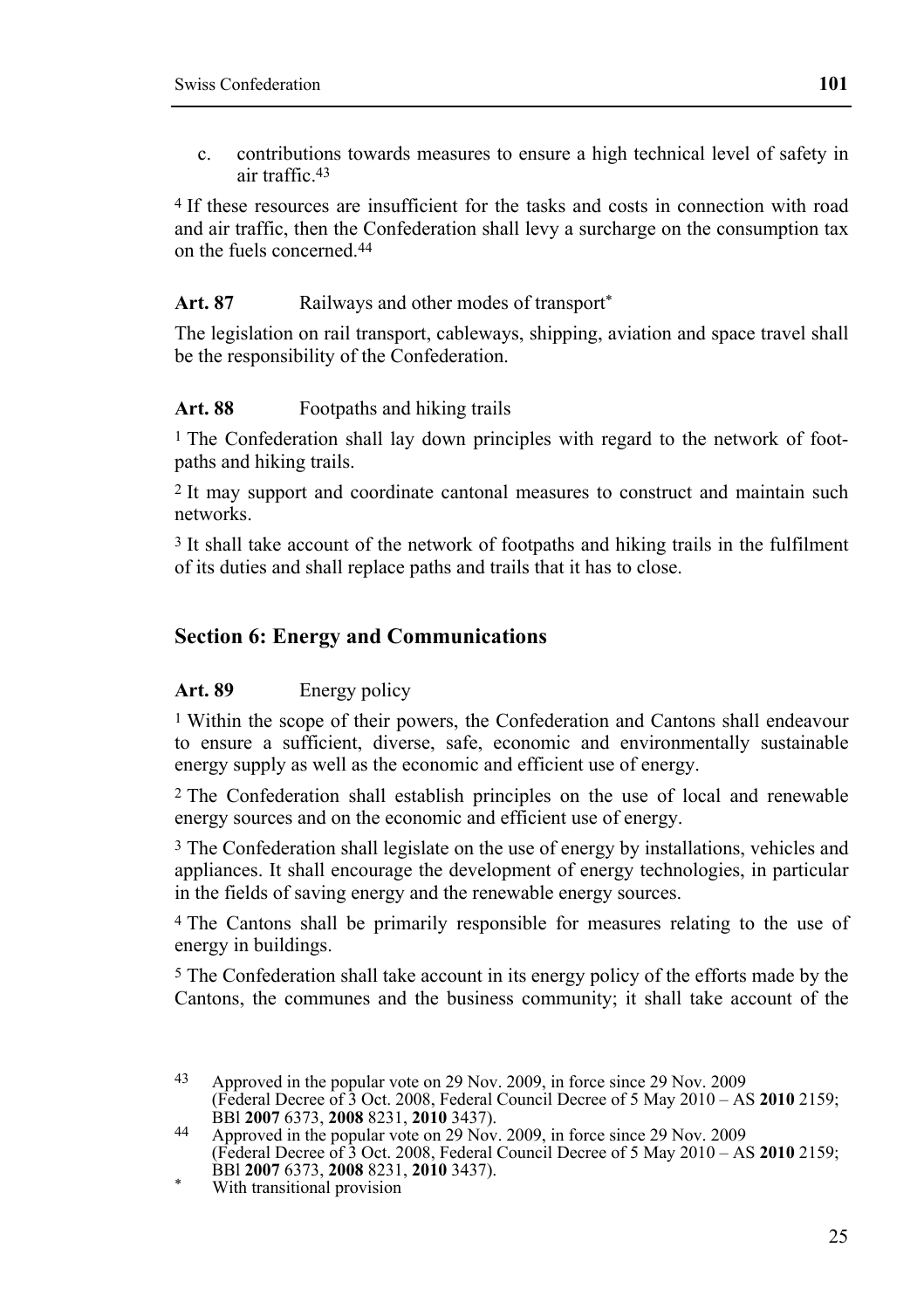c. contributions towards measures to ensure a high technical level of safety in air traffic.43

4 If these resources are insufficient for the tasks and costs in connection with road and air traffic, then the Confederation shall levy a surcharge on the consumption tax on the fuels concerned.44

#### Art. 87 **Railways and other modes of transport**\*

The legislation on rail transport, cableways, shipping, aviation and space travel shall be the responsibility of the Confederation.

#### Art. 88 **Footpaths and hiking trails**

1 The Confederation shall lay down principles with regard to the network of footpaths and hiking trails.

2 It may support and coordinate cantonal measures to construct and maintain such networks.

3 It shall take account of the network of footpaths and hiking trails in the fulfilment of its duties and shall replace paths and trails that it has to close.

#### **Section 6: Energy and Communications**

#### Art. 89 Energy policy

1 Within the scope of their powers, the Confederation and Cantons shall endeavour to ensure a sufficient, diverse, safe, economic and environmentally sustainable energy supply as well as the economic and efficient use of energy.

2 The Confederation shall establish principles on the use of local and renewable energy sources and on the economic and efficient use of energy.

3 The Confederation shall legislate on the use of energy by installations, vehicles and appliances. It shall encourage the development of energy technologies, in particular in the fields of saving energy and the renewable energy sources.

4 The Cantons shall be primarily responsible for measures relating to the use of energy in buildings.

5 The Confederation shall take account in its energy policy of the efforts made by the Cantons, the communes and the business community; it shall take account of the

 $43$ Approved in the popular vote on 29 Nov. 2009, in force since 29 Nov. 2009 (Federal Decree of 3 Oct. 2008, Federal Council Decree of 5 May 2010 – AS **2010** 2159;

BBl **2007** 6373, **2008** 8231, **2010** 3437). 44 Approved in the popular vote on 29 Nov. 2009, in force since 29 Nov. 2009 (Federal Decree of 3 Oct. 2008, Federal Council Decree of 5 May 2010 – AS **2010** 2159; **BBI 2007 6373, 2008 8231, 2010 3437).** With transitional provision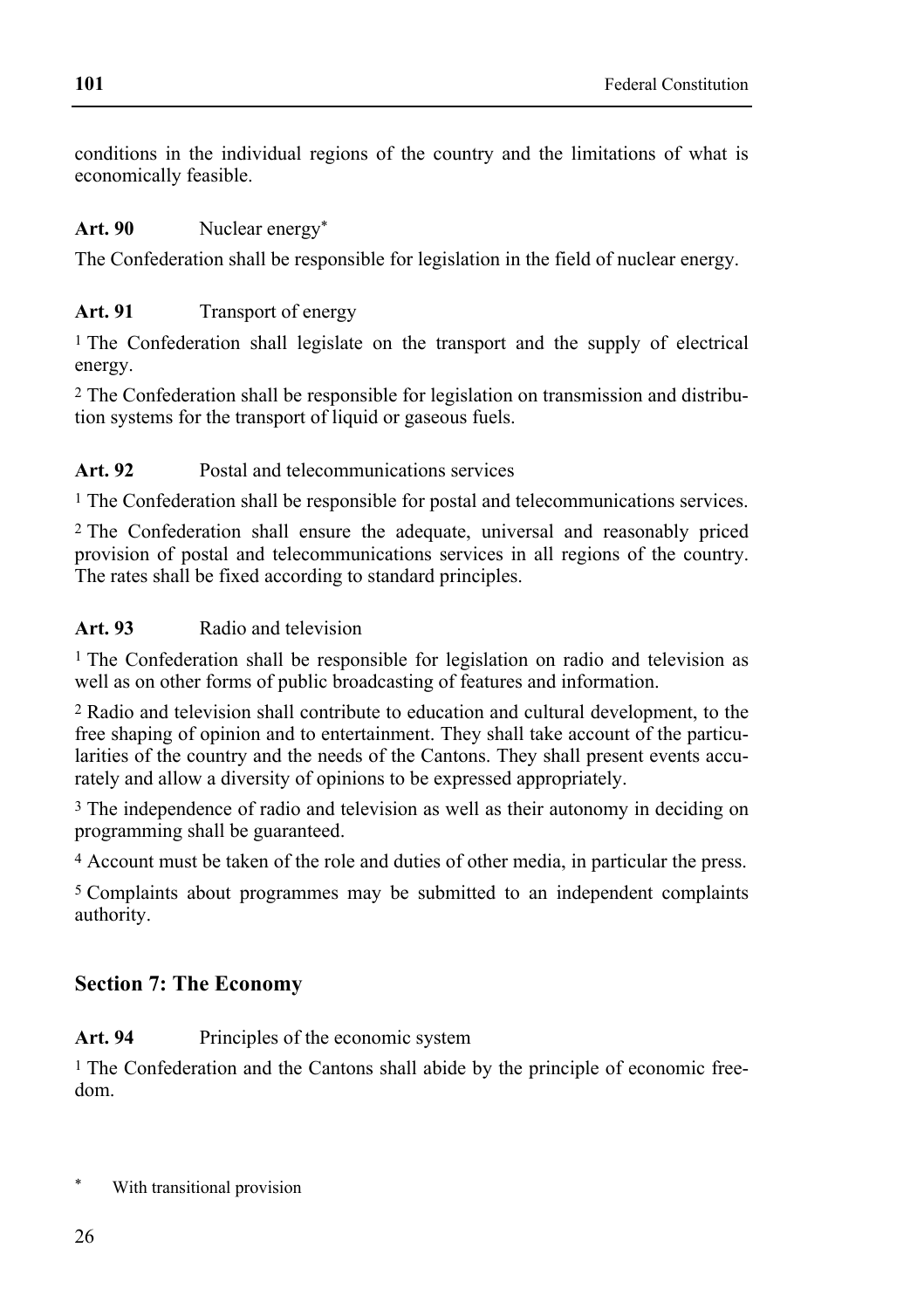conditions in the individual regions of the country and the limitations of what is economically feasible.

### Art. 90 Nuclear energy<sup>\*</sup>

The Confederation shall be responsible for legislation in the field of nuclear energy.

# Art. 91 **Transport of energy**

<sup>1</sup> The Confederation shall legislate on the transport and the supply of electrical energy.

2 The Confederation shall be responsible for legislation on transmission and distribution systems for the transport of liquid or gaseous fuels.

# Art. 92 **Postal and telecommunications services**

1 The Confederation shall be responsible for postal and telecommunications services.

2 The Confederation shall ensure the adequate, universal and reasonably priced provision of postal and telecommunications services in all regions of the country. The rates shall be fixed according to standard principles.

# **Art. 93** Radio and television

1 The Confederation shall be responsible for legislation on radio and television as well as on other forms of public broadcasting of features and information.

2 Radio and television shall contribute to education and cultural development, to the free shaping of opinion and to entertainment. They shall take account of the particularities of the country and the needs of the Cantons. They shall present events accurately and allow a diversity of opinions to be expressed appropriately.

3 The independence of radio and television as well as their autonomy in deciding on programming shall be guaranteed.

4 Account must be taken of the role and duties of other media, in particular the press.

5 Complaints about programmes may be submitted to an independent complaints authority.

# **Section 7: The Economy**

# Art. 94 Principles of the economic system

1 The Confederation and the Cantons shall abide by the principle of economic freedom.

With transitional provision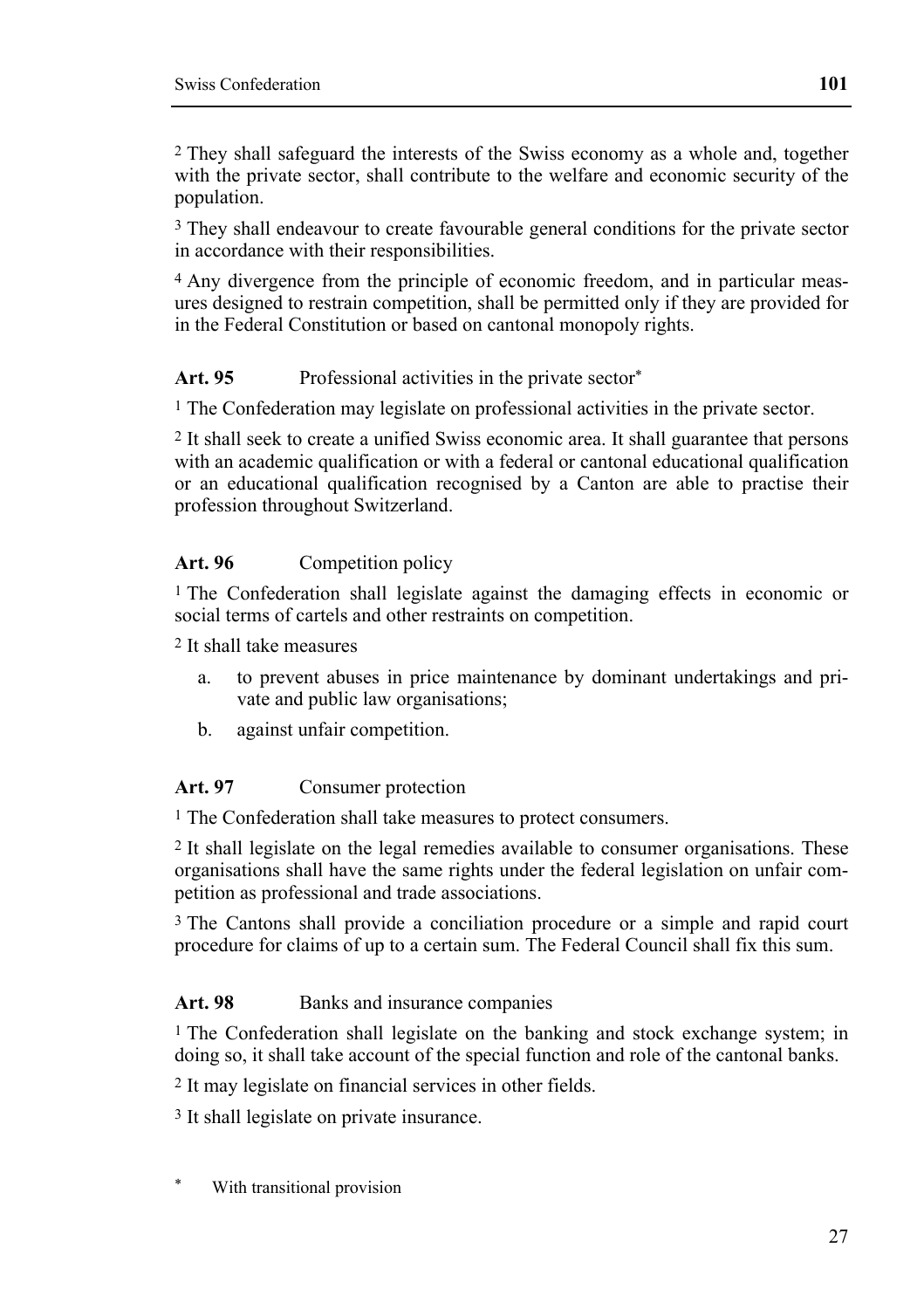2 They shall safeguard the interests of the Swiss economy as a whole and, together with the private sector, shall contribute to the welfare and economic security of the population.

<sup>3</sup> They shall endeavour to create favourable general conditions for the private sector in accordance with their responsibilities.

4 Any divergence from the principle of economic freedom, and in particular measures designed to restrain competition, shall be permitted only if they are provided for in the Federal Constitution or based on cantonal monopoly rights.

### Art. 95 Professional activities in the private sector<sup>\*</sup>

<sup>1</sup> The Confederation may legislate on professional activities in the private sector.

2 It shall seek to create a unified Swiss economic area. It shall guarantee that persons with an academic qualification or with a federal or cantonal educational qualification or an educational qualification recognised by a Canton are able to practise their profession throughout Switzerland.

#### Art. 96 Competition policy

1 The Confederation shall legislate against the damaging effects in economic or social terms of cartels and other restraints on competition.

2 It shall take measures

- a. to prevent abuses in price maintenance by dominant undertakings and private and public law organisations;
- b. against unfair competition.

#### **Art. 97** Consumer protection

1 The Confederation shall take measures to protect consumers.

2 It shall legislate on the legal remedies available to consumer organisations. These organisations shall have the same rights under the federal legislation on unfair competition as professional and trade associations.

3 The Cantons shall provide a conciliation procedure or a simple and rapid court procedure for claims of up to a certain sum. The Federal Council shall fix this sum.

#### Art. 98 **Banks** and insurance companies

1 The Confederation shall legislate on the banking and stock exchange system; in doing so, it shall take account of the special function and role of the cantonal banks.

2 It may legislate on financial services in other fields.

3 It shall legislate on private insurance.

With transitional provision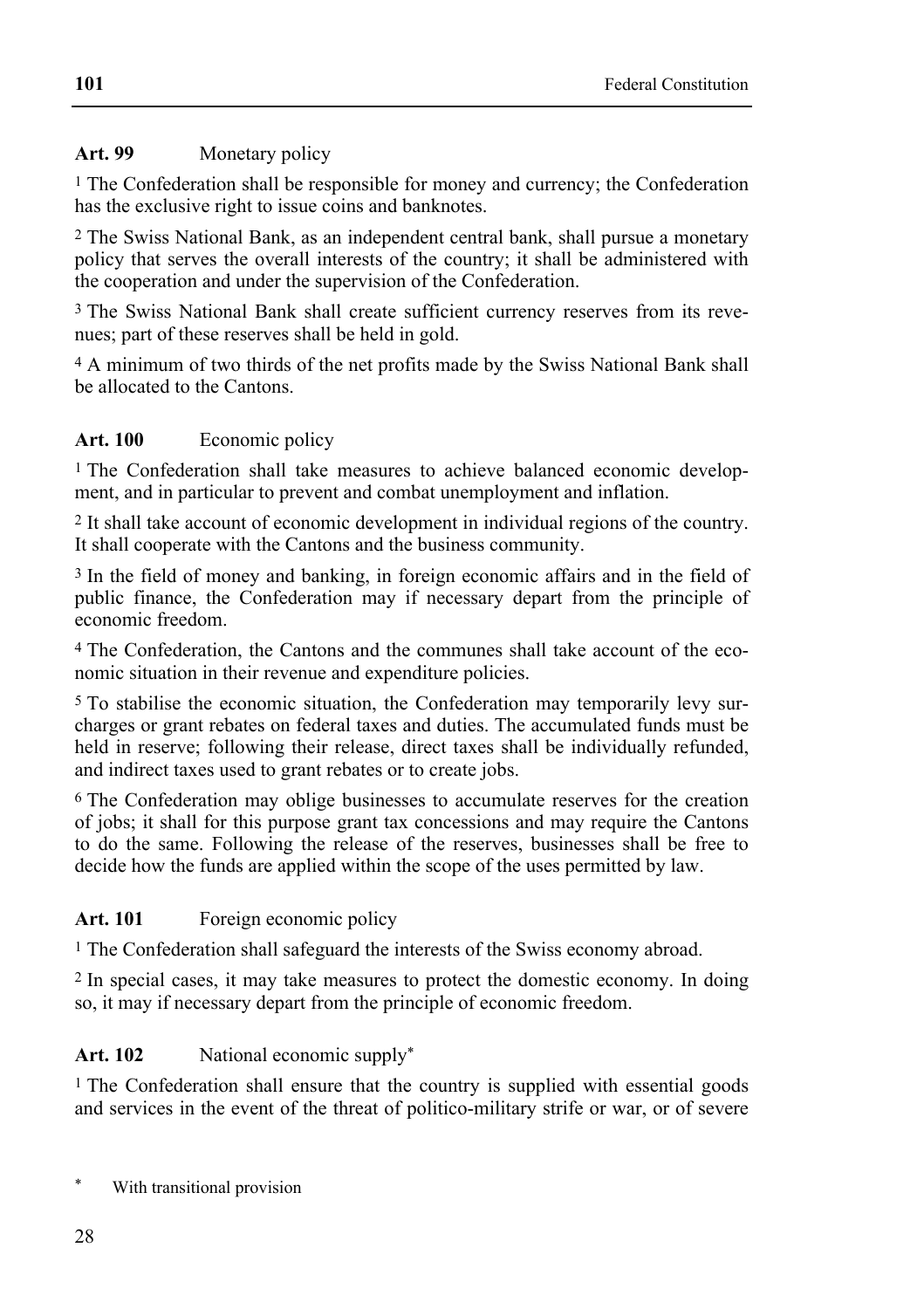# Art. 99 Monetary policy

1 The Confederation shall be responsible for money and currency; the Confederation has the exclusive right to issue coins and banknotes.

2 The Swiss National Bank, as an independent central bank, shall pursue a monetary policy that serves the overall interests of the country; it shall be administered with the cooperation and under the supervision of the Confederation.

3 The Swiss National Bank shall create sufficient currency reserves from its revenues; part of these reserves shall be held in gold.

4 A minimum of two thirds of the net profits made by the Swiss National Bank shall be allocated to the Cantons.

# Art. 100 Economic policy

<sup>1</sup> The Confederation shall take measures to achieve balanced economic development, and in particular to prevent and combat unemployment and inflation.

2 It shall take account of economic development in individual regions of the country. It shall cooperate with the Cantons and the business community.

3 In the field of money and banking, in foreign economic affairs and in the field of public finance, the Confederation may if necessary depart from the principle of economic freedom.

4 The Confederation, the Cantons and the communes shall take account of the economic situation in their revenue and expenditure policies.

5 To stabilise the economic situation, the Confederation may temporarily levy surcharges or grant rebates on federal taxes and duties. The accumulated funds must be held in reserve; following their release, direct taxes shall be individually refunded, and indirect taxes used to grant rebates or to create jobs.

6 The Confederation may oblige businesses to accumulate reserves for the creation of jobs; it shall for this purpose grant tax concessions and may require the Cantons to do the same. Following the release of the reserves, businesses shall be free to decide how the funds are applied within the scope of the uses permitted by law.

# Art. 101 Foreign economic policy

1 The Confederation shall safeguard the interests of the Swiss economy abroad.

2 In special cases, it may take measures to protect the domestic economy. In doing so, it may if necessary depart from the principle of economic freedom.

# Art. 102 National economic supply<sup>\*</sup>

1 The Confederation shall ensure that the country is supplied with essential goods and services in the event of the threat of politico-military strife or war, or of severe

With transitional provision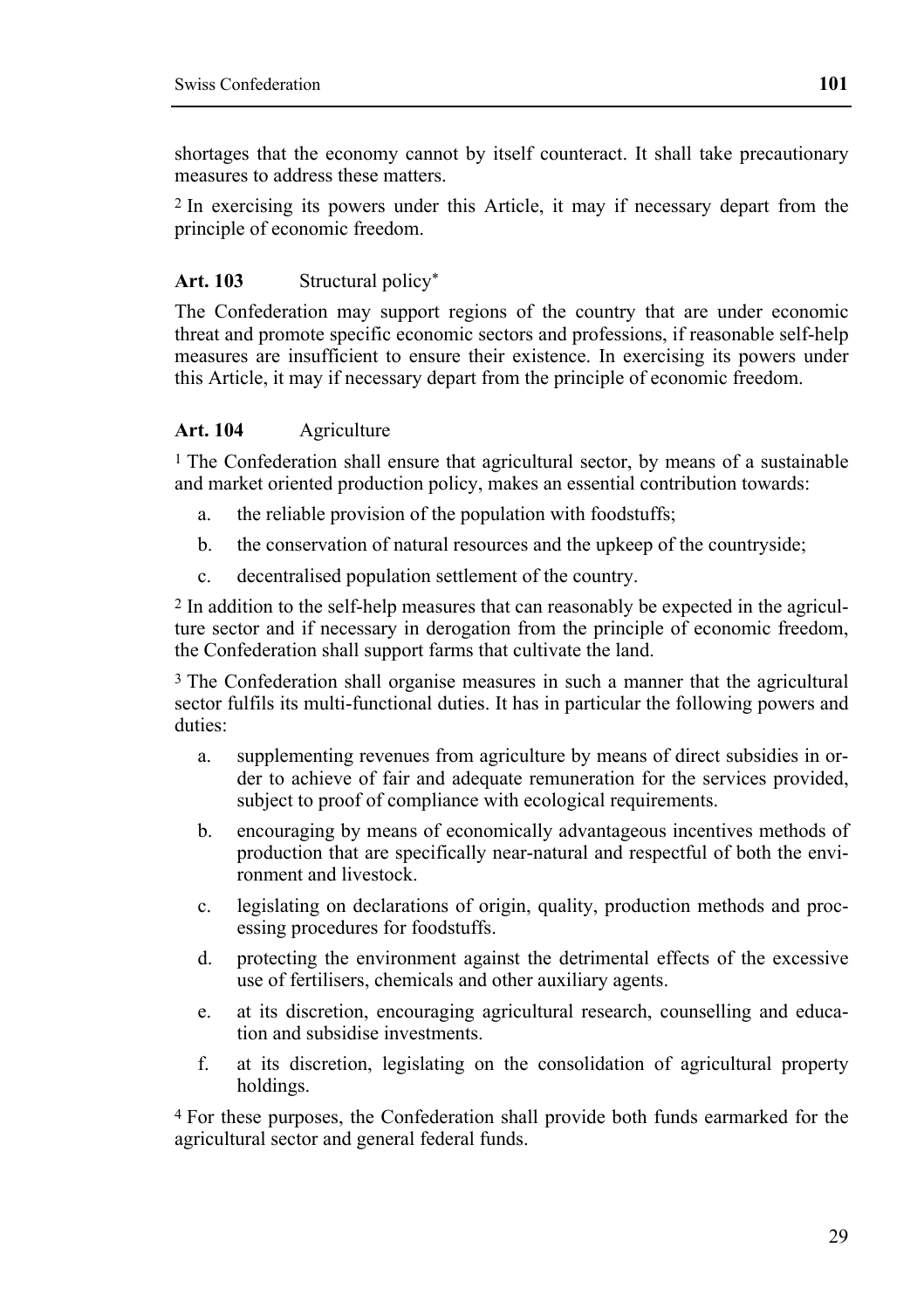shortages that the economy cannot by itself counteract. It shall take precautionary measures to address these matters

2 In exercising its powers under this Article, it may if necessary depart from the principle of economic freedom.

#### **Art. 103** Structural policy\*

The Confederation may support regions of the country that are under economic threat and promote specific economic sectors and professions, if reasonable self-help measures are insufficient to ensure their existence. In exercising its powers under this Article, it may if necessary depart from the principle of economic freedom.

#### **Art. 104** Agriculture

<sup>1</sup> The Confederation shall ensure that agricultural sector, by means of a sustainable and market oriented production policy, makes an essential contribution towards:

- a. the reliable provision of the population with foodstuffs;
- b. the conservation of natural resources and the upkeep of the countryside;
- c. decentralised population settlement of the country.

2 In addition to the self-help measures that can reasonably be expected in the agriculture sector and if necessary in derogation from the principle of economic freedom, the Confederation shall support farms that cultivate the land.

3 The Confederation shall organise measures in such a manner that the agricultural sector fulfils its multi-functional duties. It has in particular the following powers and duties:

- a. supplementing revenues from agriculture by means of direct subsidies in order to achieve of fair and adequate remuneration for the services provided, subject to proof of compliance with ecological requirements.
- b. encouraging by means of economically advantageous incentives methods of production that are specifically near-natural and respectful of both the environment and livestock.
- c. legislating on declarations of origin, quality, production methods and processing procedures for foodstuffs.
- d. protecting the environment against the detrimental effects of the excessive use of fertilisers, chemicals and other auxiliary agents.
- e. at its discretion, encouraging agricultural research, counselling and education and subsidise investments.
- f. at its discretion, legislating on the consolidation of agricultural property holdings.

4 For these purposes, the Confederation shall provide both funds earmarked for the agricultural sector and general federal funds.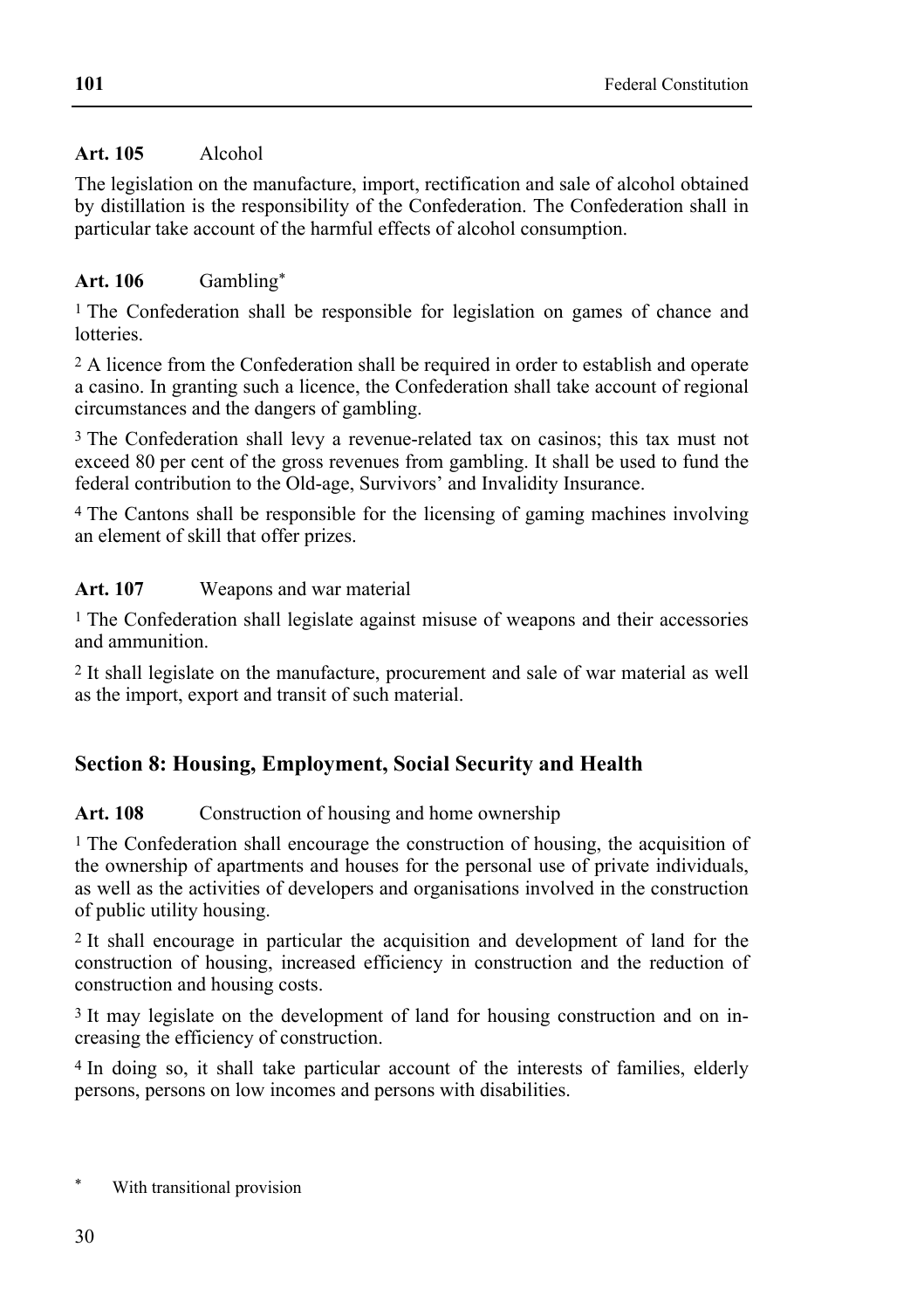# **Art. 105** Alcohol

The legislation on the manufacture, import, rectification and sale of alcohol obtained by distillation is the responsibility of the Confederation. The Confederation shall in particular take account of the harmful effects of alcohol consumption.

# **Art. 106** Gambling\*

1 The Confederation shall be responsible for legislation on games of chance and **lotteries** 

2 A licence from the Confederation shall be required in order to establish and operate a casino. In granting such a licence, the Confederation shall take account of regional circumstances and the dangers of gambling.

3 The Confederation shall levy a revenue-related tax on casinos; this tax must not exceed 80 per cent of the gross revenues from gambling. It shall be used to fund the federal contribution to the Old-age, Survivors' and Invalidity Insurance.

4 The Cantons shall be responsible for the licensing of gaming machines involving an element of skill that offer prizes.

# Art. 107 Weapons and war material

1 The Confederation shall legislate against misuse of weapons and their accessories and ammunition.

2 It shall legislate on the manufacture, procurement and sale of war material as well as the import, export and transit of such material.

# **Section 8: Housing, Employment, Social Security and Health**

### Art. 108 Construction of housing and home ownership

1 The Confederation shall encourage the construction of housing, the acquisition of the ownership of apartments and houses for the personal use of private individuals, as well as the activities of developers and organisations involved in the construction of public utility housing.

2 It shall encourage in particular the acquisition and development of land for the construction of housing, increased efficiency in construction and the reduction of construction and housing costs.

3 It may legislate on the development of land for housing construction and on increasing the efficiency of construction.

4 In doing so, it shall take particular account of the interests of families, elderly persons, persons on low incomes and persons with disabilities.

With transitional provision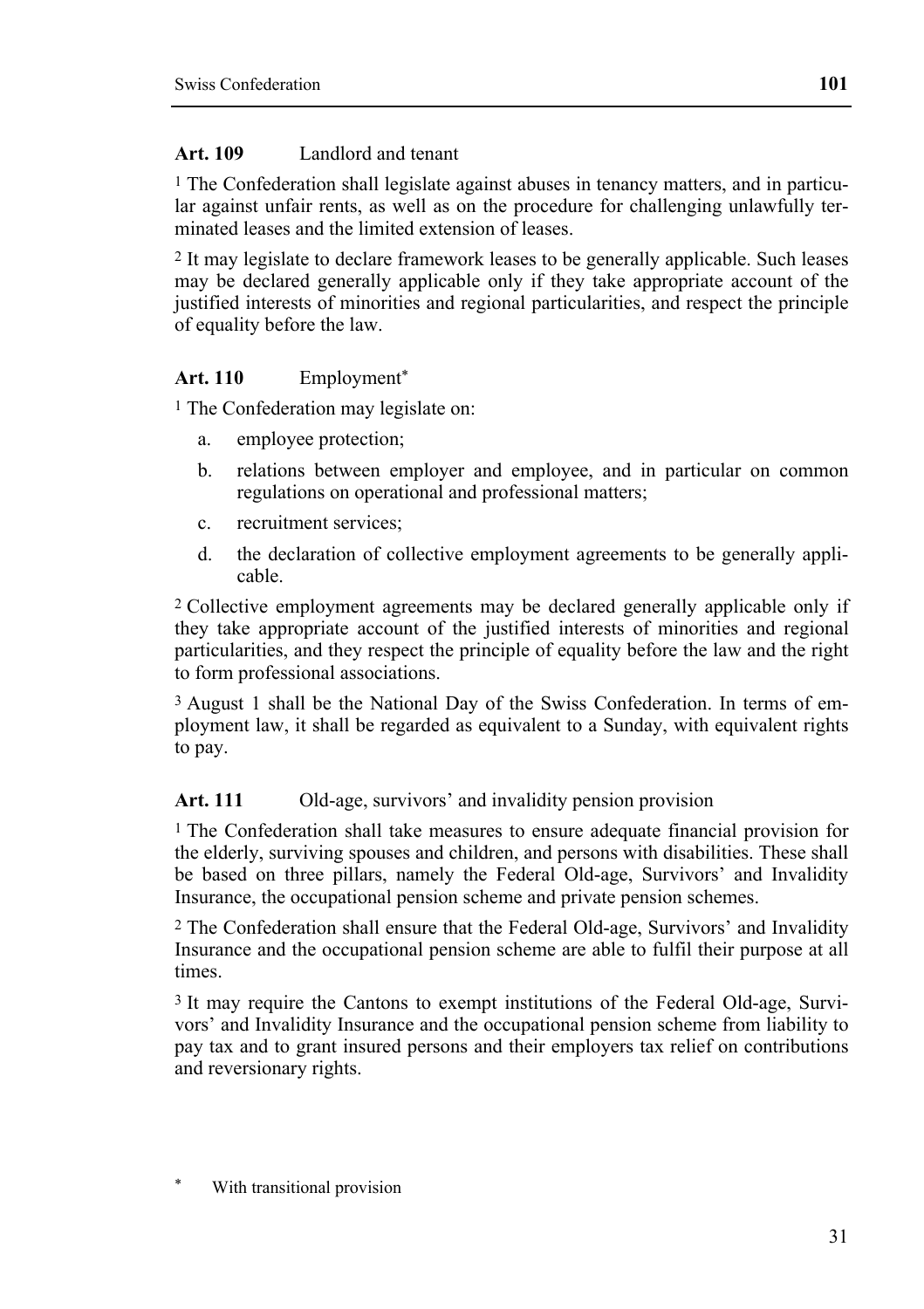#### **Art. 109** Landlord and tenant

1 The Confederation shall legislate against abuses in tenancy matters, and in particular against unfair rents, as well as on the procedure for challenging unlawfully terminated leases and the limited extension of leases.

2 It may legislate to declare framework leases to be generally applicable. Such leases may be declared generally applicable only if they take appropriate account of the justified interests of minorities and regional particularities, and respect the principle of equality before the law.

#### **Art. 110** Employment\*

<sup>1</sup> The Confederation may legislate on:

- a. employee protection;
- b. relations between employer and employee, and in particular on common regulations on operational and professional matters;
- c. recruitment services;
- d. the declaration of collective employment agreements to be generally applicable.

2 Collective employment agreements may be declared generally applicable only if they take appropriate account of the justified interests of minorities and regional particularities, and they respect the principle of equality before the law and the right to form professional associations.

3 August 1 shall be the National Day of the Swiss Confederation. In terms of employment law, it shall be regarded as equivalent to a Sunday, with equivalent rights to pay.

#### Art. 111 Old-age, survivors' and invalidity pension provision

1 The Confederation shall take measures to ensure adequate financial provision for the elderly, surviving spouses and children, and persons with disabilities. These shall be based on three pillars, namely the Federal Old-age, Survivors' and Invalidity Insurance, the occupational pension scheme and private pension schemes.

2 The Confederation shall ensure that the Federal Old-age, Survivors' and Invalidity Insurance and the occupational pension scheme are able to fulfil their purpose at all times.

3 It may require the Cantons to exempt institutions of the Federal Old-age, Survivors' and Invalidity Insurance and the occupational pension scheme from liability to pay tax and to grant insured persons and their employers tax relief on contributions and reversionary rights.

With transitional provision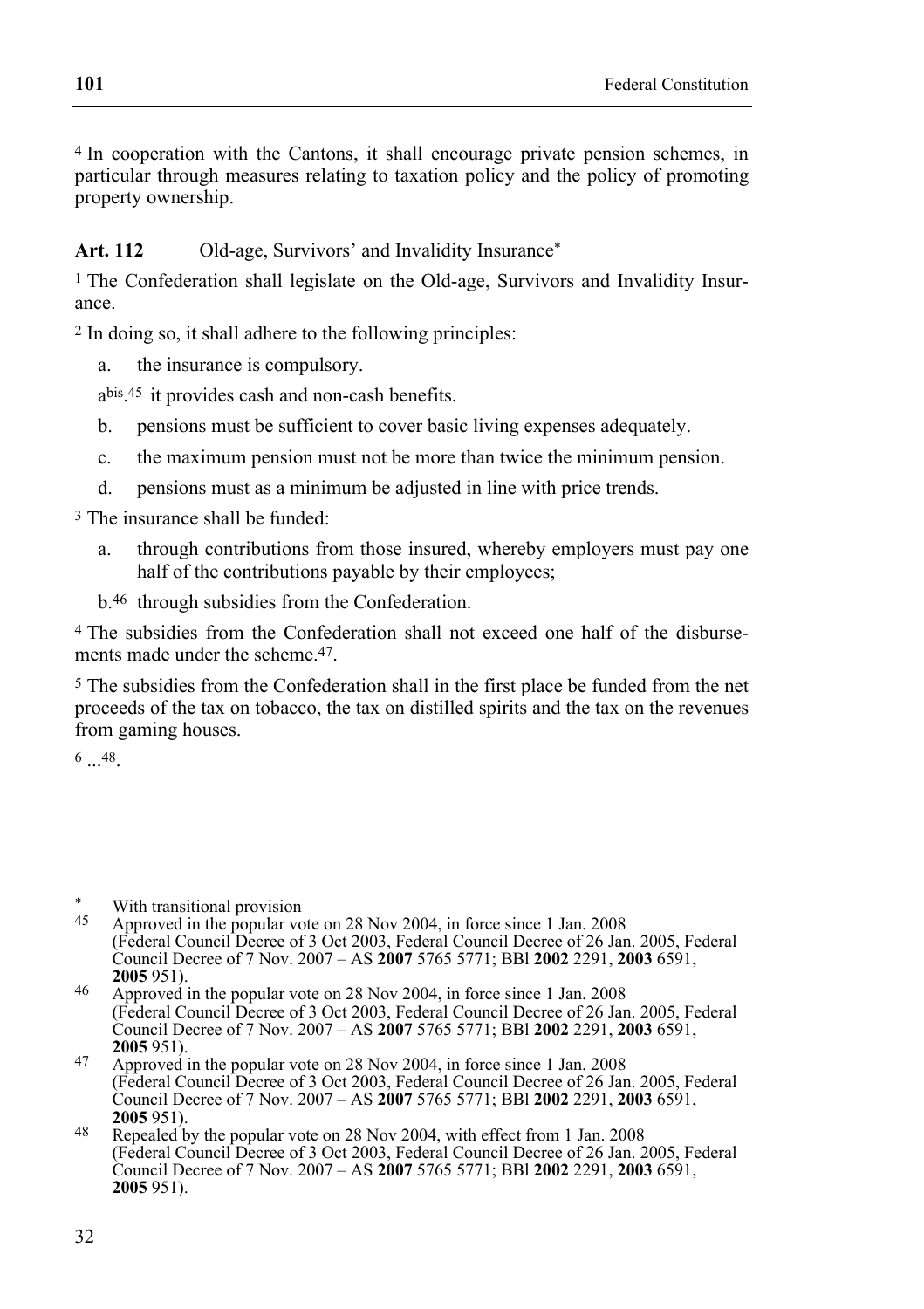4 In cooperation with the Cantons, it shall encourage private pension schemes, in particular through measures relating to taxation policy and the policy of promoting property ownership.

Art. 112 Old-age, Survivors' and Invalidity Insurance<sup>\*</sup>

<sup>1</sup> The Confederation shall legislate on the Old-age, Survivors and Invalidity Insurance.

2 In doing so, it shall adhere to the following principles:

a. the insurance is compulsory.

abis.45 it provides cash and non-cash benefits.

- b. pensions must be sufficient to cover basic living expenses adequately.
- c. the maximum pension must not be more than twice the minimum pension.
- d. pensions must as a minimum be adjusted in line with price trends.

3 The insurance shall be funded:

- a. through contributions from those insured, whereby employers must pay one half of the contributions payable by their employees;
- b.46 through subsidies from the Confederation.

4 The subsidies from the Confederation shall not exceed one half of the disbursements made under the scheme.<sup>47</sup>

5 The subsidies from the Confederation shall in the first place be funded from the net proceeds of the tax on tobacco, the tax on distilled spirits and the tax on the revenues from gaming houses.

6 ...48.

- Approved in the popular vote on 28 Nov 2004, in force since 1 Jan. 2008 (Federal Council Decree of 3 Oct 2003, Federal Council Decree of 26 Jan. 2005, Federal Council Decree of 7 Nov. 2007 – AS **2007** 5765 5771; BBl **2002** 2291, **2003** 6591,
- **2005** 951). **2005** 951). **2006** Approved in the popular vote on 28 Nov 2004, in force since 1 Jan. 2008 (Federal Council Decree of 3 Oct 2003, Federal Council Decree of 26 Jan. 2005, Federal Council Decree of 7 Nov. 2007 – AS **2007** 5765 5771; BBl **2002** 2291, **2003** 6591,
- **<sup>2005</sup>**951). 47 Approved in the popular vote on 28 Nov 2004, in force since 1 Jan. 2008 (Federal Council Decree of 3 Oct 2003, Federal Council Decree of 26 Jan. 2005, Federal Council Decree of 7 Nov. 2007 – AS **2007** 5765 5771; BBl **2002** 2291, **2003** 6591,
- **<sup>2005</sup>**951). 48 Repealed by the popular vote on 28 Nov 2004, with effect from 1 Jan. 2008 (Federal Council Decree of 3 Oct 2003, Federal Council Decree of 26 Jan. 2005, Federal Council Decree of 7 Nov. 2007 – AS **2007** 5765 5771; BBl **2002** 2291, **2003** 6591, **2005** 951).

<sup>\*</sup> With transitional provision<br> $\frac{45}{2}$  Approved in the popular vo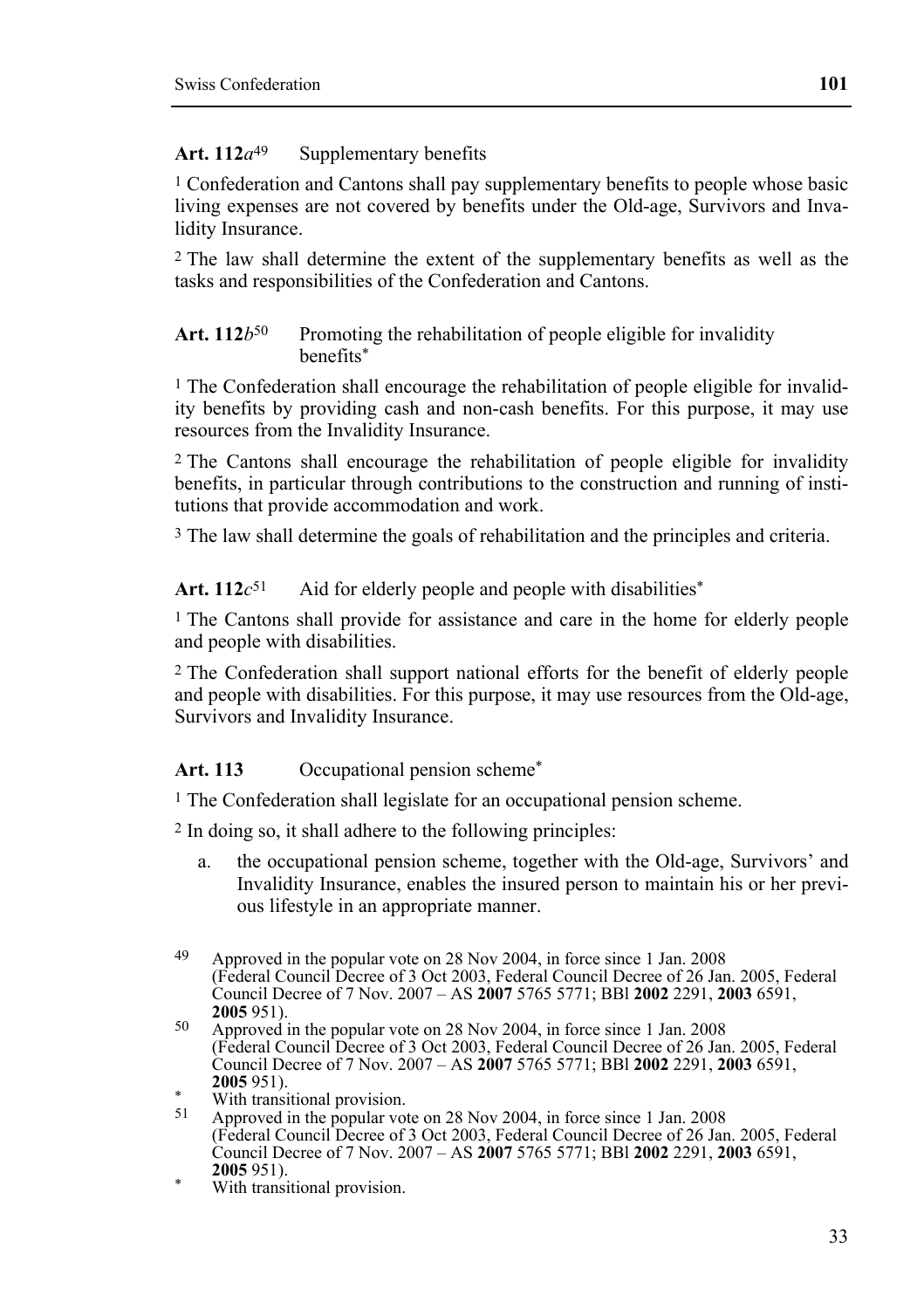### Art. 112*a*<sup>49</sup> Supplementary benefits

1 Confederation and Cantons shall pay supplementary benefits to people whose basic living expenses are not covered by benefits under the Old-age, Survivors and Invalidity Insurance.

2 The law shall determine the extent of the supplementary benefits as well as the tasks and responsibilities of the Confederation and Cantons.

### Art. 112*b*<sup>50</sup> Promoting the rehabilitation of people eligible for invalidity benefits\*

1 The Confederation shall encourage the rehabilitation of people eligible for invalidity benefits by providing cash and non-cash benefits. For this purpose, it may use resources from the Invalidity Insurance.

2 The Cantons shall encourage the rehabilitation of people eligible for invalidity benefits, in particular through contributions to the construction and running of institutions that provide accommodation and work.

3 The law shall determine the goals of rehabilitation and the principles and criteria.

Art.  $112c^{51}$  Aid for elderly people and people with disabilities<sup>\*</sup>

1 The Cantons shall provide for assistance and care in the home for elderly people and people with disabilities.

2 The Confederation shall support national efforts for the benefit of elderly people and people with disabilities. For this purpose, it may use resources from the Old-age, Survivors and Invalidity Insurance.

#### Art. 113 Occupational pension scheme<sup>\*</sup>

1 The Confederation shall legislate for an occupational pension scheme.

2 In doing so, it shall adhere to the following principles:

a. the occupational pension scheme, together with the Old-age, Survivors' and Invalidity Insurance, enables the insured person to maintain his or her previous lifestyle in an appropriate manner.

**2005** 951). \* With transitional provision.

<sup>49</sup> Approved in the popular vote on 28 Nov 2004, in force since 1 Jan. 2008 (Federal Council Decree of 3 Oct 2003, Federal Council Decree of 26 Jan. 2005, Federal Council Decree of 7 Nov. 2007 – AS **2007** 5765 5771; BBl **2002** 2291, **2003** 6591,

**<sup>2005</sup>**951). 50 Approved in the popular vote on 28 Nov 2004, in force since 1 Jan. 2008 (Federal Council Decree of 3 Oct 2003, Federal Council Decree of 26 Jan. 2005, Federal Council Decree of 7 Nov. 2007 – AS **2007** 5765 5771; BBl **2002** 2291, **2003** 6591,

<sup>&</sup>lt;sup>2005</sup> 951).<br>
With transitional provision.<br>
<sup>51</sup> Approved in the popular vol

<sup>51</sup> Approved in the popular vote on 28 Nov 2004, in force since 1 Jan. 2008 (Federal Council Decree of 3 Oct 2003, Federal Council Decree of 26 Jan. 2005, Federal Council Decree of 7 Nov. 2007 – AS **2007** 5765 5771; BBl **2002** 2291, **2003** 6591,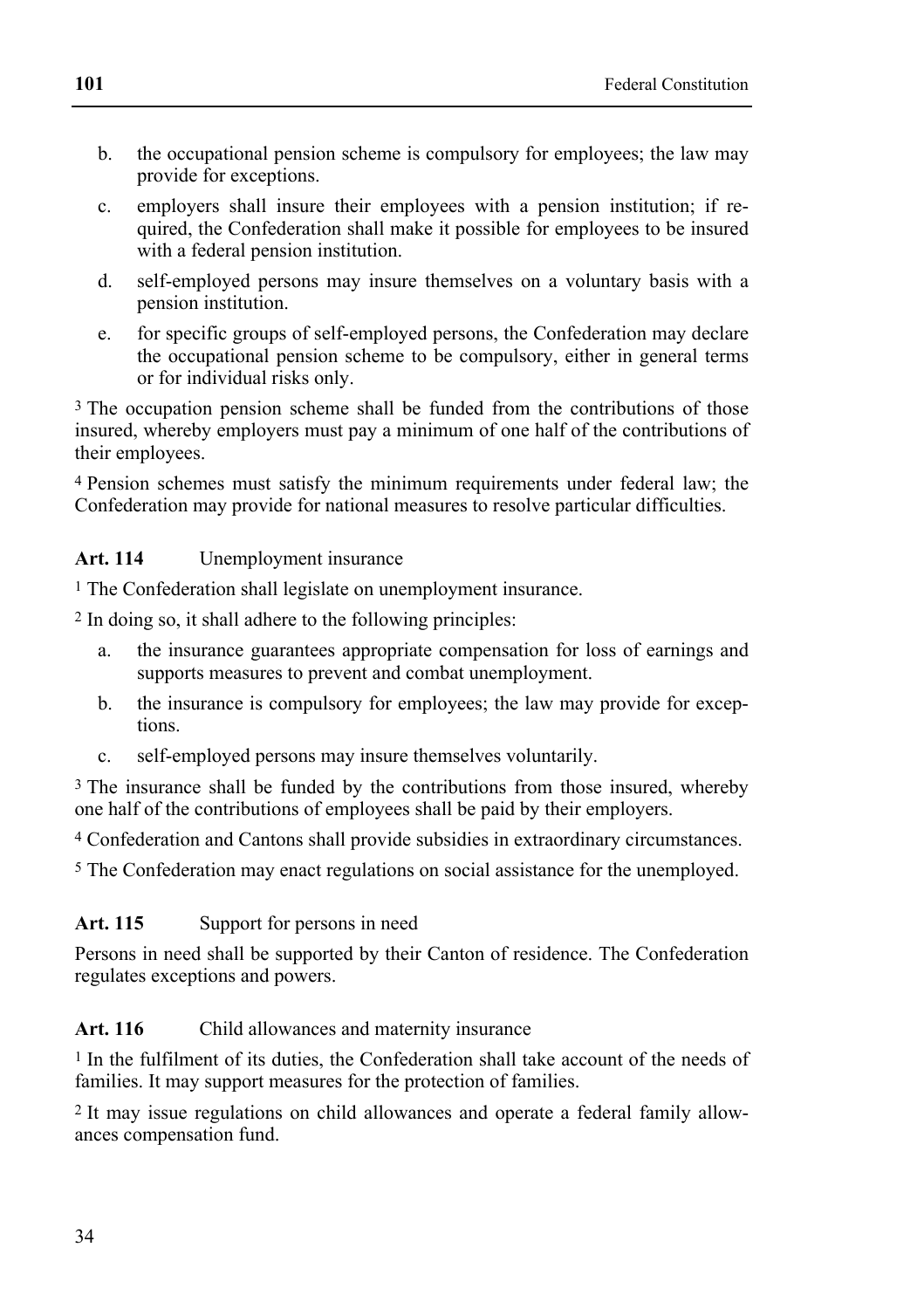- b. the occupational pension scheme is compulsory for employees; the law may provide for exceptions.
- c. employers shall insure their employees with a pension institution; if required, the Confederation shall make it possible for employees to be insured with a federal pension institution.
- d. self-employed persons may insure themselves on a voluntary basis with a pension institution.
- e. for specific groups of self-employed persons, the Confederation may declare the occupational pension scheme to be compulsory, either in general terms or for individual risks only.

<sup>3</sup> The occupation pension scheme shall be funded from the contributions of those insured, whereby employers must pay a minimum of one half of the contributions of their employees.

4 Pension schemes must satisfy the minimum requirements under federal law; the Confederation may provide for national measures to resolve particular difficulties.

# **Art. 114** Unemployment insurance

1 The Confederation shall legislate on unemployment insurance.

2 In doing so, it shall adhere to the following principles:

- a. the insurance guarantees appropriate compensation for loss of earnings and supports measures to prevent and combat unemployment.
- b. the insurance is compulsory for employees; the law may provide for exceptions.
- c. self-employed persons may insure themselves voluntarily.

3 The insurance shall be funded by the contributions from those insured, whereby one half of the contributions of employees shall be paid by their employers.

4 Confederation and Cantons shall provide subsidies in extraordinary circumstances.

5 The Confederation may enact regulations on social assistance for the unemployed.

### Art. 115 Support for persons in need

Persons in need shall be supported by their Canton of residence. The Confederation regulates exceptions and powers.

### Art. 116 Child allowances and maternity insurance

1 In the fulfilment of its duties, the Confederation shall take account of the needs of families. It may support measures for the protection of families.

2 It may issue regulations on child allowances and operate a federal family allowances compensation fund.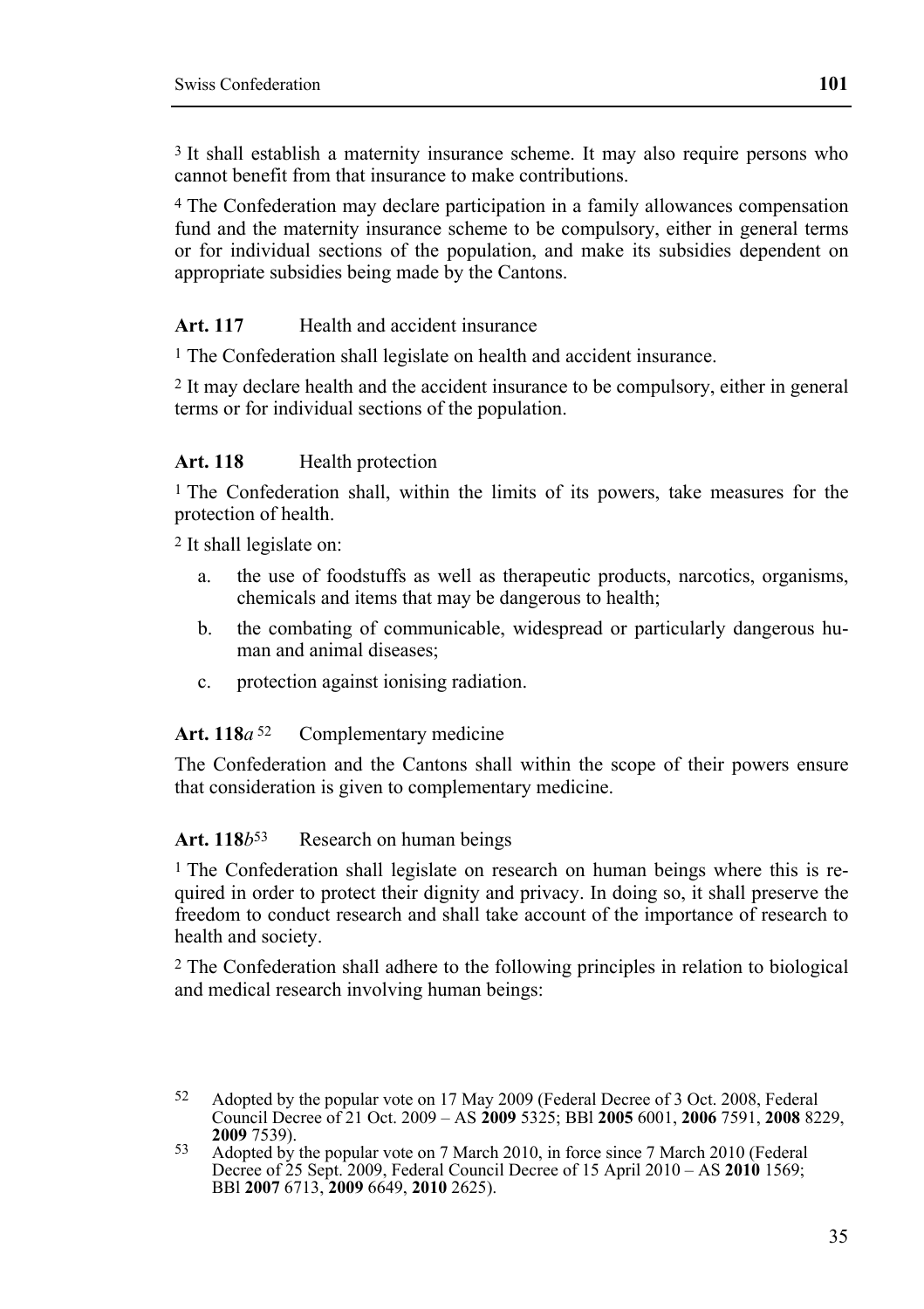3 It shall establish a maternity insurance scheme. It may also require persons who cannot benefit from that insurance to make contributions.

4 The Confederation may declare participation in a family allowances compensation fund and the maternity insurance scheme to be compulsory, either in general terms or for individual sections of the population, and make its subsidies dependent on appropriate subsidies being made by the Cantons.

#### Art. 117 **Health and accident insurance**

<sup>1</sup> The Confederation shall legislate on health and accident insurance.

2 It may declare health and the accident insurance to be compulsory, either in general terms or for individual sections of the population.

#### Art. 118 **Health** protection

<sup>1</sup> The Confederation shall, within the limits of its powers, take measures for the protection of health.

2 It shall legislate on:

- a. the use of foodstuffs as well as therapeutic products, narcotics, organisms, chemicals and items that may be dangerous to health;
- b. the combating of communicable, widespread or particularly dangerous human and animal diseases;
- c. protection against ionising radiation.

#### Art. 118*a*<sup>52</sup> Complementary medicine

The Confederation and the Cantons shall within the scope of their powers ensure that consideration is given to complementary medicine.

#### Art. 118*b*<sup>53</sup> Research on human beings

1 The Confederation shall legislate on research on human beings where this is required in order to protect their dignity and privacy. In doing so, it shall preserve the freedom to conduct research and shall take account of the importance of research to health and society.

2 The Confederation shall adhere to the following principles in relation to biological and medical research involving human beings:

<sup>52</sup> Adopted by the popular vote on 17 May 2009 (Federal Decree of 3 Oct. 2008, Federal Council Decree of 21 Oct. 2009 – AS **2009** 5325; BBl **2005** 6001, **2006** 7591, **2008** 8229, **2009** 7539).<br>53 Adopted by the popular vote on 7 March 2010, in force since 7 March 2010 (Federal

Decree of 25 Sept. 2009, Federal Council Decree of 15 April 2010 – AS **2010** 1569; BBl **2007** 6713, **2009** 6649, **2010** 2625).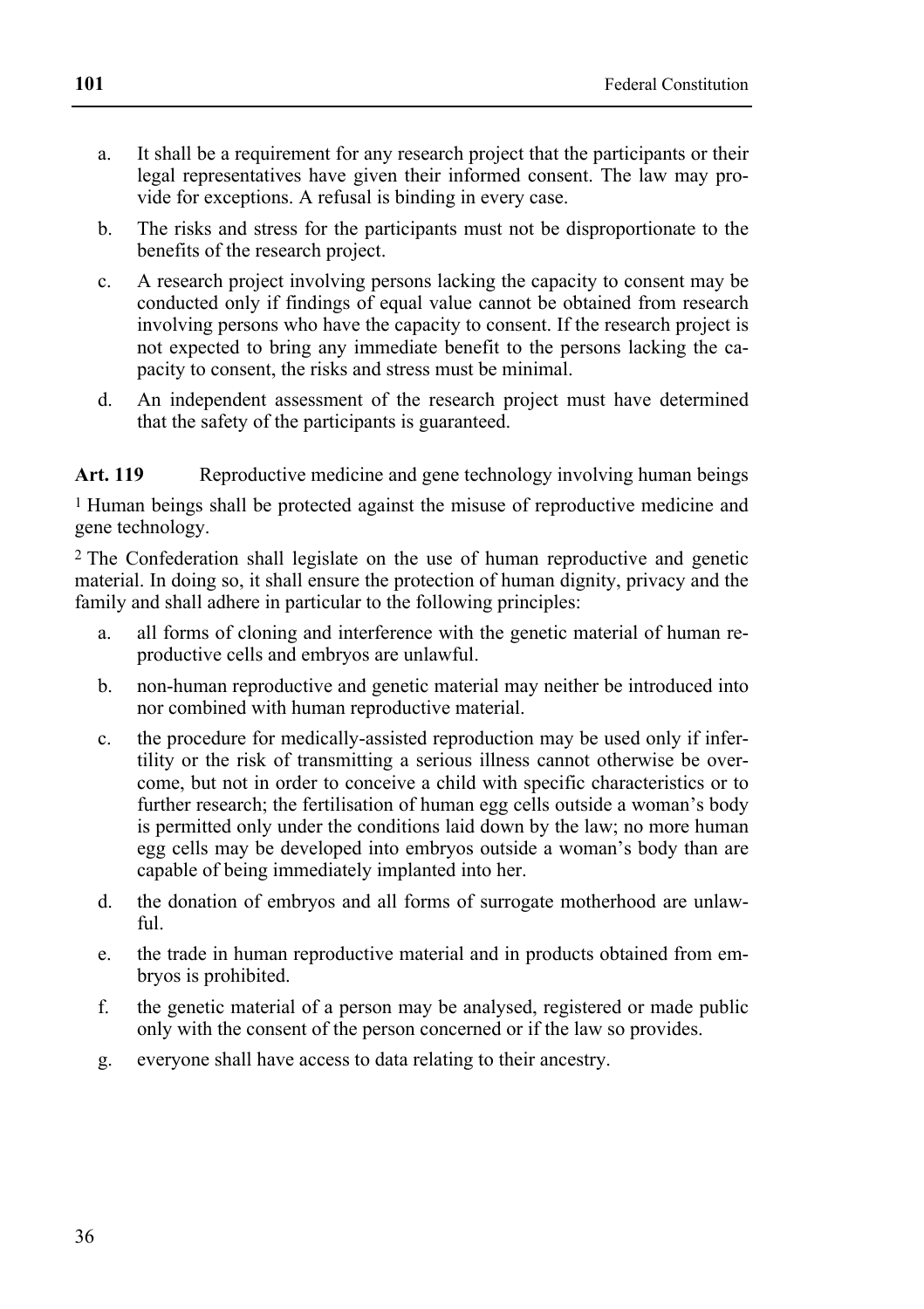- a. It shall be a requirement for any research project that the participants or their legal representatives have given their informed consent. The law may provide for exceptions. A refusal is binding in every case.
- b. The risks and stress for the participants must not be disproportionate to the benefits of the research project.
- c. A research project involving persons lacking the capacity to consent may be conducted only if findings of equal value cannot be obtained from research involving persons who have the capacity to consent. If the research project is not expected to bring any immediate benefit to the persons lacking the capacity to consent, the risks and stress must be minimal.
- d. An independent assessment of the research project must have determined that the safety of the participants is guaranteed.

Art. 119 Reproductive medicine and gene technology involving human beings

1 Human beings shall be protected against the misuse of reproductive medicine and gene technology.

2 The Confederation shall legislate on the use of human reproductive and genetic material. In doing so, it shall ensure the protection of human dignity, privacy and the family and shall adhere in particular to the following principles:

- a. all forms of cloning and interference with the genetic material of human reproductive cells and embryos are unlawful.
- b. non-human reproductive and genetic material may neither be introduced into nor combined with human reproductive material.
- c. the procedure for medically-assisted reproduction may be used only if infertility or the risk of transmitting a serious illness cannot otherwise be overcome, but not in order to conceive a child with specific characteristics or to further research; the fertilisation of human egg cells outside a woman's body is permitted only under the conditions laid down by the law; no more human egg cells may be developed into embryos outside a woman's body than are capable of being immediately implanted into her.
- d. the donation of embryos and all forms of surrogate motherhood are unlawful.
- e. the trade in human reproductive material and in products obtained from embryos is prohibited.
- f. the genetic material of a person may be analysed, registered or made public only with the consent of the person concerned or if the law so provides.
- g. everyone shall have access to data relating to their ancestry.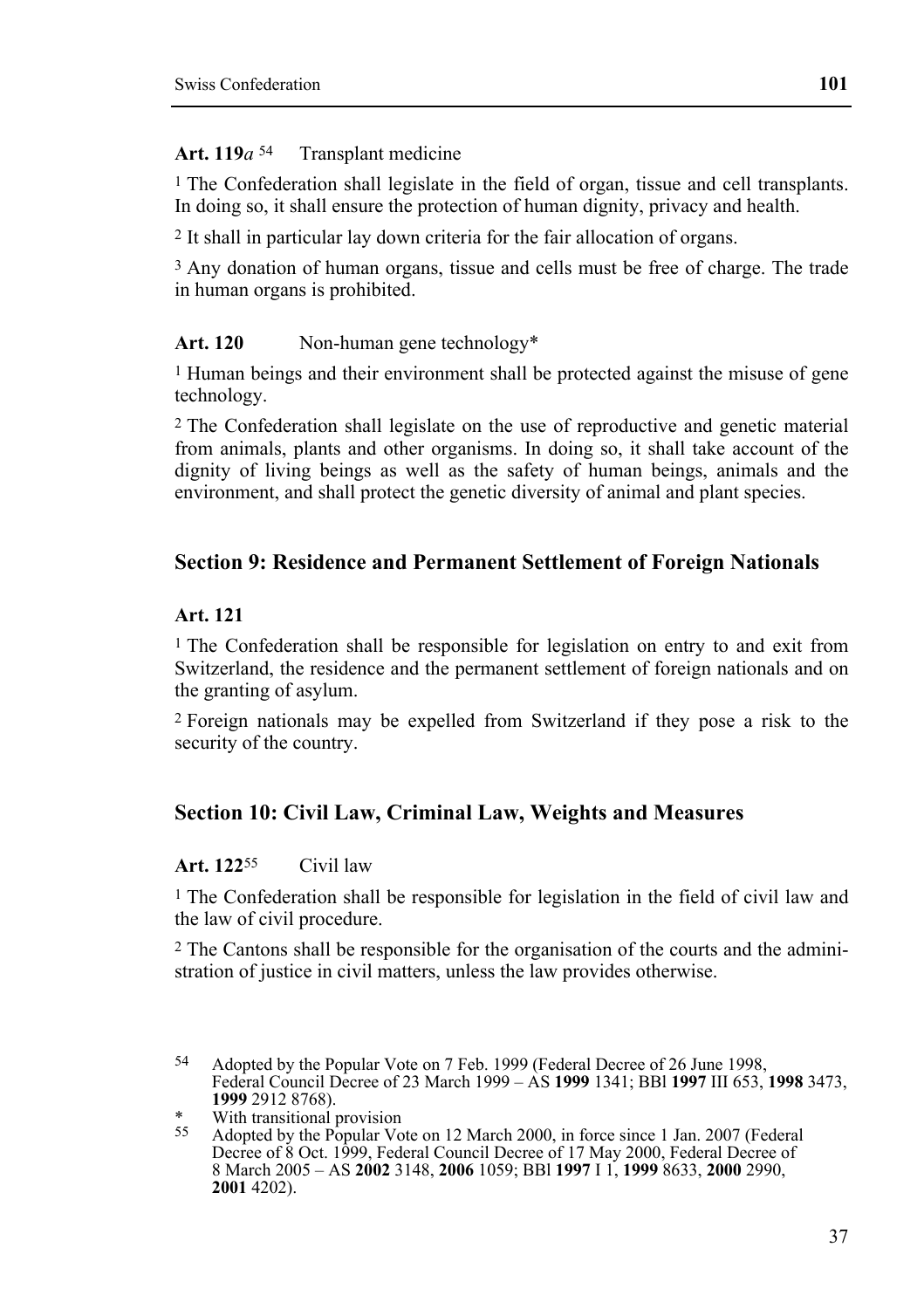#### Art. 119*a*<sup>54</sup> Transplant medicine

1 The Confederation shall legislate in the field of organ, tissue and cell transplants. In doing so, it shall ensure the protection of human dignity, privacy and health.

2 It shall in particular lay down criteria for the fair allocation of organs.

<sup>3</sup> Any donation of human organs, tissue and cells must be free of charge. The trade in human organs is prohibited.

#### Art. 120 Non-human gene technology\*

1 Human beings and their environment shall be protected against the misuse of gene technology.

2 The Confederation shall legislate on the use of reproductive and genetic material from animals, plants and other organisms. In doing so, it shall take account of the dignity of living beings as well as the safety of human beings, animals and the environment, and shall protect the genetic diversity of animal and plant species.

#### **Section 9: Residence and Permanent Settlement of Foreign Nationals**

#### **Art. 121**

1 The Confederation shall be responsible for legislation on entry to and exit from Switzerland, the residence and the permanent settlement of foreign nationals and on the granting of asylum.

2 Foreign nationals may be expelled from Switzerland if they pose a risk to the security of the country.

# **Section 10: Civil Law, Criminal Law, Weights and Measures**

#### **Art. 122**55 Civil law

1 The Confederation shall be responsible for legislation in the field of civil law and the law of civil procedure.

2 The Cantons shall be responsible for the organisation of the courts and the administration of justice in civil matters, unless the law provides otherwise.

<sup>54</sup> 54 Adopted by the Popular Vote on 7 Feb. 1999 (Federal Decree of 26 June 1998, Federal Council Decree of 23 March 1999 – AS **1999** 1341; BBl **1997** III 653, **1998** 3473, **1999** 2912 8768).

<sup>\*</sup> With transitional provision

Adopted by the Popular Vote on 12 March 2000, in force since 1 Jan. 2007 (Federal Decree of 8 Oct. 1999, Federal Council Decree of 17 May 2000, Federal Decree of 8 March 2005 – AS **2002** 3148, **2006** 1059; BBl **1997** I 1, **1999** 8633, **2000** 2990, **2001** 4202).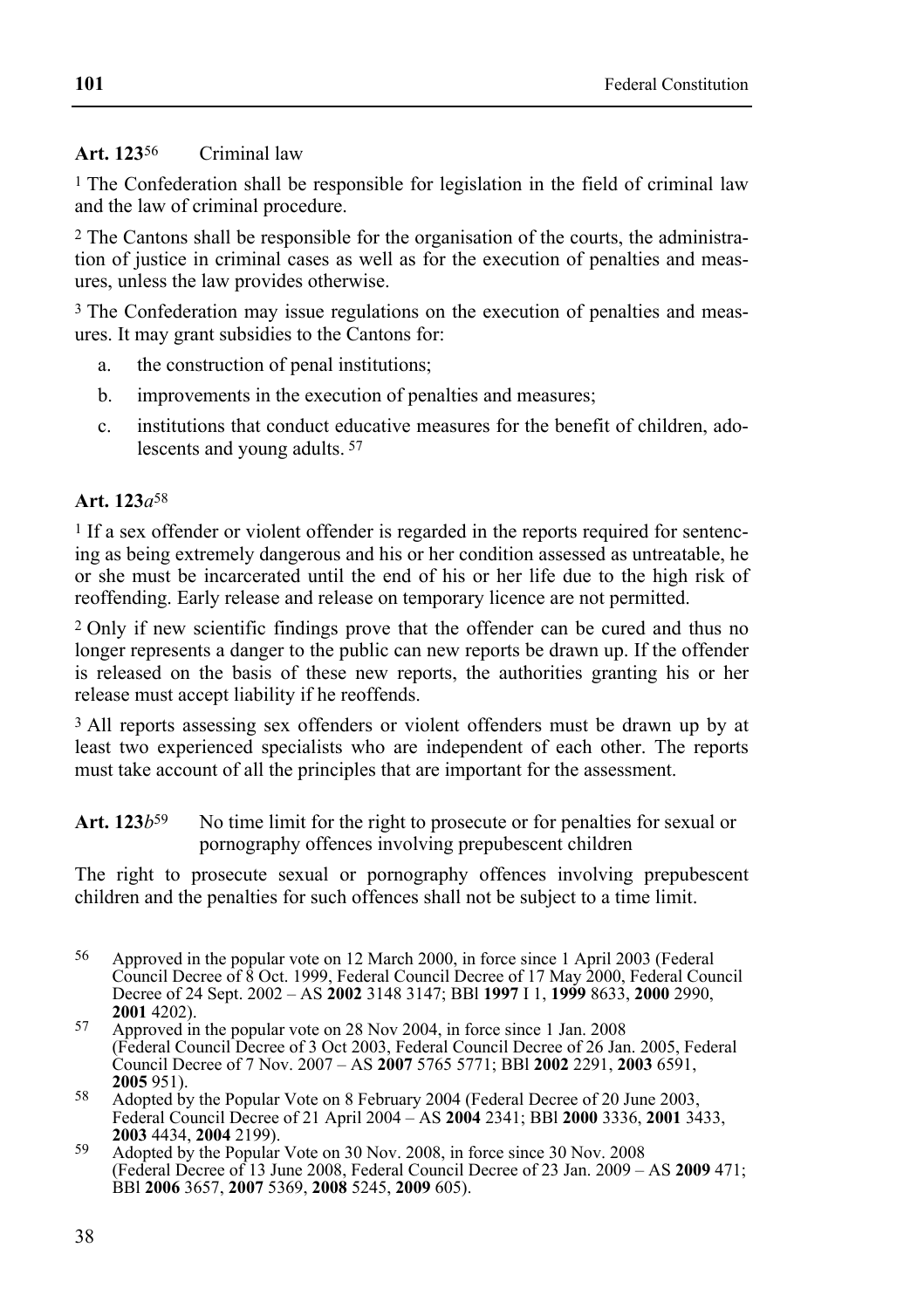### **Art. 123**56 Criminal law

1 The Confederation shall be responsible for legislation in the field of criminal law and the law of criminal procedure.

2 The Cantons shall be responsible for the organisation of the courts, the administration of justice in criminal cases as well as for the execution of penalties and measures, unless the law provides otherwise.

<sup>3</sup> The Confederation may issue regulations on the execution of penalties and measures. It may grant subsidies to the Cantons for:

- a. the construction of penal institutions;
- b. improvements in the execution of penalties and measures;
- c. institutions that conduct educative measures for the benefit of children, adolescents and young adults. 57

#### **Art. 123***a*58

<sup>1</sup> If a sex offender or violent offender is regarded in the reports required for sentencing as being extremely dangerous and his or her condition assessed as untreatable, he or she must be incarcerated until the end of his or her life due to the high risk of reoffending. Early release and release on temporary licence are not permitted.

2 Only if new scientific findings prove that the offender can be cured and thus no longer represents a danger to the public can new reports be drawn up. If the offender is released on the basis of these new reports, the authorities granting his or her release must accept liability if he reoffends.

3 All reports assessing sex offenders or violent offenders must be drawn up by at least two experienced specialists who are independent of each other. The reports must take account of all the principles that are important for the assessment.

Art. 123*b*<sup>59</sup> No time limit for the right to prosecute or for penalties for sexual or pornography offences involving prepubescent children

The right to prosecute sexual or pornography offences involving prepubescent children and the penalties for such offences shall not be subject to a time limit.

<sup>56</sup> Approved in the popular vote on 12 March 2000, in force since 1 April 2003 (Federal Council Decree of 8 Oct. 1999, Federal Council Decree of 17 May 2000, Federal Council Decree of 24 Sept. 2002 – AS **2002** 3148 3147; BBl **1997** I 1, **1999** 8633, **2000** 2990,

<sup>&</sup>lt;sup>57</sup> Approved in the popular vote on 28 Nov 2004, in force since 1 Jan. 2008 (Federal Council Decree of 3 Oct 2003, Federal Council Decree of 26 Jan. 2005, Federal Council Decree of 7 Nov. 2007 – AS **2007** 5765 5771; BBl **2002** 2291, **2003** 6591,

**<sup>2005</sup>** 951). **2005** 951). **58** Adopted by the Popular Vote on 8 February 2004 (Federal Decree of 20 June 2003, Federal Council Decree of 21 April 2004 – AS **2004** 2341; BBI **2000** 3336, **2001** 3433, **2003** 4434, **2004** 2199). **<sup>2003</sup>** 4434, **2004** 2199). 59 Adopted by the Popular Vote on 30 Nov. 2008, in force since 30 Nov. 2008

<sup>(</sup>Federal Decree of 13 June 2008, Federal Council Decree of 23 Jan. 2009 – AS **2009** 471; BBl **2006** 3657, **2007** 5369, **2008** 5245, **2009** 605).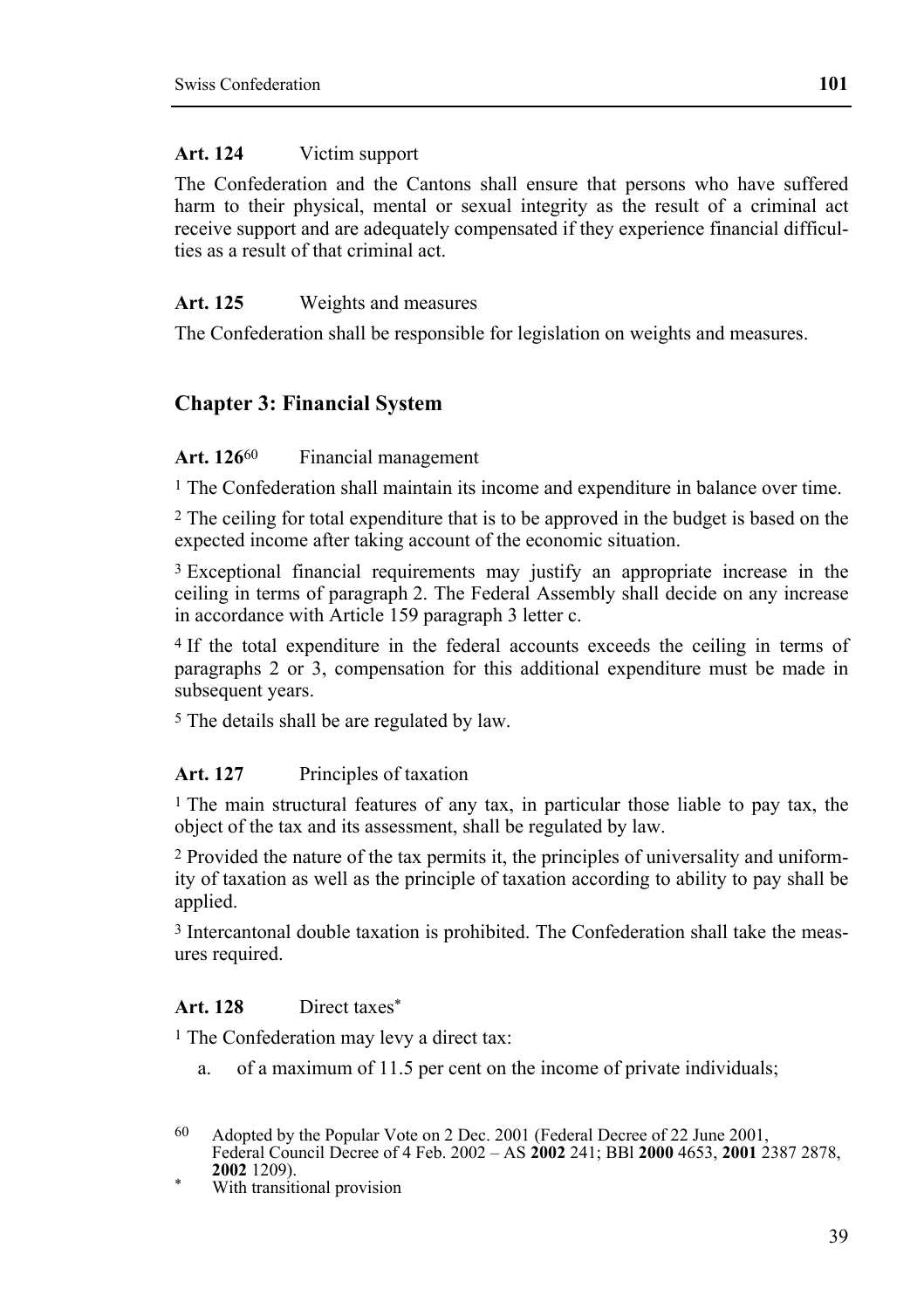#### **Art. 124** Victim support

The Confederation and the Cantons shall ensure that persons who have suffered harm to their physical, mental or sexual integrity as the result of a criminal act receive support and are adequately compensated if they experience financial difficulties as a result of that criminal act.

### **Art. 125** Weights and measures

The Confederation shall be responsible for legislation on weights and measures.

# **Chapter 3: Financial System**

#### Art. 126<sup>60</sup> Financial management

<sup>1</sup> The Confederation shall maintain its income and expenditure in balance over time.

2 The ceiling for total expenditure that is to be approved in the budget is based on the expected income after taking account of the economic situation.

3 Exceptional financial requirements may justify an appropriate increase in the ceiling in terms of paragraph 2. The Federal Assembly shall decide on any increase in accordance with Article 159 paragraph 3 letter c.

4 If the total expenditure in the federal accounts exceeds the ceiling in terms of paragraphs 2 or 3, compensation for this additional expenditure must be made in subsequent years.

5 The details shall be are regulated by law.

#### **Art. 127** Principles of taxation

1 The main structural features of any tax, in particular those liable to pay tax, the object of the tax and its assessment, shall be regulated by law.

2 Provided the nature of the tax permits it, the principles of universality and uniformity of taxation as well as the principle of taxation according to ability to pay shall be applied.

3 Intercantonal double taxation is prohibited. The Confederation shall take the measures required.

#### **Art. 128** Direct taxes\*

<sup>1</sup> The Confederation may levy a direct tax:

a. of a maximum of 11.5 per cent on the income of private individuals;

With transitional provision

<sup>60</sup> 60 Adopted by the Popular Vote on 2 Dec. 2001 (Federal Decree of 22 June 2001, Federal Council Decree of 4 Feb. 2002 – AS **2002** 241; BBl **2000** 4653, **2001** 2387 2878,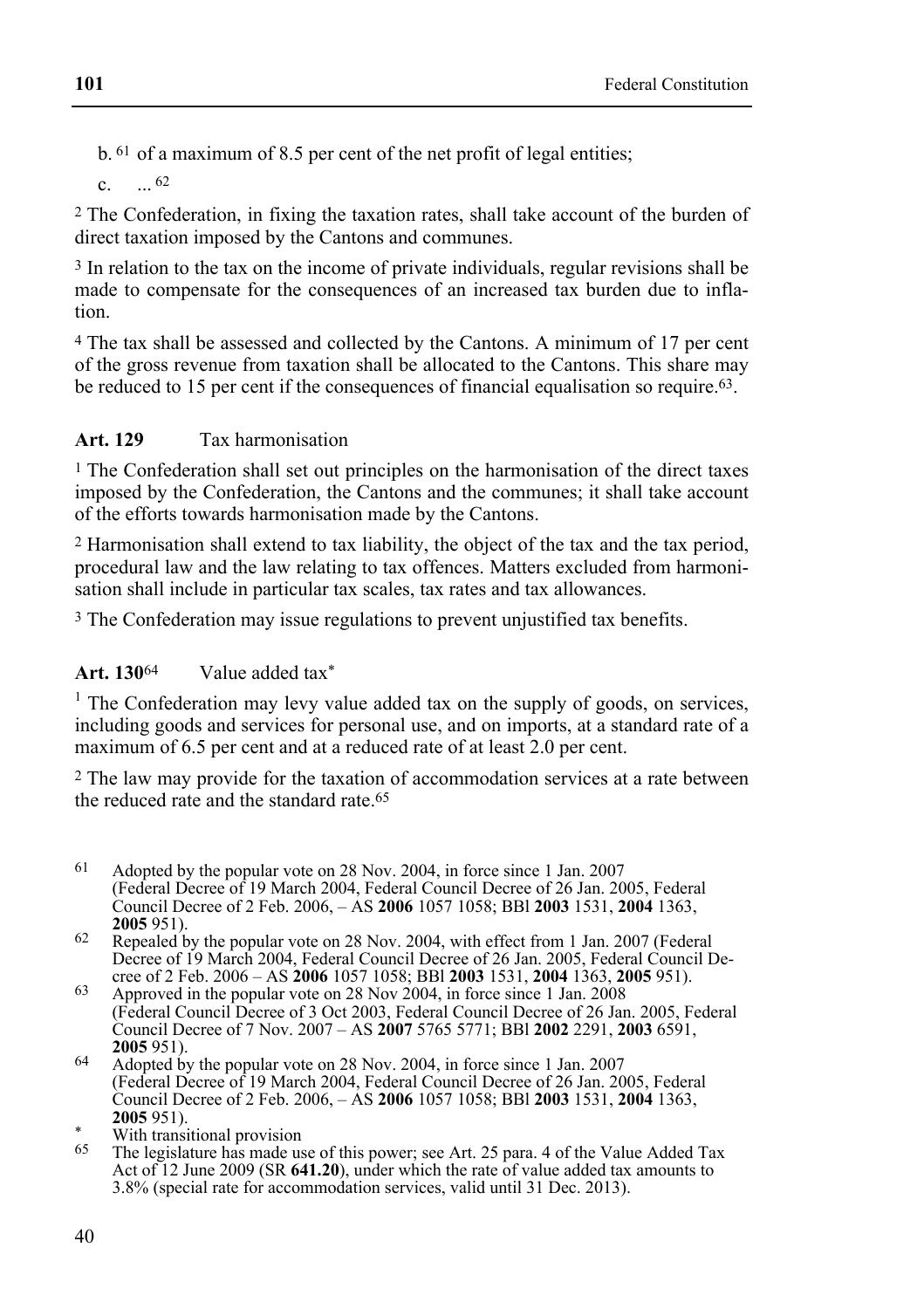b. 61 of a maximum of 8.5 per cent of the net profit of legal entities;

 $c. 62$ 

2 The Confederation, in fixing the taxation rates, shall take account of the burden of direct taxation imposed by the Cantons and communes.

3 In relation to the tax on the income of private individuals, regular revisions shall be made to compensate for the consequences of an increased tax burden due to inflation.

4 The tax shall be assessed and collected by the Cantons. A minimum of 17 per cent of the gross revenue from taxation shall be allocated to the Cantons. This share may be reduced to 15 per cent if the consequences of financial equalisation so require.<sup>63</sup>.

# **Art. 129** Tax harmonisation

1 The Confederation shall set out principles on the harmonisation of the direct taxes imposed by the Confederation, the Cantons and the communes; it shall take account of the efforts towards harmonisation made by the Cantons.

2 Harmonisation shall extend to tax liability, the object of the tax and the tax period, procedural law and the law relating to tax offences. Matters excluded from harmonisation shall include in particular tax scales, tax rates and tax allowances.

3 The Confederation may issue regulations to prevent unjustified tax benefits.

# **Art. 130**64 Value added tax\*

1 The Confederation may levy value added tax on the supply of goods, on services, including goods and services for personal use, and on imports, at a standard rate of a maximum of 6.5 per cent and at a reduced rate of at least 2.0 per cent.

2 The law may provide for the taxation of accommodation services at a rate between the reduced rate and the standard rate 65

- 61 61 Adopted by the popular vote on 28 Nov. 2004, in force since 1 Jan. 2007 (Federal Decree of 19 March 2004, Federal Council Decree of 26 Jan. 2005, Federal Council Decree of 2 Feb. 2006, – AS **2006** 1057 1058; BBl **2003** 1531, **2004** 1363,
- **<sup>2005</sup>** 951). 62 Repealed by the popular vote on 28 Nov. 2004, with effect from 1 Jan. 2007 (Federal Decree of 19 March 2004, Federal Council Decree of 26 Jan. 2005, Federal Council Decree of 2 Feb. 2006 – AS 2006 1057 1058; BBI 2003 1531, 2004 1363, 2005 951).
- cree of 2 Feb. 2006 AS **2006** 1057 1058; BBl **2003** 1531, **2004** 1363, **2005** 951). 63 Approved in the popular vote on 28 Nov 2004, in force since 1 Jan. 2008 (Federal Council Decree of 3 Oct 2003, Federal Council Decree of 26 Jan. 2005, Federal Council Decree of 7 Nov. 2007 – AS **2007** 5765 5771; BBl **2002** 2291, **2003** 6591,
- **<sup>2005</sup>**951). 64 Adopted by the popular vote on 28 Nov. 2004, in force since 1 Jan. 2007 (Federal Decree of 19 March 2004, Federal Council Decree of 26 Jan. 2005, Federal Council Decree of 2 Feb. 2006, – AS **2006** 1057 1058; BBl **2003** 1531, **2004** 1363,
- <sup>2005</sup> 851).<br>With transitional provision
- The legislature has made use of this power; see Art. 25 para. 4 of the Value Added Tax Act of 12 June 2009 (SR 641.20), under which the rate of value added tax amounts to 3.8% (special rate for accommodation services, valid until 31 Dec. 2013).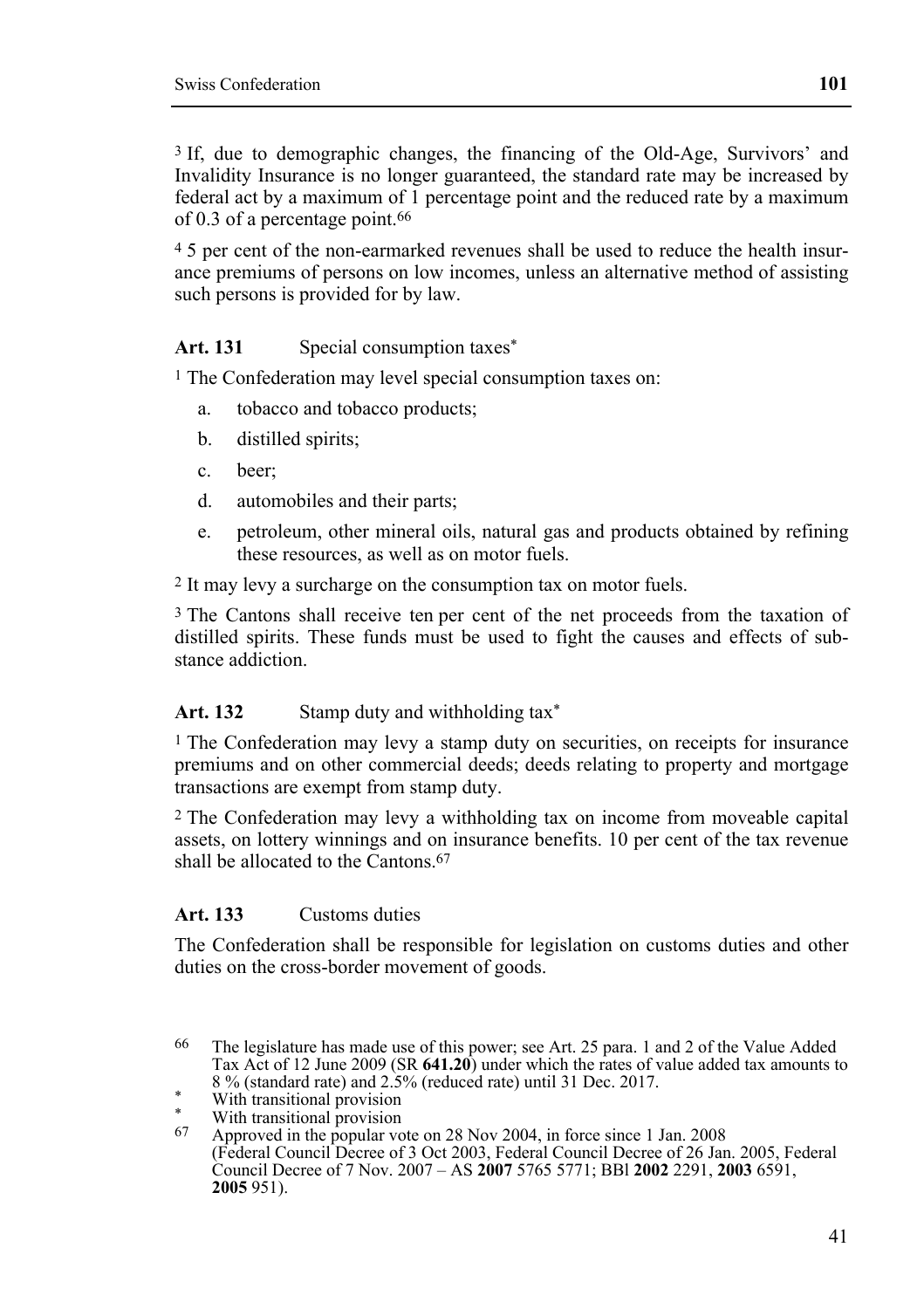3 If, due to demographic changes, the financing of the Old-Age, Survivors' and Invalidity Insurance is no longer guaranteed, the standard rate may be increased by federal act by a maximum of 1 percentage point and the reduced rate by a maximum of 0.3 of a percentage point.66

4 5 per cent of the non-earmarked revenues shall be used to reduce the health insurance premiums of persons on low incomes, unless an alternative method of assisting such persons is provided for by law.

#### Art. 131 Special consumption taxes<sup>\*</sup>

1 The Confederation may level special consumption taxes on:

- a. tobacco and tobacco products;
- b. distilled spirits;
- c. beer;
- d. automobiles and their parts;
- e. petroleum, other mineral oils, natural gas and products obtained by refining these resources, as well as on motor fuels.

2 It may levy a surcharge on the consumption tax on motor fuels.

3 The Cantons shall receive ten per cent of the net proceeds from the taxation of distilled spirits. These funds must be used to fight the causes and effects of substance addiction.

#### Art. 132 Stamp duty and withholding tax<sup>\*</sup>

1 The Confederation may levy a stamp duty on securities, on receipts for insurance premiums and on other commercial deeds; deeds relating to property and mortgage transactions are exempt from stamp duty.

2 The Confederation may levy a withholding tax on income from moveable capital assets, on lottery winnings and on insurance benefits. 10 per cent of the tax revenue shall be allocated to the Cantons. $67$ 

## **Art. 133** Customs duties

The Confederation shall be responsible for legislation on customs duties and other duties on the cross-border movement of goods.

<sup>66</sup> The legislature has made use of this power; see Art. 25 para. 1 and 2 of the Value Added Tax Act of 12 June 2009 (SR **641.20**) under which the rates of value added tax amounts to 8 % (standard rate) and 2.5% (reduced rate) until 31 Dec. 2017. With transitional provision

<sup>\*</sup> With transitional provision

<sup>67</sup> Approved in the popular vote on 28 Nov 2004, in force since 1 Jan. 2008 (Federal Council Decree of 3 Oct 2003, Federal Council Decree of 26 Jan. 2005, Federal Council Decree of 7 Nov. 2007 – AS **2007** 5765 5771; BBl **2002** 2291, **2003** 6591, **2005** 951).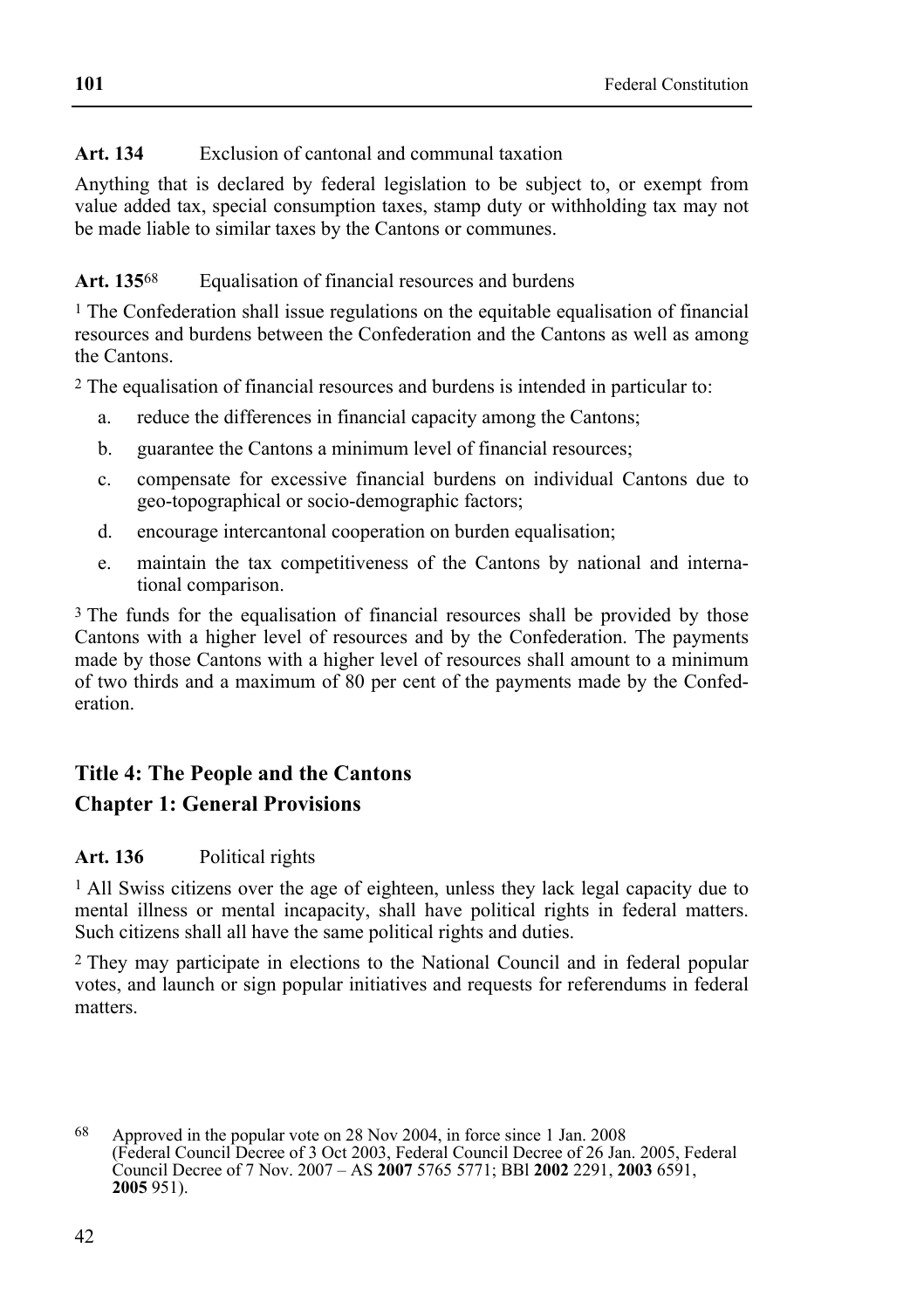# **Art. 134** Exclusion of cantonal and communal taxation

Anything that is declared by federal legislation to be subject to, or exempt from value added tax, special consumption taxes, stamp duty or withholding tax may not be made liable to similar taxes by the Cantons or communes.

### Art. 135<sup>68</sup> Equalisation of financial resources and burdens

1 The Confederation shall issue regulations on the equitable equalisation of financial resources and burdens between the Confederation and the Cantons as well as among the Cantons.

2 The equalisation of financial resources and burdens is intended in particular to:

- a. reduce the differences in financial capacity among the Cantons;
- b. guarantee the Cantons a minimum level of financial resources;
- c. compensate for excessive financial burdens on individual Cantons due to geo-topographical or socio-demographic factors;
- d. encourage intercantonal cooperation on burden equalisation;
- e. maintain the tax competitiveness of the Cantons by national and international comparison.

<sup>3</sup> The funds for the equalisation of financial resources shall be provided by those Cantons with a higher level of resources and by the Confederation. The payments made by those Cantons with a higher level of resources shall amount to a minimum of two thirds and a maximum of 80 per cent of the payments made by the Confederation.

# **Title 4: The People and the Cantons**

# **Chapter 1: General Provisions**

# **Art. 136** Political rights

1 All Swiss citizens over the age of eighteen, unless they lack legal capacity due to mental illness or mental incapacity, shall have political rights in federal matters. Such citizens shall all have the same political rights and duties.

2 They may participate in elections to the National Council and in federal popular votes, and launch or sign popular initiatives and requests for referendums in federal matters.

<sup>68</sup> 68 Approved in the popular vote on 28 Nov 2004, in force since 1 Jan. 2008 (Federal Council Decree of 3 Oct 2003, Federal Council Decree of 26 Jan. 2005, Federal Council Decree of 7 Nov. 2007 – AS **2007** 5765 5771; BBl **2002** 2291, **2003** 6591, **2005** 951).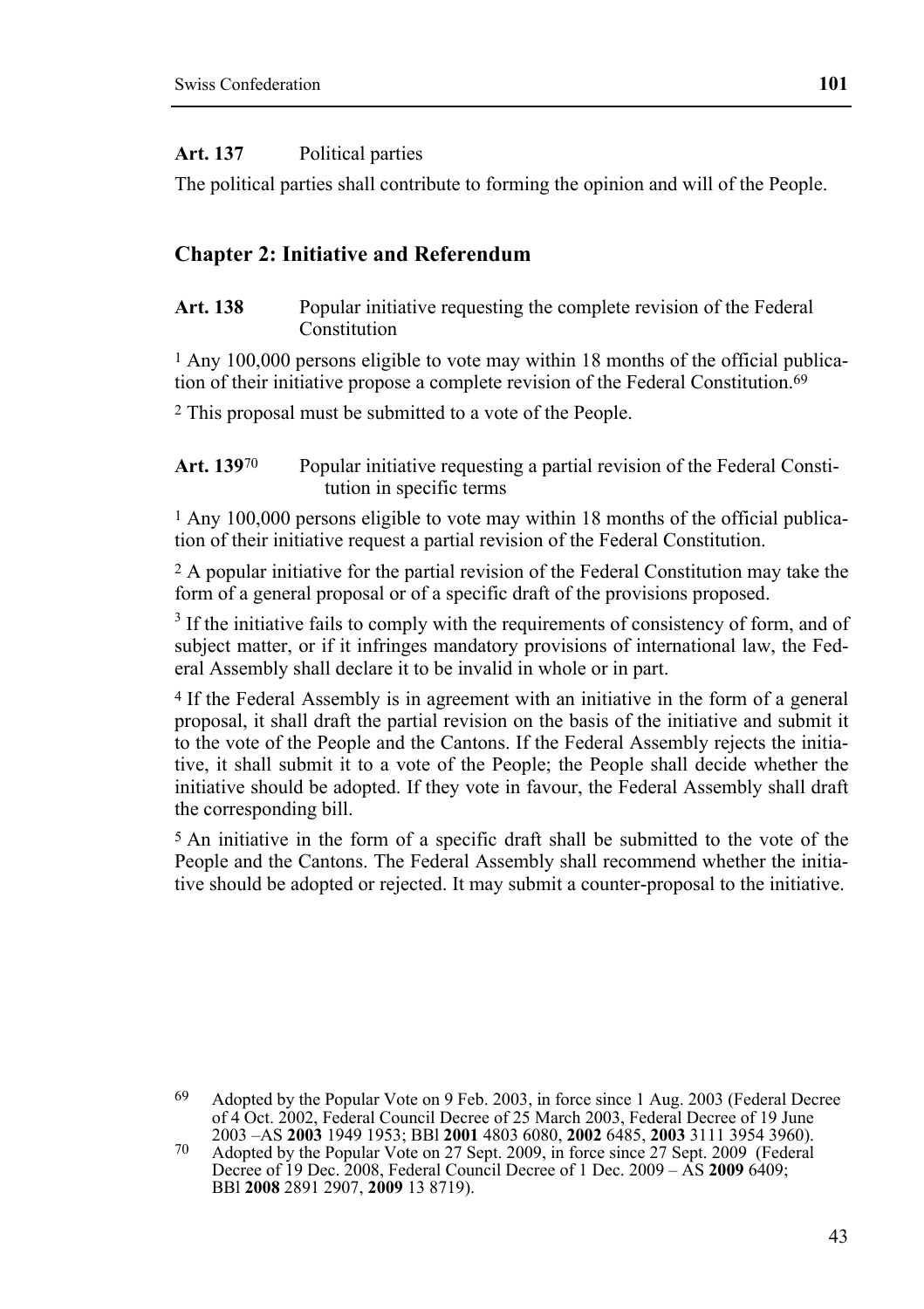#### **Art. 137** Political parties

The political parties shall contribute to forming the opinion and will of the People.

#### **Chapter 2: Initiative and Referendum**

Art. 138 Popular initiative requesting the complete revision of the Federal Constitution

1 Any 100,000 persons eligible to vote may within 18 months of the official publication of their initiative propose a complete revision of the Federal Constitution.69

2 This proposal must be submitted to a vote of the People.

**Art. 139**70 Popular initiative requesting a partial revision of the Federal Constitution in specific terms

1 Any 100,000 persons eligible to vote may within 18 months of the official publication of their initiative request a partial revision of the Federal Constitution.

2 A popular initiative for the partial revision of the Federal Constitution may take the form of a general proposal or of a specific draft of the provisions proposed.

 $3$  If the initiative fails to comply with the requirements of consistency of form, and of subject matter, or if it infringes mandatory provisions of international law, the Federal Assembly shall declare it to be invalid in whole or in part.

4 If the Federal Assembly is in agreement with an initiative in the form of a general proposal, it shall draft the partial revision on the basis of the initiative and submit it to the vote of the People and the Cantons. If the Federal Assembly rejects the initiative, it shall submit it to a vote of the People; the People shall decide whether the initiative should be adopted. If they vote in favour, the Federal Assembly shall draft the corresponding bill.

5 An initiative in the form of a specific draft shall be submitted to the vote of the People and the Cantons. The Federal Assembly shall recommend whether the initiative should be adopted or rejected. It may submit a counter-proposal to the initiative.

69 Adopted by the Popular Vote on 9 Feb. 2003, in force since 1 Aug. 2003 (Federal Decree of 4 Oct. 2002, Federal Council Decree of 25 March 2003, Federal Decree of 19 June

<sup>2003 –</sup>AS **2003** 1949 1953; BBl **2001** 4803 6080, **2002** 6485, **2003** 3111 3954 3960). 70 Adopted by the Popular Vote on 27 Sept. 2009, in force since 27 Sept. 2009 (Federal Decree of 19 Dec. 2008, Federal Council Decree of 1 Dec. 2009 – AS **2009** 6409; BBl **2008** 2891 2907, **2009** 13 8719).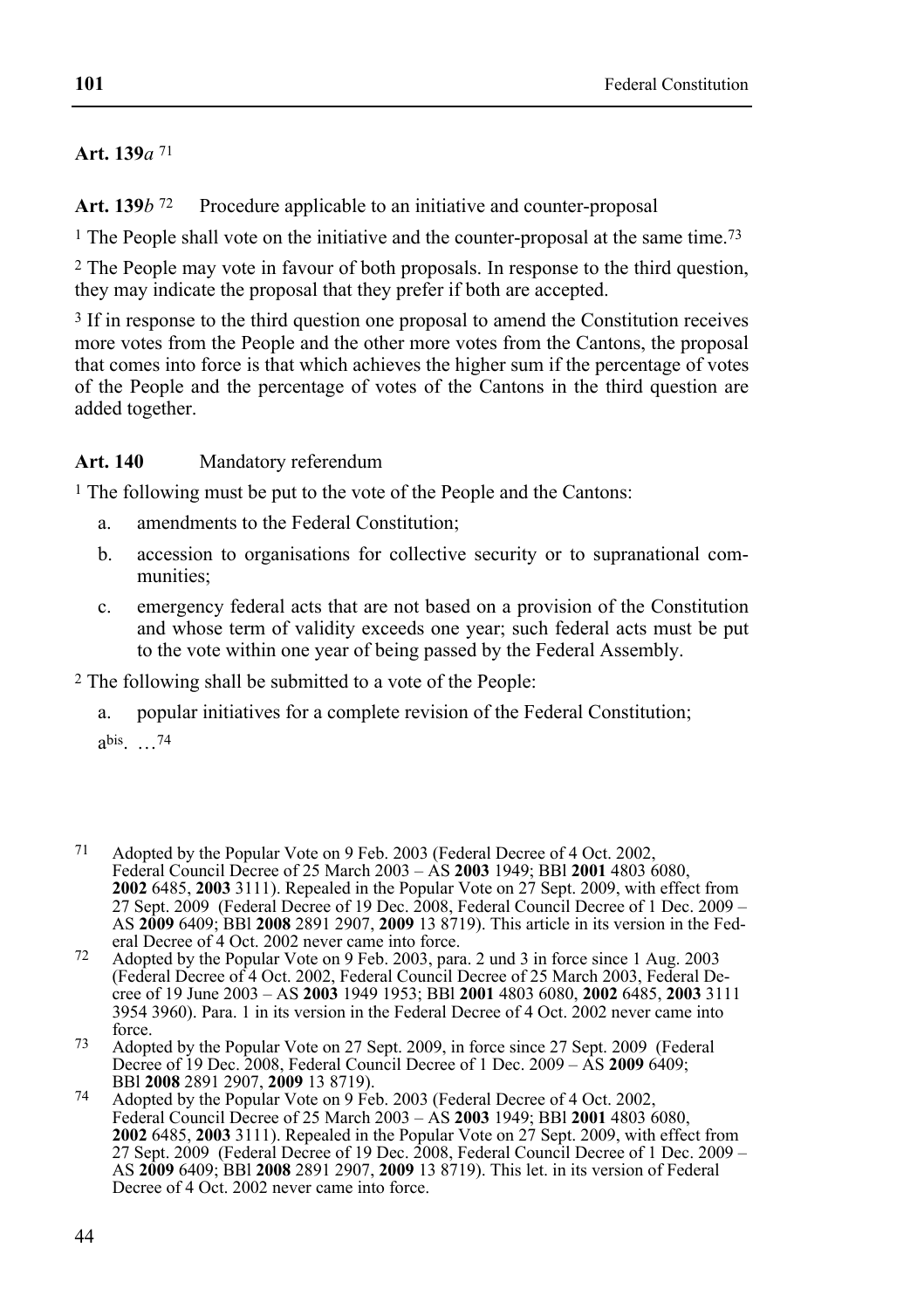# **Art. 139***a* 71

Art. 139*b* <sup>72</sup> Procedure applicable to an initiative and counter-proposal

<sup>1</sup> The People shall vote on the initiative and the counter-proposal at the same time.<sup>73</sup>

2 The People may vote in favour of both proposals. In response to the third question, they may indicate the proposal that they prefer if both are accepted.

<sup>3</sup> If in response to the third question one proposal to amend the Constitution receives more votes from the People and the other more votes from the Cantons, the proposal that comes into force is that which achieves the higher sum if the percentage of votes of the People and the percentage of votes of the Cantons in the third question are added together.

# **Art. 140** Mandatory referendum

1 The following must be put to the vote of the People and the Cantons:

- a. amendments to the Federal Constitution;
- b. accession to organisations for collective security or to supranational communities;
- c. emergency federal acts that are not based on a provision of the Constitution and whose term of validity exceeds one year; such federal acts must be put to the vote within one year of being passed by the Federal Assembly.

2 The following shall be submitted to a vote of the People:

a. popular initiatives for a complete revision of the Federal Constitution;

abis. …74

- 71 Adopted by the Popular Vote on 9 Feb. 2003 (Federal Decree of 4 Oct. 2002, Federal Council Decree of 25 March 2003 – AS **2003** 1949; BBl **2001** 4803 6080, **2002** 6485, **2003** 3111). Repealed in the Popular Vote on 27 Sept. 2009, with effect from 27 Sept. 2009 (Federal Decree of 19 Dec. 2008, Federal Council Decree of 1 Dec. 2009 – AS **2009** 6409; BBl **2008** 2891 2907, **2009** 13 8719). This article in its version in the Fed-
- eral Decree of 4 Oct. 2002 never came into force.<br>
72 Adopted by the Popular Vote on 9 Feb. 2003, para. 2 und 3 in force since 1 Aug. 2003 (Federal Decree of 4 Oct. 2002, Federal Council Decree of 25 March 2003, Federal Decree of 19 June 2003 – AS **2003** 1949 1953; BBl **2001** 4803 6080, **2002** 6485, **2003** 3111 3954 3960). Para. 1 in its version in the Federal Decree of 4 Oct. 2002 never came into
- force.<br> *T*3 Adopted by the Popular Vote on 27 Sept. 2009, in force since 27 Sept. 2009 (Federal Decree of 19 Dec. 2008, Federal Council Decree of 1 Dec. 2009 – AS **2009** 6409;
- BBl **2008** 2891 2907, **2009** 13 8719). 74 Adopted by the Popular Vote on 9 Feb. 2003 (Federal Decree of 4 Oct. 2002, Federal Council Decree of 25 March 2003 – AS **2003** 1949; BBl **2001** 4803 6080, **2002** 6485, **2003** 3111). Repealed in the Popular Vote on 27 Sept. 2009, with effect from 27 Sept. 2009 (Federal Decree of 19 Dec. 2008, Federal Council Decree of 1 Dec. 2009 – AS **2009** 6409; BBl **2008** 2891 2907, **2009** 13 8719). This let. in its version of Federal Decree of 4 Oct. 2002 never came into force.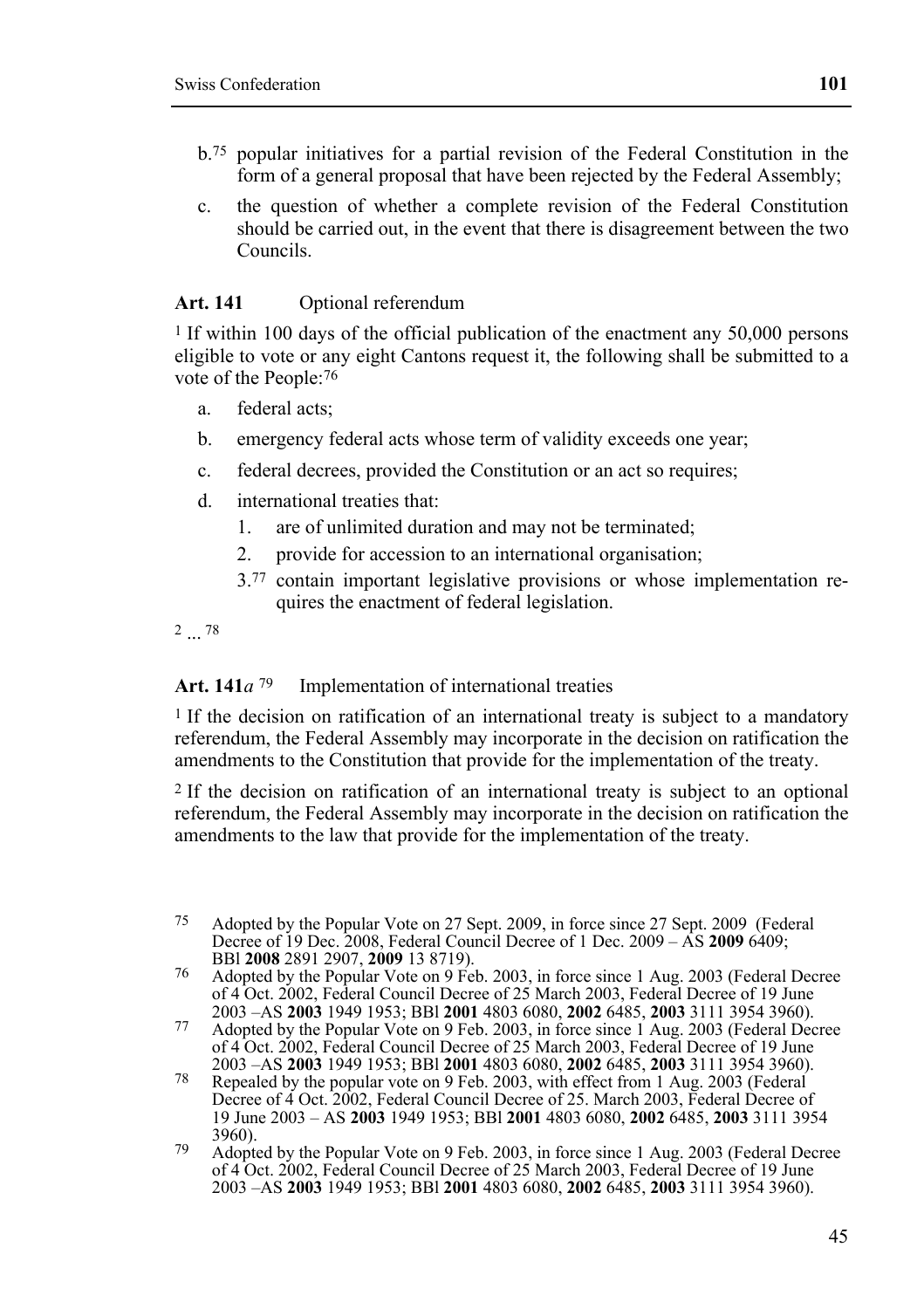- b.75 popular initiatives for a partial revision of the Federal Constitution in the form of a general proposal that have been rejected by the Federal Assembly;
- c. the question of whether a complete revision of the Federal Constitution should be carried out, in the event that there is disagreement between the two Councils.

#### **Art. 141** Optional referendum

 $1$  If within 100 days of the official publication of the enactment any 50,000 persons eligible to vote or any eight Cantons request it, the following shall be submitted to a vote of the People:76

- a. federal acts;
- b. emergency federal acts whose term of validity exceeds one year;
- c. federal decrees, provided the Constitution or an act so requires;
- d. international treaties that:
	- 1. are of unlimited duration and may not be terminated;
	- 2. provide for accession to an international organisation;
	- 3.77 contain important legislative provisions or whose implementation requires the enactment of federal legislation.

2 ... 78

#### Art. 141*a*<sup>79</sup> Implementation of international treaties

<sup>1</sup> If the decision on ratification of an international treaty is subject to a mandatory referendum, the Federal Assembly may incorporate in the decision on ratification the amendments to the Constitution that provide for the implementation of the treaty.

2 If the decision on ratification of an international treaty is subject to an optional referendum, the Federal Assembly may incorporate in the decision on ratification the amendments to the law that provide for the implementation of the treaty.

<sup>75</sup> Adopted by the Popular Vote on 27 Sept. 2009, in force since 27 Sept. 2009 (Federal Decree of 19 Dec. 2008, Federal Council Decree of 1 Dec. 2009 – AS **2009** 6409;

<sup>&</sup>lt;sup>76</sup> Adopted by the Popular Vote on 9 Feb. 2003, in force since 1 Aug. 2003 (Federal Decree For 4 Oct. 2002, Federal Council Decree of 25 March 2003, Federal Decree of 19 June<br>2003 – AS 2003 1949 1953; BBI 2001 4803 6080, 2002 6485, 2003 3111 3954 3960).

<sup>2003 –</sup> AS 2003 1949 1953; BBI 2001 4803 6080, 2002 6485, 2003 3111 3954 3960).<br>Adopted by the Popular Vote on 9 Feb. 2003, in force since 1 Aug. 2003 (Federal Decree of 4 Oct. 2002, Federal Council Decree of 25 March 2003,

<sup>2003 –</sup>AS **2003** 1949 1953; BBl **2001** 4803 6080, **2002** 6485, **2003** 3111 3954 3960). 78 Repealed by the popular vote on 9 Feb. 2003, with effect from 1 Aug. 2003 (Federal Decree of 4 Oct. 2002, Federal Council Decree of 25. March 2003, Federal Decree of 19 June 2003 – AS **2003** 1949 1953; BBl **2001** 4803 6080, **2002** 6485, **2003** 3111 3954 3960).<br><sup>79</sup> Adopted by the Popular Vote on 9 Feb. 2003, in force since 1 Aug. 2003 (Federal Decree

of 4 Oct. 2002, Federal Council Decree of 25 March 2003, Federal Decree of 19 June 2003 –AS **2003** 1949 1953; BBl **2001** 4803 6080, **2002** 6485, **2003** 3111 3954 3960).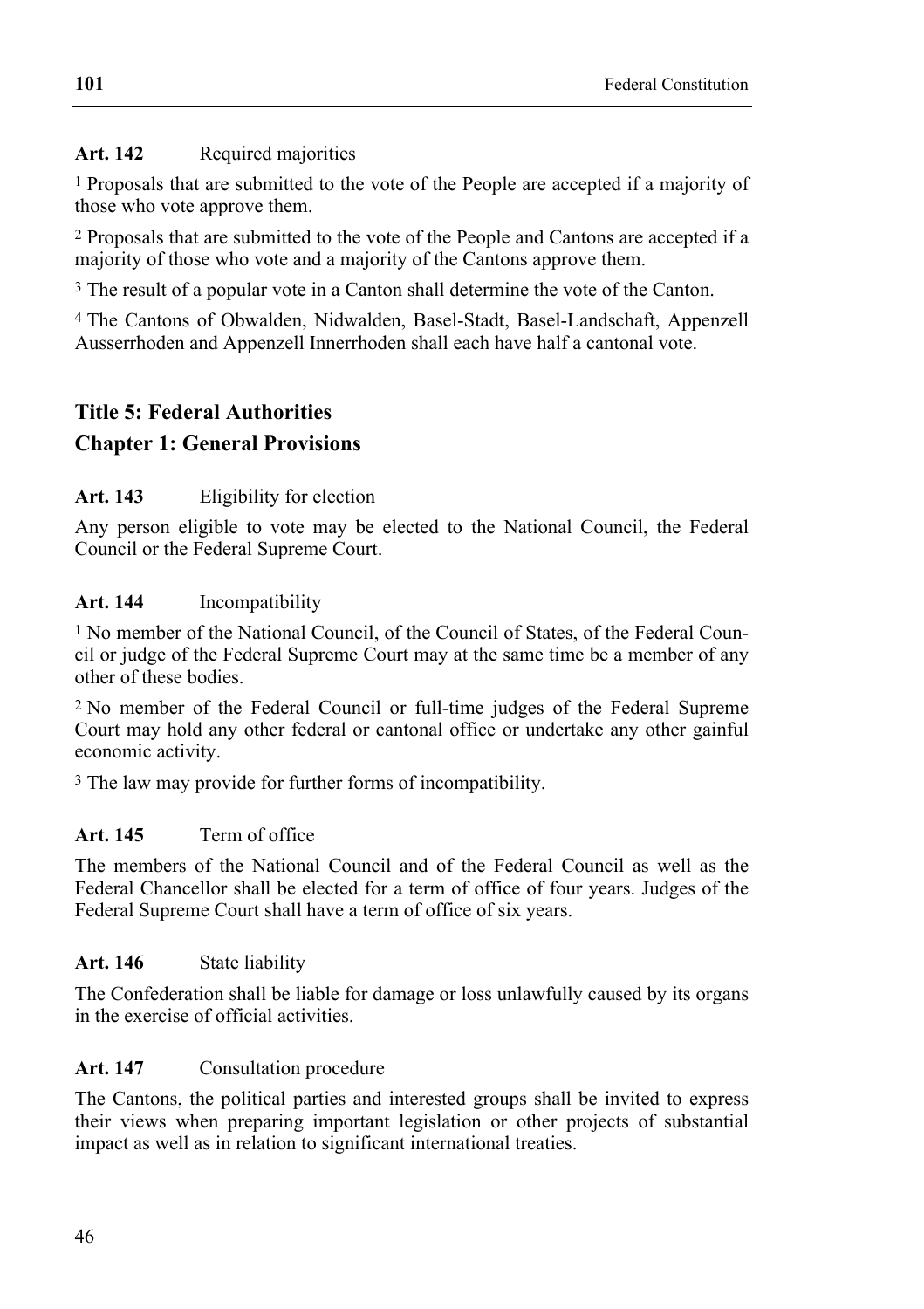## Art. 142 Required majorities

1 Proposals that are submitted to the vote of the People are accepted if a majority of those who vote approve them.

2 Proposals that are submitted to the vote of the People and Cantons are accepted if a majority of those who vote and a majority of the Cantons approve them.

3 The result of a popular vote in a Canton shall determine the vote of the Canton.

4 The Cantons of Obwalden, Nidwalden, Basel-Stadt, Basel-Landschaft, Appenzell Ausserrhoden and Appenzell Innerrhoden shall each have half a cantonal vote.

# **Title 5: Federal Authorities**

# **Chapter 1: General Provisions**

### **Art. 143** Eligibility for election

Any person eligible to vote may be elected to the National Council, the Federal Council or the Federal Supreme Court.

### **Art. 144** Incompatibility

1 No member of the National Council, of the Council of States, of the Federal Council or judge of the Federal Supreme Court may at the same time be a member of any other of these bodies.

2 No member of the Federal Council or full-time judges of the Federal Supreme Court may hold any other federal or cantonal office or undertake any other gainful economic activity.

3 The law may provide for further forms of incompatibility.

# **Art. 145** Term of office

The members of the National Council and of the Federal Council as well as the Federal Chancellor shall be elected for a term of office of four years. Judges of the Federal Supreme Court shall have a term of office of six years.

#### **Art. 146** State liability

The Confederation shall be liable for damage or loss unlawfully caused by its organs in the exercise of official activities.

# **Art. 147** Consultation procedure

The Cantons, the political parties and interested groups shall be invited to express their views when preparing important legislation or other projects of substantial impact as well as in relation to significant international treaties.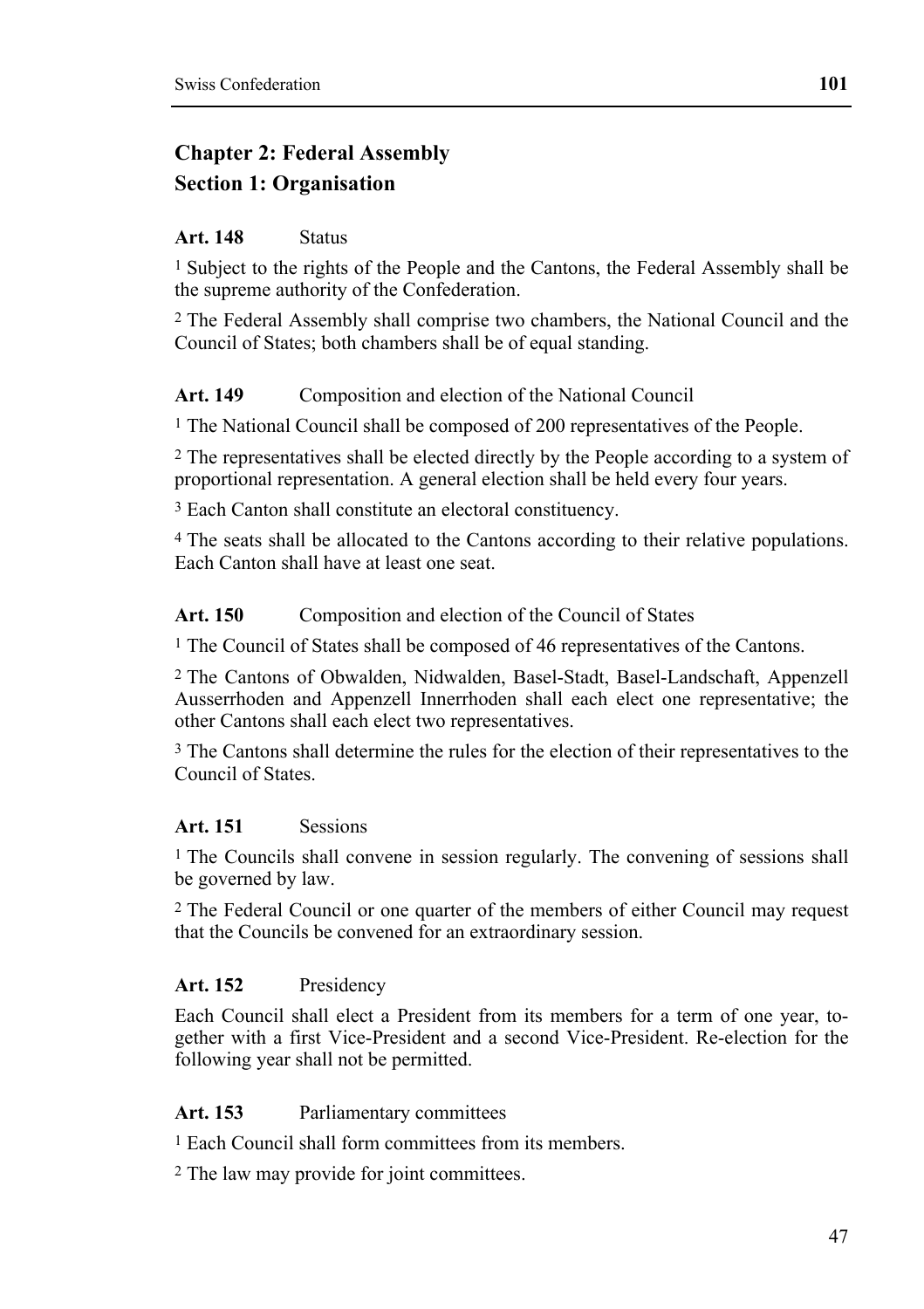# **Chapter 2: Federal Assembly Section 1: Organisation**

## **Art. 148** Status

<sup>1</sup> Subject to the rights of the People and the Cantons, the Federal Assembly shall be the supreme authority of the Confederation.

2 The Federal Assembly shall comprise two chambers, the National Council and the Council of States; both chambers shall be of equal standing.

# Art. 149 Composition and election of the National Council

1 The National Council shall be composed of 200 representatives of the People.

2 The representatives shall be elected directly by the People according to a system of proportional representation. A general election shall be held every four years.

3 Each Canton shall constitute an electoral constituency.

4 The seats shall be allocated to the Cantons according to their relative populations. Each Canton shall have at least one seat.

### Art. 150 Composition and election of the Council of States

1 The Council of States shall be composed of 46 representatives of the Cantons.

2 The Cantons of Obwalden, Nidwalden, Basel-Stadt, Basel-Landschaft, Appenzell Ausserrhoden and Appenzell Innerrhoden shall each elect one representative; the other Cantons shall each elect two representatives.

<sup>3</sup> The Cantons shall determine the rules for the election of their representatives to the Council of States.

# **Art. 151** Sessions

1 The Councils shall convene in session regularly. The convening of sessions shall be governed by law.

2 The Federal Council or one quarter of the members of either Council may request that the Councils be convened for an extraordinary session.

# **Art. 152** Presidency

Each Council shall elect a President from its members for a term of one year, together with a first Vice-President and a second Vice-President. Re-election for the following year shall not be permitted.

#### **Art. 153** Parliamentary committees

1 Each Council shall form committees from its members.

2 The law may provide for joint committees.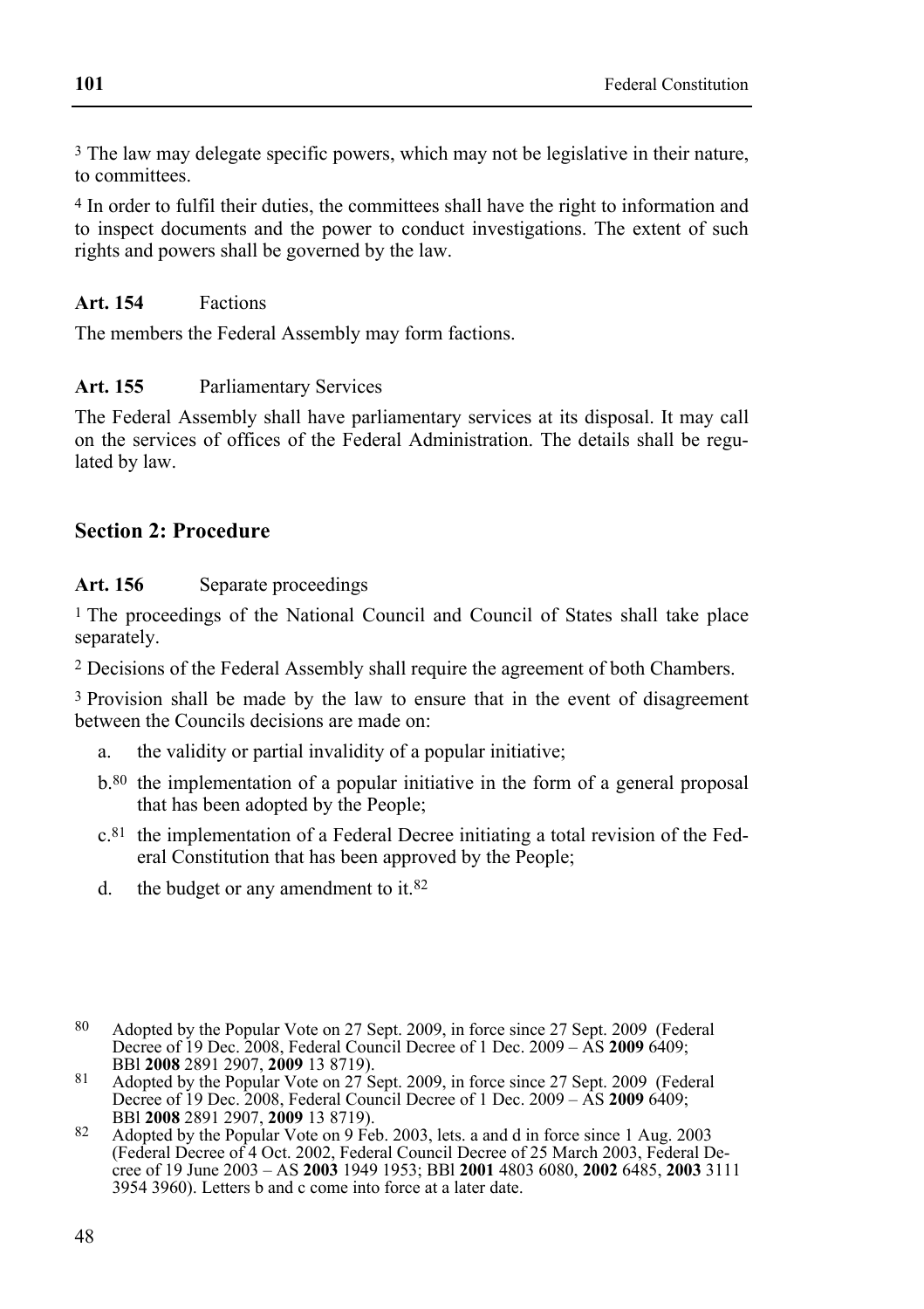3 The law may delegate specific powers, which may not be legislative in their nature, to committees.

4 In order to fulfil their duties, the committees shall have the right to information and to inspect documents and the power to conduct investigations. The extent of such rights and powers shall be governed by the law.

### **Art. 154** Factions

The members the Federal Assembly may form factions.

### **Art. 155** Parliamentary Services

The Federal Assembly shall have parliamentary services at its disposal. It may call on the services of offices of the Federal Administration. The details shall be regulated by law.

# **Section 2: Procedure**

### Art. 156 Separate proceedings

1 The proceedings of the National Council and Council of States shall take place separately.

2 Decisions of the Federal Assembly shall require the agreement of both Chambers.

3 Provision shall be made by the law to ensure that in the event of disagreement between the Councils decisions are made on:

- a. the validity or partial invalidity of a popular initiative;
- b.80 the implementation of a popular initiative in the form of a general proposal that has been adopted by the People;
- c.81 the implementation of a Federal Decree initiating a total revision of the Federal Constitution that has been approved by the People;
- d. the budget or any amendment to it.82

 $80$ 80 Adopted by the Popular Vote on 27 Sept. 2009, in force since 27 Sept. 2009 (Federal Pecree of 19 Dec. 2008, Federal Council Decree of 1 Dec. 2009 – AS **2009** 6409;<br>BBI **2008** 2891 2907, **2009** 13 8719).

BBl **2008** 2891 2907, **2009** 13 8719). 81 Adopted by the Popular Vote on 27 Sept. 2009, in force since 27 Sept. 2009 (Federal Decree of 19 Dec. 2008, Federal Council Decree of 1 Dec. 2009 – AS **2009** 6409;

BBl **2008** 2891 2907, **2009** 13 8719). 82 Adopted by the Popular Vote on 9 Feb. 2003, lets. a and d in force since 1 Aug. 2003 (Federal Decree of 4 Oct. 2002, Federal Council Decree of 25 March 2003, Federal Decree of 19 June 2003 – AS **2003** 1949 1953; BBl **2001** 4803 6080, **2002** 6485, **2003** 3111 3954 3960). Letters b and c come into force at a later date.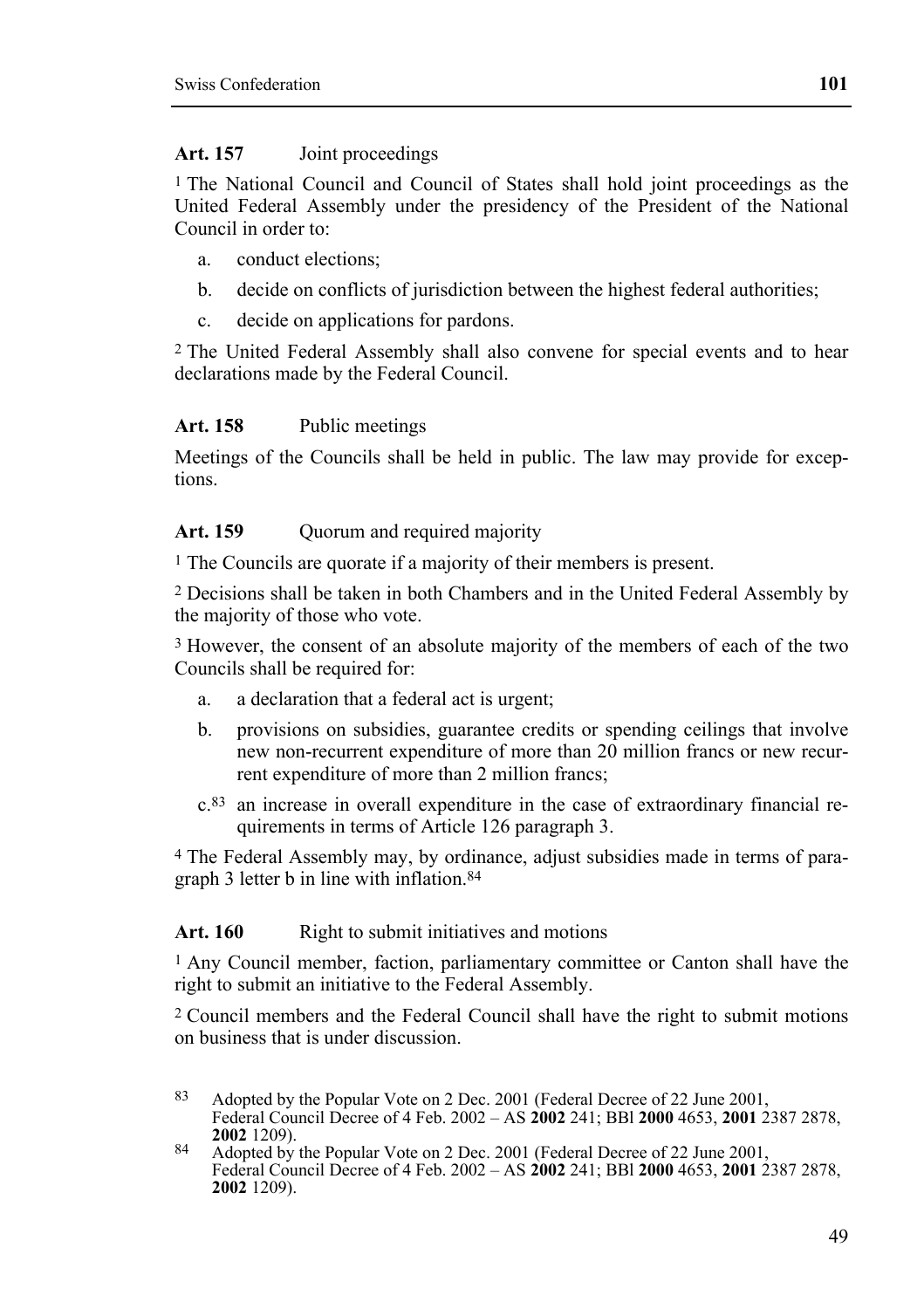#### **Art. 157** Joint proceedings

1 The National Council and Council of States shall hold joint proceedings as the United Federal Assembly under the presidency of the President of the National Council in order to:

- a. conduct elections;
- b. decide on conflicts of jurisdiction between the highest federal authorities;
- c. decide on applications for pardons.

2 The United Federal Assembly shall also convene for special events and to hear declarations made by the Federal Council.

#### **Art. 158** Public meetings

Meetings of the Councils shall be held in public. The law may provide for exceptions.

#### Art. 159 **Quorum and required majority**

1 The Councils are quorate if a majority of their members is present.

2 Decisions shall be taken in both Chambers and in the United Federal Assembly by the majority of those who vote.

3 However, the consent of an absolute majority of the members of each of the two Councils shall be required for:

- a. a declaration that a federal act is urgent;
- b. provisions on subsidies, guarantee credits or spending ceilings that involve new non-recurrent expenditure of more than 20 million francs or new recurrent expenditure of more than 2 million francs;
- c.83 an increase in overall expenditure in the case of extraordinary financial requirements in terms of Article 126 paragraph 3.

4 The Federal Assembly may, by ordinance, adjust subsidies made in terms of paragraph 3 letter b in line with inflation.84

#### Art. 160 Right to submit initiatives and motions

1 Any Council member, faction, parliamentary committee or Canton shall have the right to submit an initiative to the Federal Assembly.

2 Council members and the Federal Council shall have the right to submit motions on business that is under discussion.

<sup>83</sup> Adopted by the Popular Vote on 2 Dec. 2001 (Federal Decree of 22 June 2001, Federal Council Decree of 4 Feb. 2002 – AS **2002** 241; BBl **2000** 4653, **2001** 2387 2878, **<sup>2002</sup>** 1209). 84 Adopted by the Popular Vote on 2 Dec. 2001 (Federal Decree of 22 June 2001,

Federal Council Decree of 4 Feb. 2002 – AS **2002** 241; BBl **2000** 4653, **2001** 2387 2878, **2002** 1209).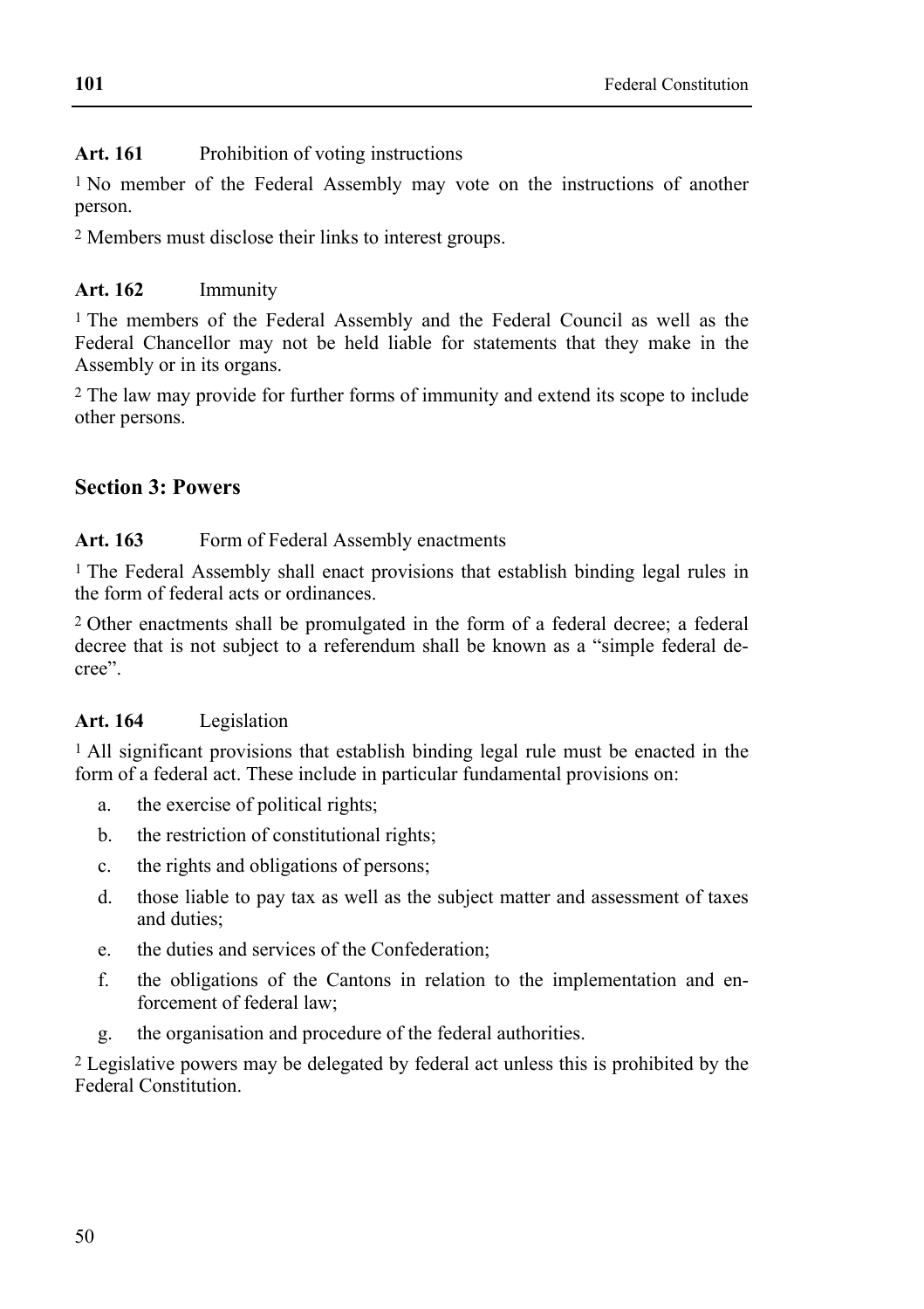# Art. 161 Prohibition of voting instructions

1 No member of the Federal Assembly may vote on the instructions of another person.

2 Members must disclose their links to interest groups.

## **Art. 162** Immunity

1 The members of the Federal Assembly and the Federal Council as well as the Federal Chancellor may not be held liable for statements that they make in the Assembly or in its organs.

2 The law may provide for further forms of immunity and extend its scope to include other persons.

# **Section 3: Powers**

### Art. 163 Form of Federal Assembly enactments

1 The Federal Assembly shall enact provisions that establish binding legal rules in the form of federal acts or ordinances.

2 Other enactments shall be promulgated in the form of a federal decree; a federal decree that is not subject to a referendum shall be known as a "simple federal decree".

# **Art. 164** Legislation

1 All significant provisions that establish binding legal rule must be enacted in the form of a federal act. These include in particular fundamental provisions on:

- a. the exercise of political rights;
- b. the restriction of constitutional rights;
- c. the rights and obligations of persons;
- d. those liable to pay tax as well as the subject matter and assessment of taxes and duties;
- e. the duties and services of the Confederation;
- f. the obligations of the Cantons in relation to the implementation and enforcement of federal law;
- g. the organisation and procedure of the federal authorities.

2 Legislative powers may be delegated by federal act unless this is prohibited by the Federal Constitution.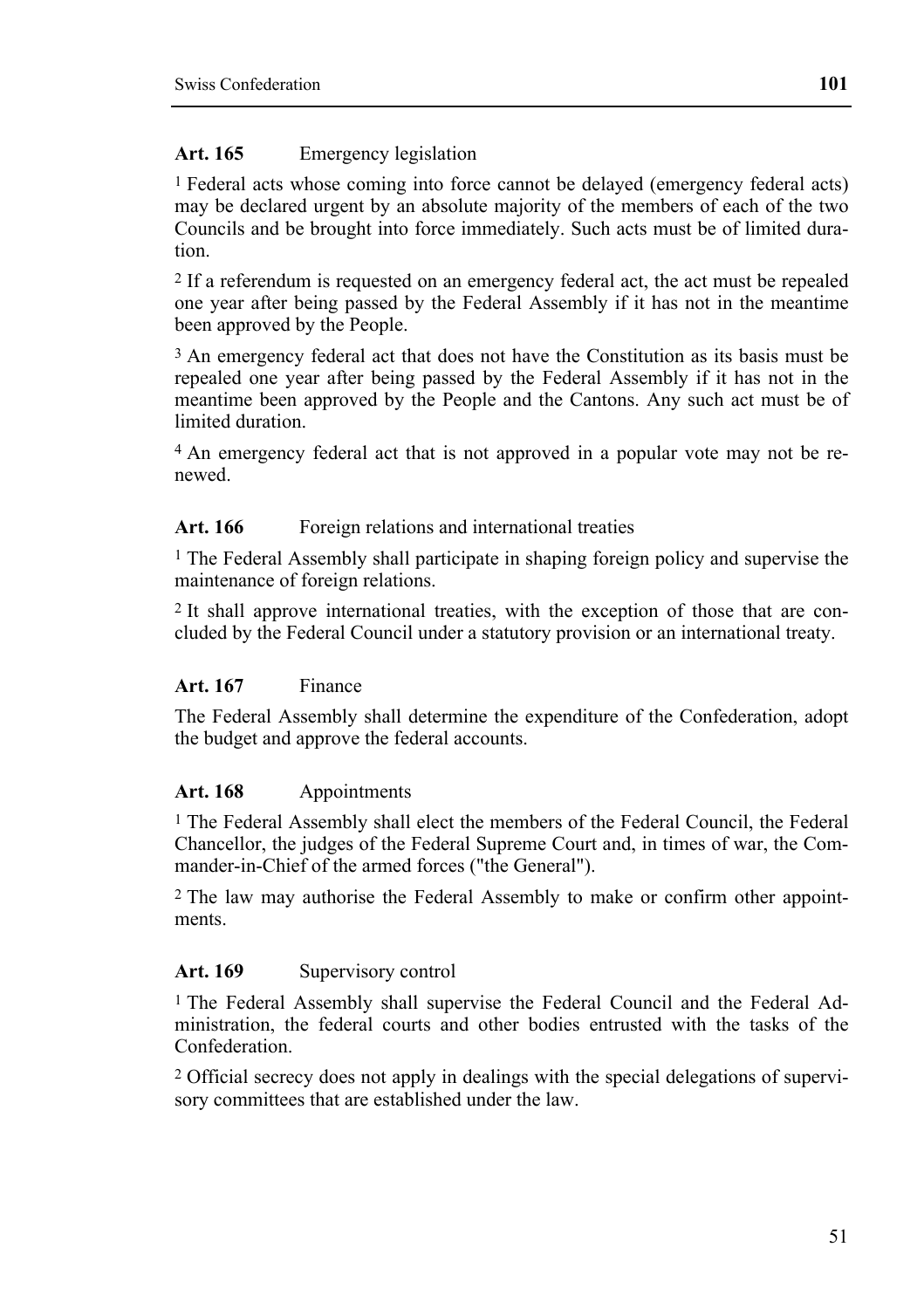#### **Art. 165** Emergency legislation

1 Federal acts whose coming into force cannot be delayed (emergency federal acts) may be declared urgent by an absolute majority of the members of each of the two Councils and be brought into force immediately. Such acts must be of limited duration.

2 If a referendum is requested on an emergency federal act, the act must be repealed one year after being passed by the Federal Assembly if it has not in the meantime been approved by the People.

<sup>3</sup> An emergency federal act that does not have the Constitution as its basis must be repealed one year after being passed by the Federal Assembly if it has not in the meantime been approved by the People and the Cantons. Any such act must be of limited duration.

4 An emergency federal act that is not approved in a popular vote may not be renewed.

#### Art. 166 Foreign relations and international treaties

1 The Federal Assembly shall participate in shaping foreign policy and supervise the maintenance of foreign relations.

2 It shall approve international treaties, with the exception of those that are concluded by the Federal Council under a statutory provision or an international treaty.

#### **Art. 167** Finance

The Federal Assembly shall determine the expenditure of the Confederation, adopt the budget and approve the federal accounts.

#### **Art. 168** Appointments

1 The Federal Assembly shall elect the members of the Federal Council, the Federal Chancellor, the judges of the Federal Supreme Court and, in times of war, the Commander-in-Chief of the armed forces ("the General").

2 The law may authorise the Federal Assembly to make or confirm other appointments.

#### Art. 169 Supervisory control

1 The Federal Assembly shall supervise the Federal Council and the Federal Administration, the federal courts and other bodies entrusted with the tasks of the Confederation.

2 Official secrecy does not apply in dealings with the special delegations of supervisory committees that are established under the law.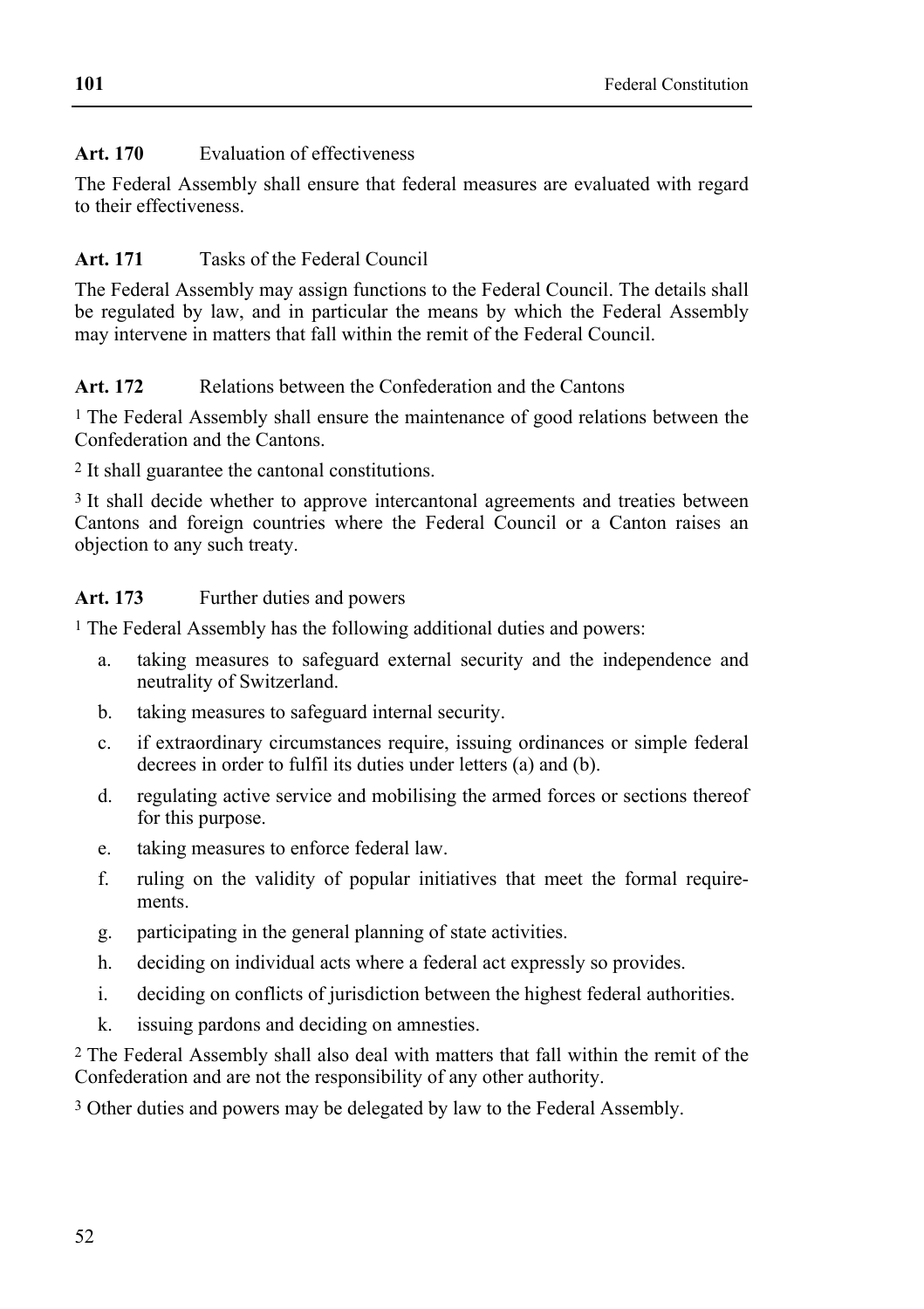## **Art. 170** Evaluation of effectiveness

The Federal Assembly shall ensure that federal measures are evaluated with regard to their effectiveness.

# **Art. 171** Tasks of the Federal Council

The Federal Assembly may assign functions to the Federal Council. The details shall be regulated by law, and in particular the means by which the Federal Assembly may intervene in matters that fall within the remit of the Federal Council.

### Art. 172 Relations between the Confederation and the Cantons

1 The Federal Assembly shall ensure the maintenance of good relations between the Confederation and the Cantons.

2 It shall guarantee the cantonal constitutions.

<sup>3</sup> It shall decide whether to approve intercantonal agreements and treaties between Cantons and foreign countries where the Federal Council or a Canton raises an objection to any such treaty.

### Art. 173 Further duties and powers

1 The Federal Assembly has the following additional duties and powers:

- a. taking measures to safeguard external security and the independence and neutrality of Switzerland.
- b. taking measures to safeguard internal security.
- c. if extraordinary circumstances require, issuing ordinances or simple federal decrees in order to fulfil its duties under letters (a) and (b).
- d. regulating active service and mobilising the armed forces or sections thereof for this purpose.
- e. taking measures to enforce federal law.
- f. ruling on the validity of popular initiatives that meet the formal requirements.
- g. participating in the general planning of state activities.
- h. deciding on individual acts where a federal act expressly so provides.
- i. deciding on conflicts of jurisdiction between the highest federal authorities.
- k. issuing pardons and deciding on amnesties.

2 The Federal Assembly shall also deal with matters that fall within the remit of the Confederation and are not the responsibility of any other authority.

3 Other duties and powers may be delegated by law to the Federal Assembly.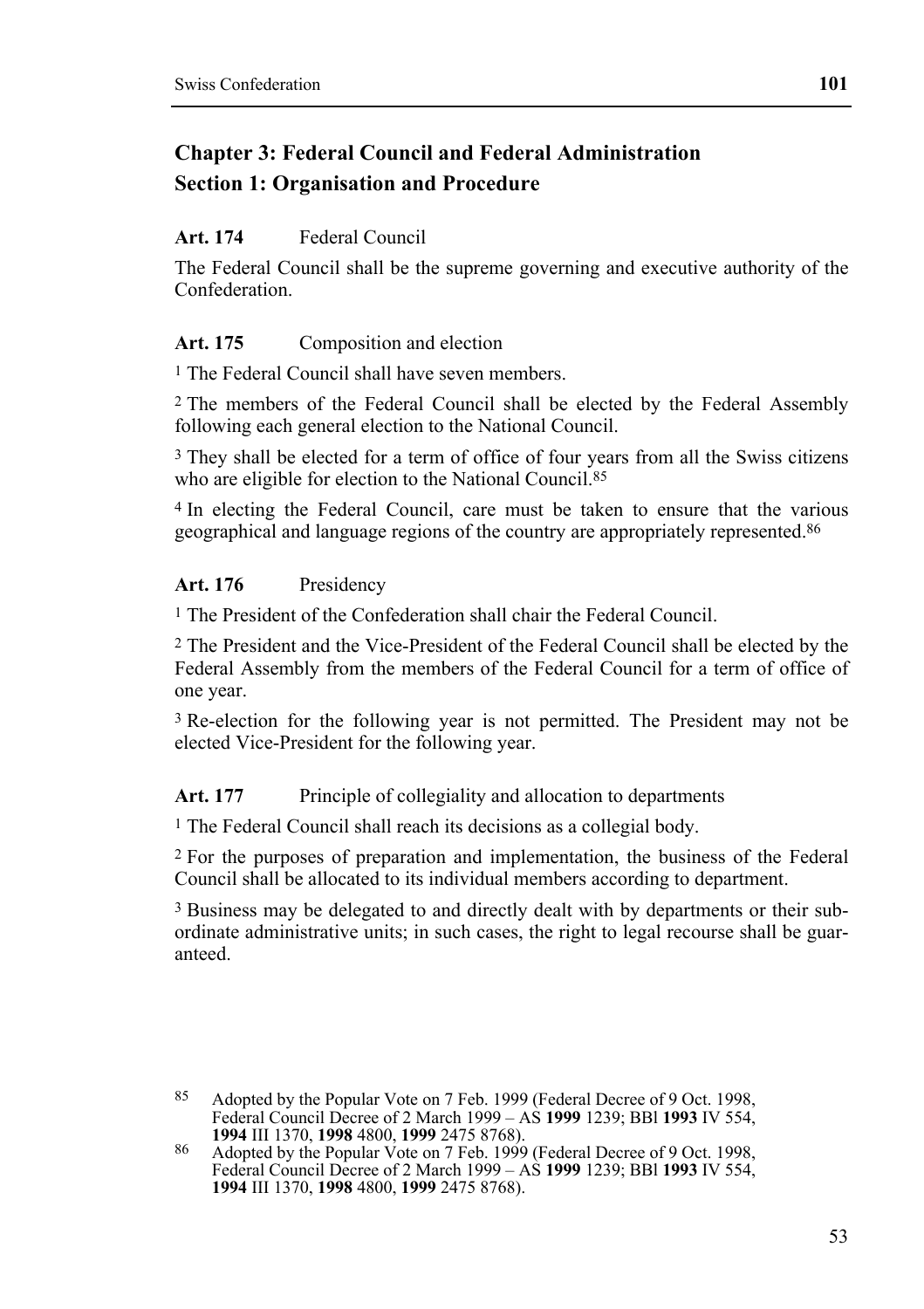# **Chapter 3: Federal Council and Federal Administration Section 1: Organisation and Procedure**

#### **Art. 174** Federal Council

The Federal Council shall be the supreme governing and executive authority of the Confederation.

#### Art. 175 Composition and election

1 The Federal Council shall have seven members.

2 The members of the Federal Council shall be elected by the Federal Assembly following each general election to the National Council.

3 They shall be elected for a term of office of four years from all the Swiss citizens who are eligible for election to the National Council.<sup>85</sup>

4 In electing the Federal Council, care must be taken to ensure that the various geographical and language regions of the country are appropriately represented.86

#### **Art. 176** Presidency

1 The President of the Confederation shall chair the Federal Council.

2 The President and the Vice-President of the Federal Council shall be elected by the Federal Assembly from the members of the Federal Council for a term of office of one year.

3 Re-election for the following year is not permitted. The President may not be elected Vice-President for the following year.

Art. 177 Principle of collegiality and allocation to departments

<sup>1</sup> The Federal Council shall reach its decisions as a collegial body.

2 For the purposes of preparation and implementation, the business of the Federal Council shall be allocated to its individual members according to department.

3 Business may be delegated to and directly dealt with by departments or their subordinate administrative units; in such cases, the right to legal recourse shall be guaranteed.

<sup>85</sup> Adopted by the Popular Vote on 7 Feb. 1999 (Federal Decree of 9 Oct. 1998, Federal Council Decree of 2 March 1999 – AS **1999** 1239; BBl **1993** IV 554,

**<sup>1994</sup>** III 1370, **1998** 4800, **1999** 2475 8768). **86 Adopted by the Popular Vote on 7 Feb. 1999 (Federal Decree of 9 Oct. 1998,** Federal Council Decree of 2 March 1999 – AS **1999** 1239; BBl **1993** IV 554, **1994** III 1370, **1998** 4800, **1999** 2475 8768).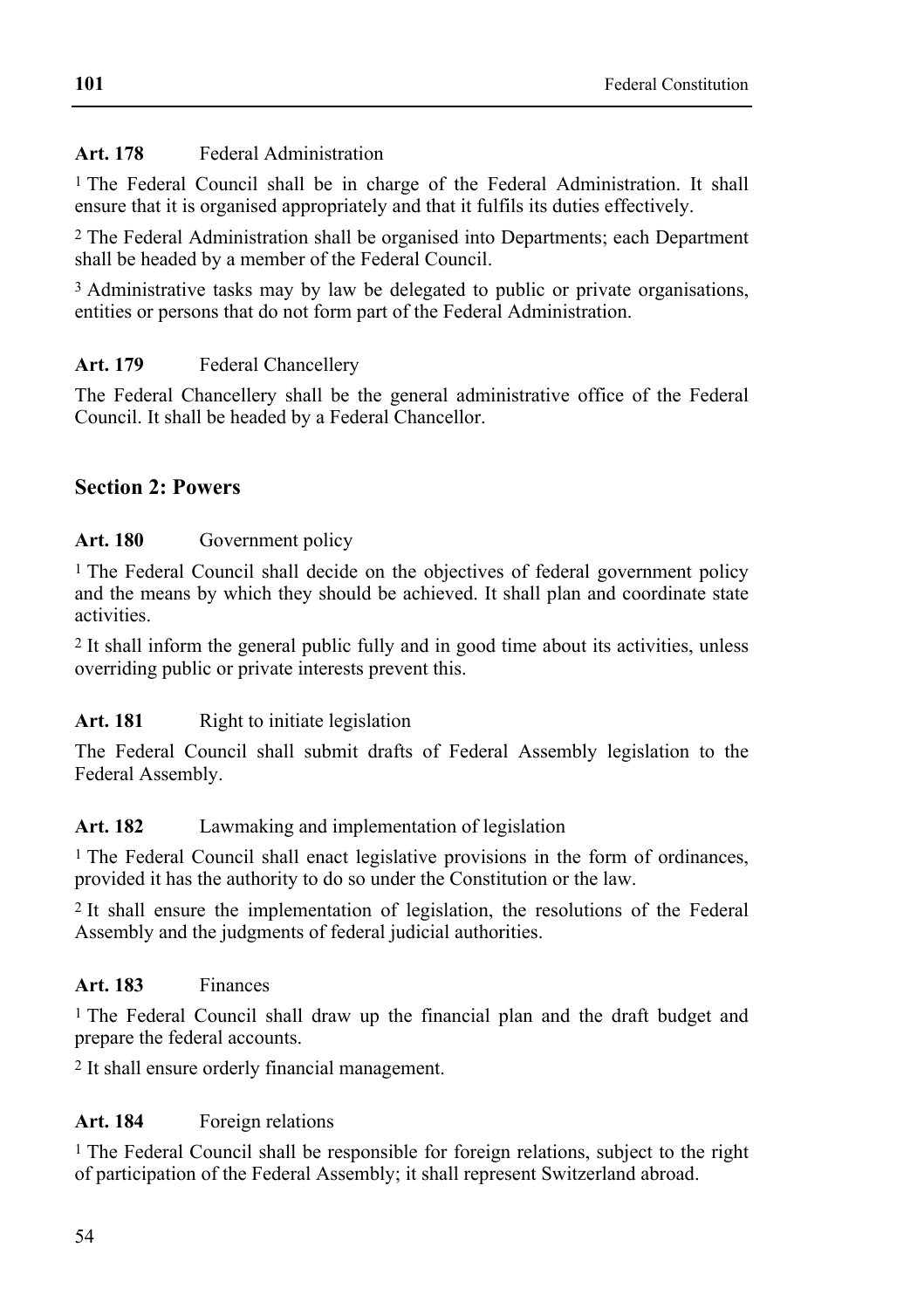# **Art. 178** Federal Administration

1 The Federal Council shall be in charge of the Federal Administration. It shall ensure that it is organised appropriately and that it fulfils its duties effectively.

2 The Federal Administration shall be organised into Departments; each Department shall be headed by a member of the Federal Council.

<sup>3</sup> Administrative tasks may by law be delegated to public or private organisations, entities or persons that do not form part of the Federal Administration.

# Art. 179 **Federal Chancellery**

The Federal Chancellery shall be the general administrative office of the Federal Council. It shall be headed by a Federal Chancellor.

# **Section 2: Powers**

### Art. 180 Government policy

<sup>1</sup> The Federal Council shall decide on the objectives of federal government policy and the means by which they should be achieved. It shall plan and coordinate state activities.

2 It shall inform the general public fully and in good time about its activities, unless overriding public or private interests prevent this.

# Art. 181 Right to initiate legislation

The Federal Council shall submit drafts of Federal Assembly legislation to the Federal Assembly.

#### **Art. 182** Lawmaking and implementation of legislation

1 The Federal Council shall enact legislative provisions in the form of ordinances, provided it has the authority to do so under the Constitution or the law.

2 It shall ensure the implementation of legislation, the resolutions of the Federal Assembly and the judgments of federal judicial authorities.

#### **Art. 183** Finances

1 The Federal Council shall draw up the financial plan and the draft budget and prepare the federal accounts.

2 It shall ensure orderly financial management.

# **Art. 184** Foreign relations

1 The Federal Council shall be responsible for foreign relations, subject to the right of participation of the Federal Assembly; it shall represent Switzerland abroad.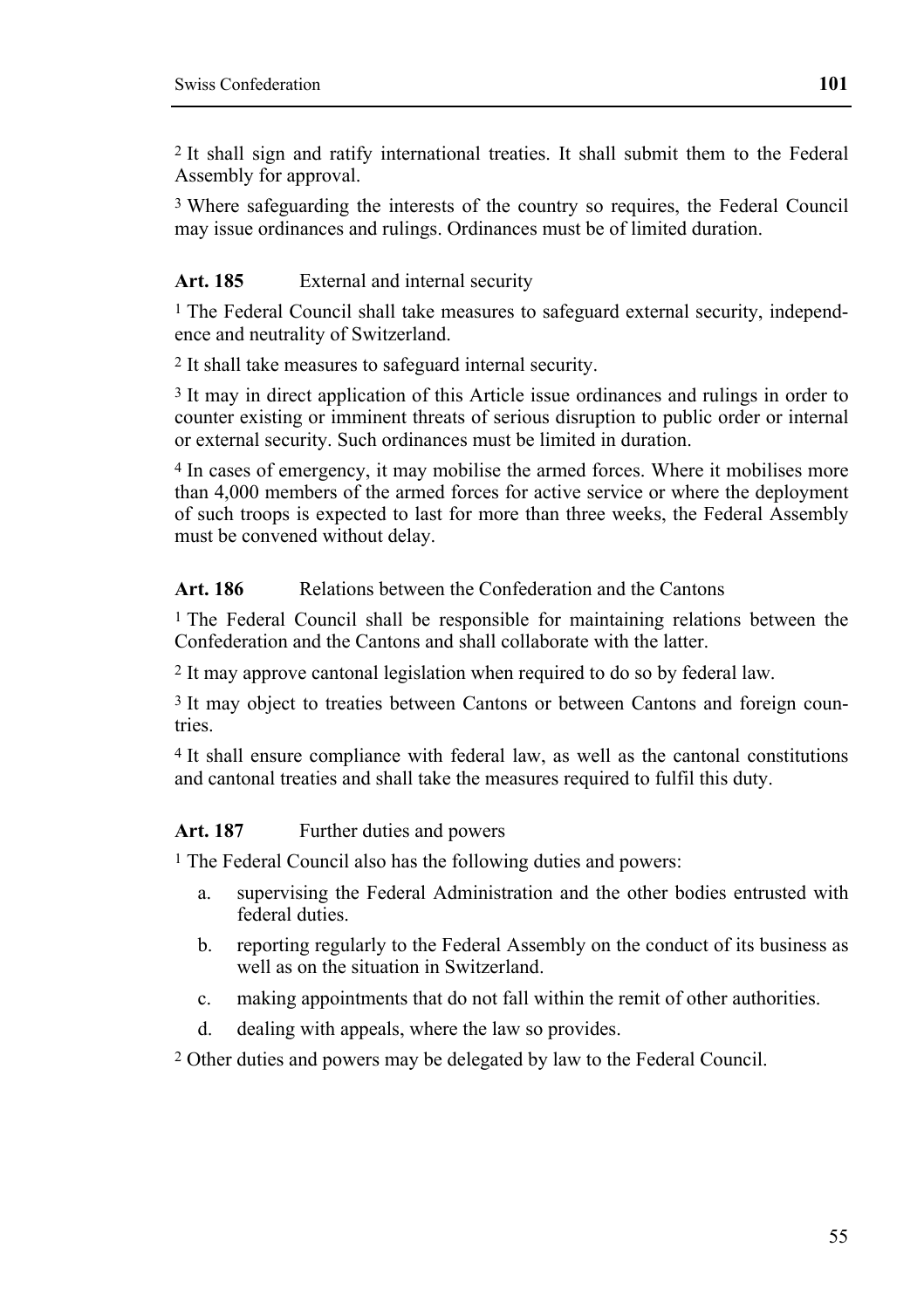2 It shall sign and ratify international treaties. It shall submit them to the Federal Assembly for approval.

3 Where safeguarding the interests of the country so requires, the Federal Council may issue ordinances and rulings. Ordinances must be of limited duration.

## Art. 185 External and internal security

1 The Federal Council shall take measures to safeguard external security, independence and neutrality of Switzerland.

2 It shall take measures to safeguard internal security.

3 It may in direct application of this Article issue ordinances and rulings in order to counter existing or imminent threats of serious disruption to public order or internal or external security. Such ordinances must be limited in duration.

4 In cases of emergency, it may mobilise the armed forces. Where it mobilises more than 4,000 members of the armed forces for active service or where the deployment of such troops is expected to last for more than three weeks, the Federal Assembly must be convened without delay.

### Art. 186 **Relations between the Confederation and the Cantons**

<sup>1</sup> The Federal Council shall be responsible for maintaining relations between the Confederation and the Cantons and shall collaborate with the latter.

2 It may approve cantonal legislation when required to do so by federal law.

3 It may object to treaties between Cantons or between Cantons and foreign countries.

4 It shall ensure compliance with federal law, as well as the cantonal constitutions and cantonal treaties and shall take the measures required to fulfil this duty.

#### Art. 187 Further duties and powers

1 The Federal Council also has the following duties and powers:

- a. supervising the Federal Administration and the other bodies entrusted with federal duties.
- b. reporting regularly to the Federal Assembly on the conduct of its business as well as on the situation in Switzerland.
- c. making appointments that do not fall within the remit of other authorities.
- d. dealing with appeals, where the law so provides.

2 Other duties and powers may be delegated by law to the Federal Council.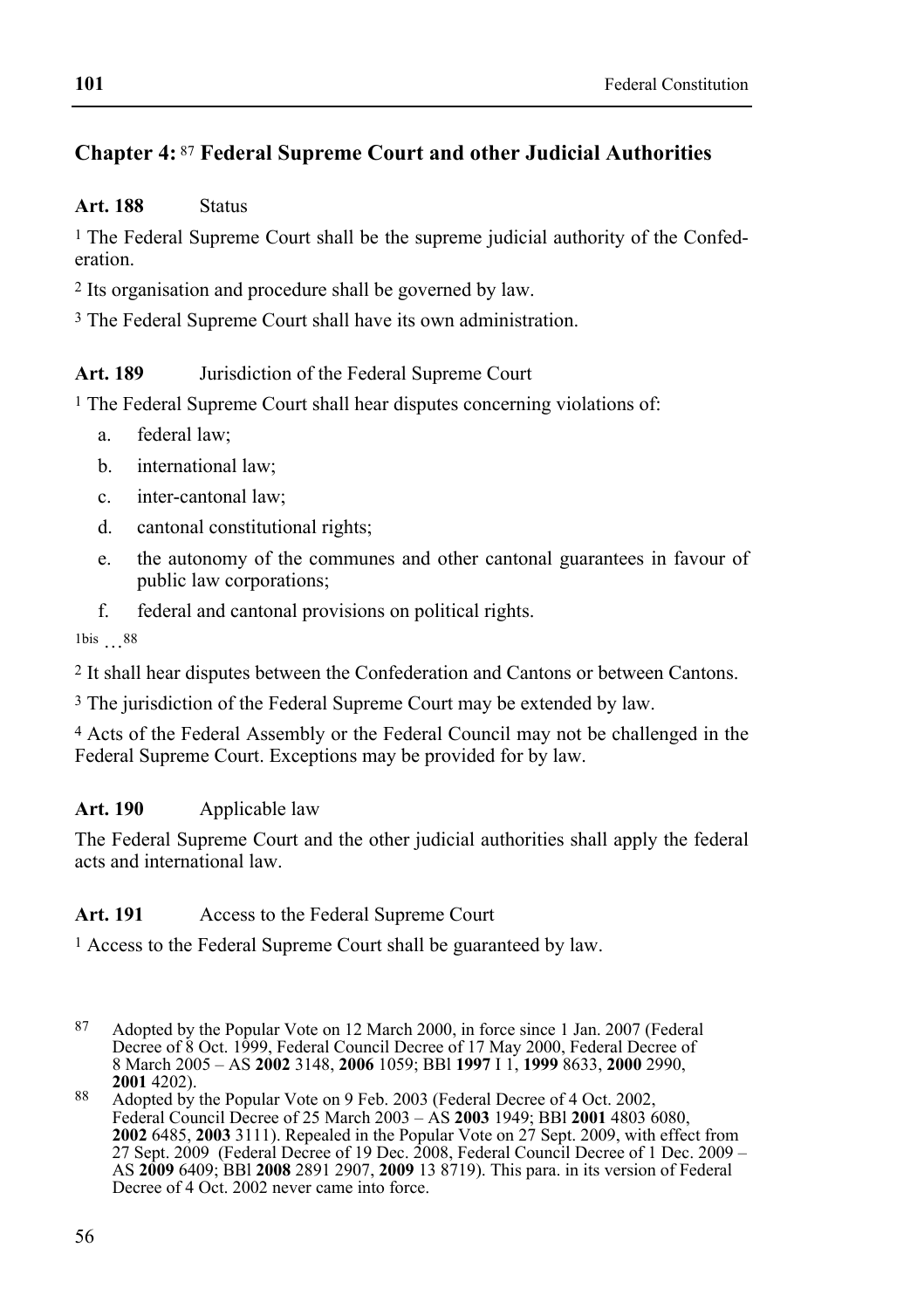# **Chapter 4:** 87 **Federal Supreme Court and other Judicial Authorities**

#### **Art. 188** Status

<sup>1</sup> The Federal Supreme Court shall be the supreme judicial authority of the Confederation.

2 Its organisation and procedure shall be governed by law.

3 The Federal Supreme Court shall have its own administration.

# **Art. 189** Jurisdiction of the Federal Supreme Court

1 The Federal Supreme Court shall hear disputes concerning violations of:

- a. federal law;
- b. international law;
- c. inter-cantonal law;
- d. cantonal constitutional rights;
- e. the autonomy of the communes and other cantonal guarantees in favour of public law corporations;
- f. federal and cantonal provisions on political rights.

1bis …88

2 It shall hear disputes between the Confederation and Cantons or between Cantons.

3 The jurisdiction of the Federal Supreme Court may be extended by law.

4 Acts of the Federal Assembly or the Federal Council may not be challenged in the Federal Supreme Court. Exceptions may be provided for by law.

# **Art. 190** Applicable law

The Federal Supreme Court and the other judicial authorities shall apply the federal acts and international law.

# **Art. 191** Access to the Federal Supreme Court

1 Access to the Federal Supreme Court shall be guaranteed by law.

 $87$ 87 Adopted by the Popular Vote on 12 March 2000, in force since 1 Jan. 2007 (Federal Decree of 8 Oct. 1999, Federal Council Decree of 17 May 2000, Federal Decree of 8 March 2005 – AS **2002** 3148, **2006** 1059; BBl **1997** I 1, **1999** 8633, **2000** 2990,

**<sup>2001</sup>** 4202). **2001** 4202). **88** Adopted by the Popular Vote on 9 Feb. 2003 (Federal Decree of 4 Oct. 2002, Federal Council Decree of 25 March 2003 – AS **2003** 1949; BBl **2001** 4803 6080, **2002** 6485, **2003** 3111). Repealed in the Popular Vote on 27 Sept. 2009, with effect from 27 Sept. 2009 (Federal Decree of 19 Dec. 2008, Federal Council Decree of 1 Dec. 2009 – AS **2009** 6409; BBl **2008** 2891 2907, **2009** 13 8719). This para. in its version of Federal Decree of 4 Oct. 2002 never came into force.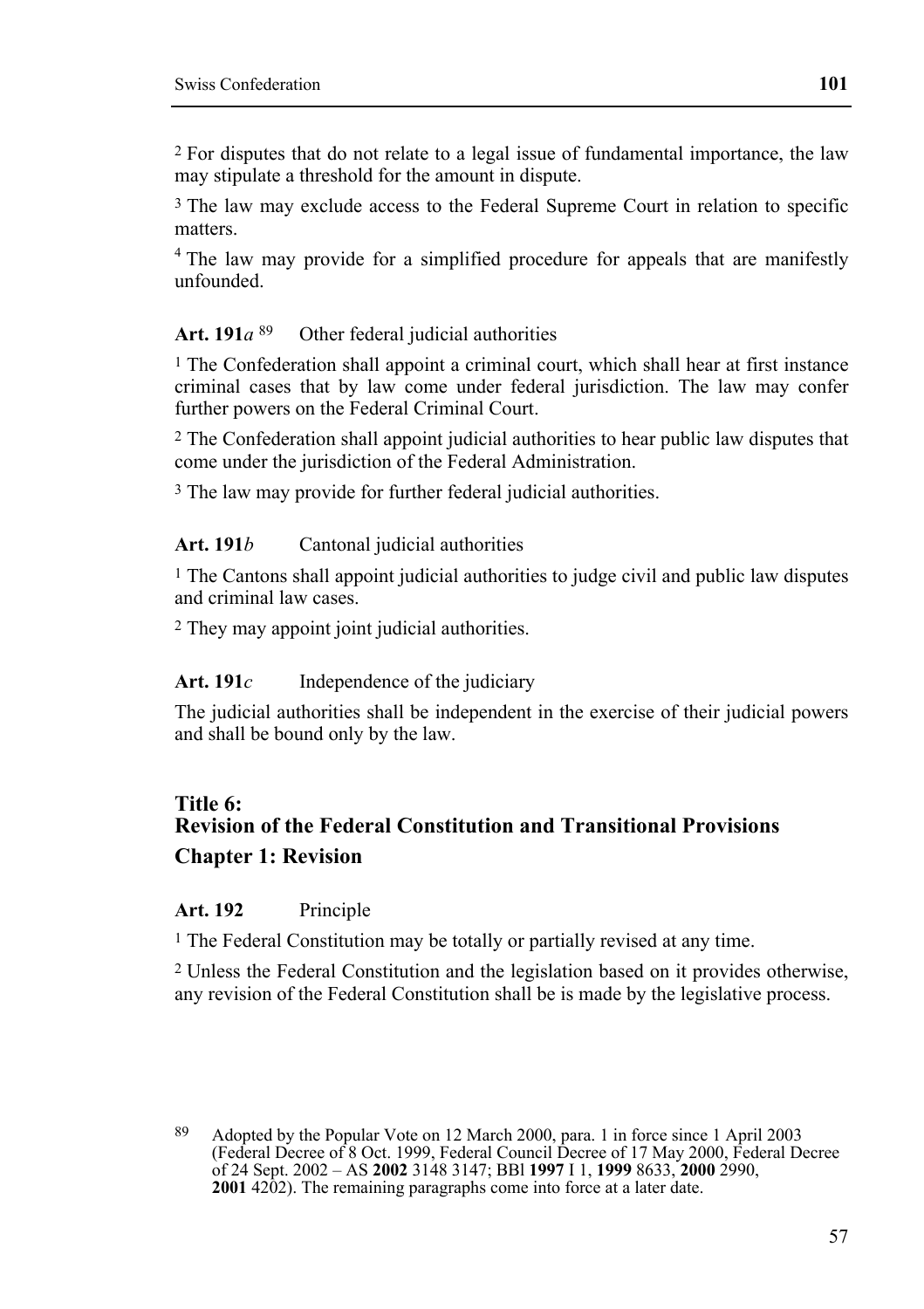2 For disputes that do not relate to a legal issue of fundamental importance, the law may stipulate a threshold for the amount in dispute.

3 The law may exclude access to the Federal Supreme Court in relation to specific matters.

<sup>4</sup> The law may provide for a simplified procedure for appeals that are manifestly unfounded.

#### **Art. 191***a* 89 Other federal judicial authorities

1 The Confederation shall appoint a criminal court, which shall hear at first instance criminal cases that by law come under federal jurisdiction. The law may confer further powers on the Federal Criminal Court.

2 The Confederation shall appoint judicial authorities to hear public law disputes that come under the jurisdiction of the Federal Administration.

3 The law may provide for further federal judicial authorities.

#### Art. 191*b* Cantonal judicial authorities

1 The Cantons shall appoint judicial authorities to judge civil and public law disputes and criminal law cases.

2 They may appoint joint judicial authorities.

#### Art. 191*c* Independence of the judiciary

The judicial authorities shall be independent in the exercise of their judicial powers and shall be bound only by the law.

# **Title 6: Revision of the Federal Constitution and Transitional Provisions Chapter 1: Revision**

#### **Art. 192** Principle

1 The Federal Constitution may be totally or partially revised at any time.

2 Unless the Federal Constitution and the legislation based on it provides otherwise, any revision of the Federal Constitution shall be is made by the legislative process.

 $\overline{Q}$ 89 Adopted by the Popular Vote on 12 March 2000, para. 1 in force since 1 April 2003 (Federal Decree of 8 Oct. 1999, Federal Council Decree of 17 May 2000, Federal Decree of 24 Sept. 2002 – AS **2002** 3148 3147; BBl **1997** I 1, **1999** 8633, **2000** 2990, **2001** 4202). The remaining paragraphs come into force at a later date.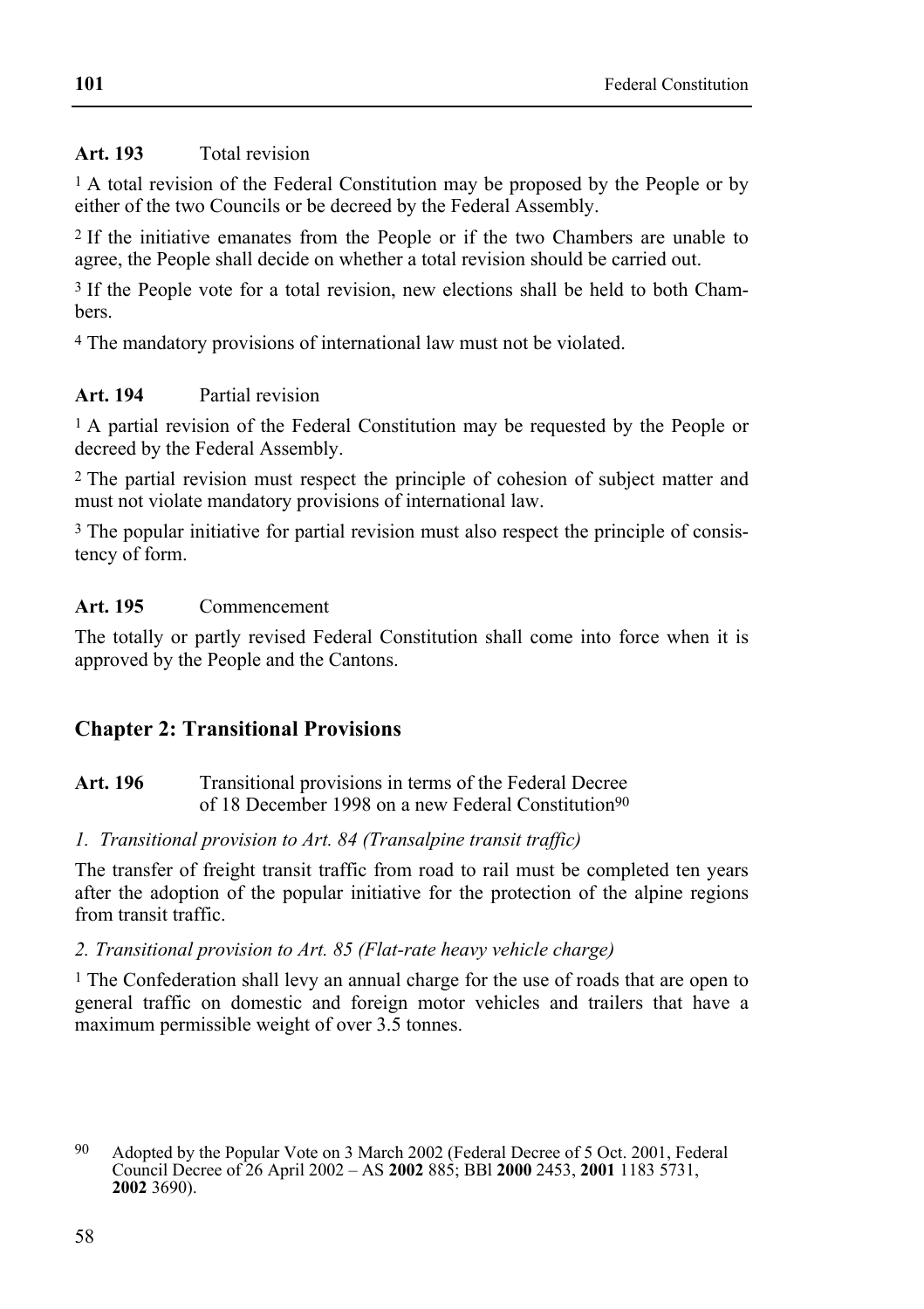#### **Art. 193** Total revision

<sup>1</sup> A total revision of the Federal Constitution may be proposed by the People or by either of the two Councils or be decreed by the Federal Assembly.

2 If the initiative emanates from the People or if the two Chambers are unable to agree, the People shall decide on whether a total revision should be carried out.

3 If the People vote for a total revision, new elections shall be held to both Chambers.

4 The mandatory provisions of international law must not be violated.

# **Art. 194** Partial revision

1 A partial revision of the Federal Constitution may be requested by the People or decreed by the Federal Assembly.

2 The partial revision must respect the principle of cohesion of subject matter and must not violate mandatory provisions of international law.

<sup>3</sup> The popular initiative for partial revision must also respect the principle of consistency of form.

# **Art. 195** Commencement

The totally or partly revised Federal Constitution shall come into force when it is approved by the People and the Cantons.

# **Chapter 2: Transitional Provisions**

Art. 196 **Transitional provisions in terms of the Federal Decree** of 18 December 1998 on a new Federal Constitution90

#### *1. Transitional provision to Art. 84 (Transalpine transit traffic)*

The transfer of freight transit traffic from road to rail must be completed ten years after the adoption of the popular initiative for the protection of the alpine regions from transit traffic.

#### *2. Transitional provision to Art. 85 (Flat-rate heavy vehicle charge)*

1 The Confederation shall levy an annual charge for the use of roads that are open to general traffic on domestic and foreign motor vehicles and trailers that have a maximum permissible weight of over 3.5 tonnes.

<sup>90</sup> Adopted by the Popular Vote on 3 March 2002 (Federal Decree of 5 Oct. 2001, Federal Council Decree of 26 April 2002 – AS **2002** 885; BBl **2000** 2453, **2001** 1183 5731, **2002** 3690).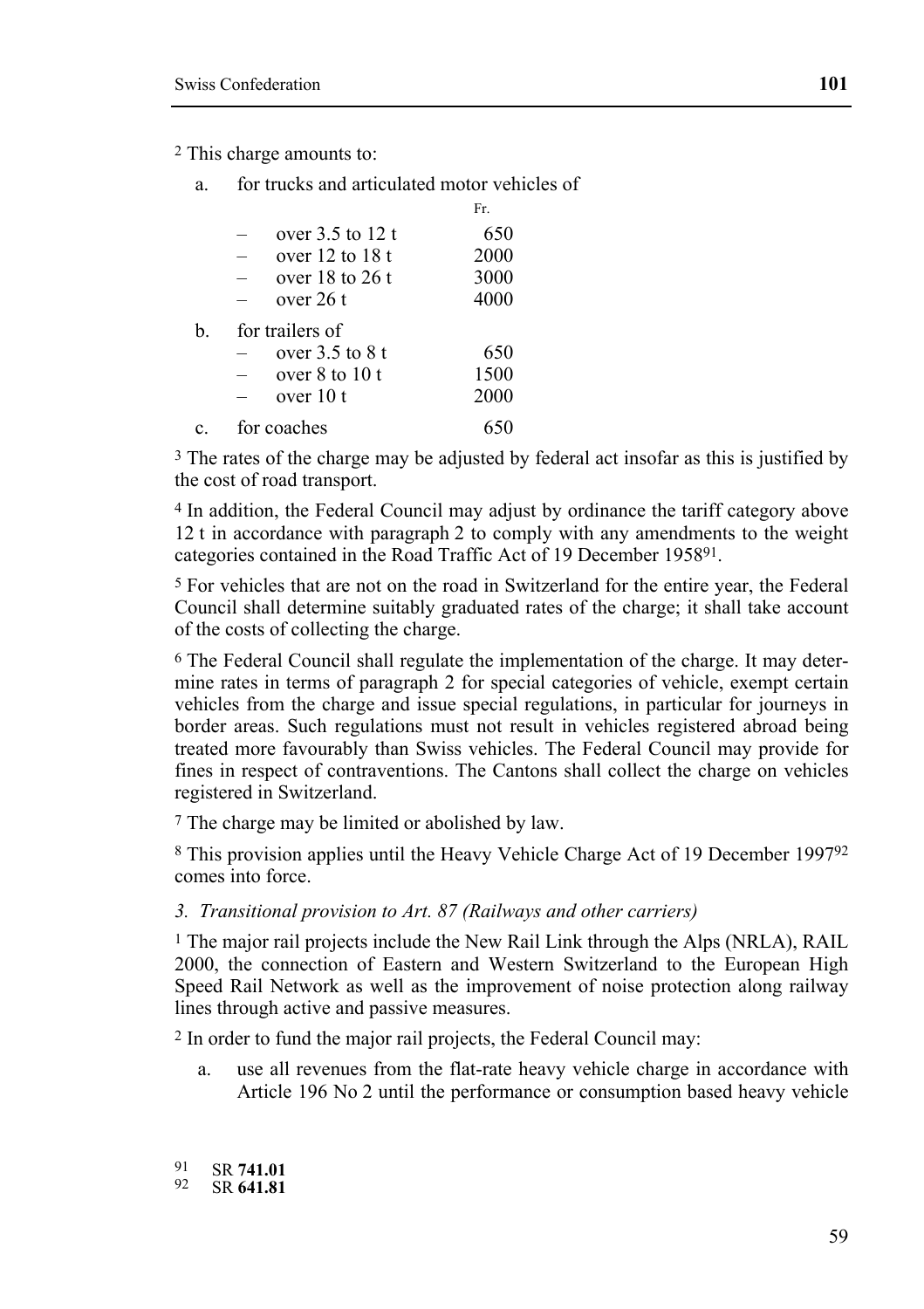2 This charge amounts to:

a. for trucks and articulated motor vehicles of

|    |                     | Fr.  |
|----|---------------------|------|
|    | over $3.5$ to 12 t  | 650  |
|    | over $12$ to $18$ t | 2000 |
|    | over $18$ to $26$ t | 3000 |
|    | over 26 t           | 4000 |
| b. | for trailers of     |      |
|    | over $3.5$ to $8$ t | 650  |
|    | over $8$ to $10$ t  | 1500 |
|    | over 10 t           | 2000 |
| C. | for coaches         | 650  |

<sup>3</sup> The rates of the charge may be adjusted by federal act insofar as this is justified by the cost of road transport.

4 In addition, the Federal Council may adjust by ordinance the tariff category above 12 t in accordance with paragraph 2 to comply with any amendments to the weight categories contained in the Road Traffic Act of 19 December 195891.

5 For vehicles that are not on the road in Switzerland for the entire year, the Federal Council shall determine suitably graduated rates of the charge; it shall take account of the costs of collecting the charge.

6 The Federal Council shall regulate the implementation of the charge. It may determine rates in terms of paragraph 2 for special categories of vehicle, exempt certain vehicles from the charge and issue special regulations, in particular for journeys in border areas. Such regulations must not result in vehicles registered abroad being treated more favourably than Swiss vehicles. The Federal Council may provide for fines in respect of contraventions. The Cantons shall collect the charge on vehicles registered in Switzerland.

7 The charge may be limited or abolished by law.

8 This provision applies until the Heavy Vehicle Charge Act of 19 December 199792 comes into force.

#### *3. Transitional provision to Art. 87 (Railways and other carriers)*

 $<sup>1</sup>$  The major rail projects include the New Rail Link through the Alps (NRLA), RAIL</sup> 2000, the connection of Eastern and Western Switzerland to the European High Speed Rail Network as well as the improvement of noise protection along railway lines through active and passive measures.

2 In order to fund the major rail projects, the Federal Council may:

a. use all revenues from the flat-rate heavy vehicle charge in accordance with Article 196 No 2 until the performance or consumption based heavy vehicle

91 SR **741.01** 92 SR **641.81**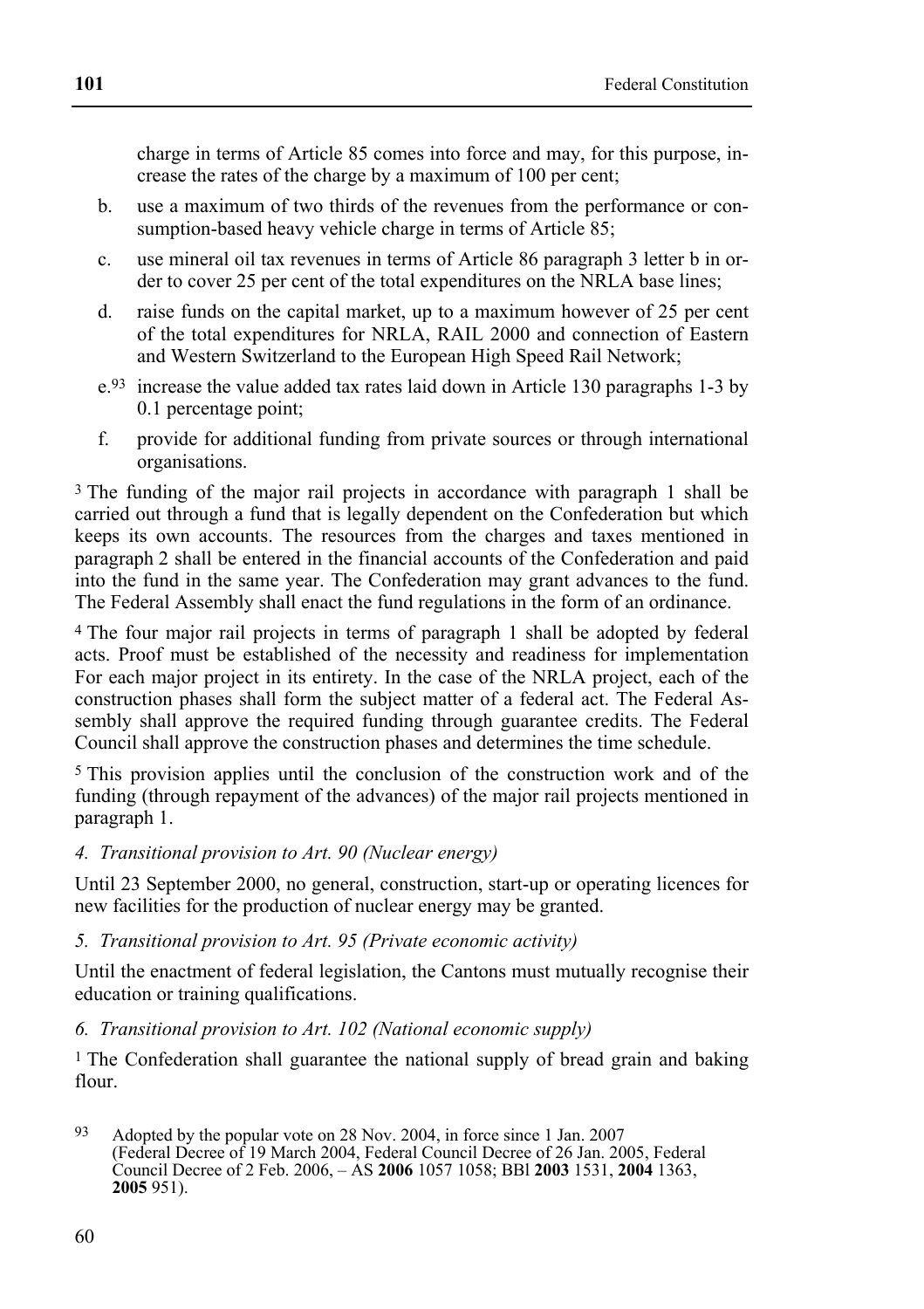charge in terms of Article 85 comes into force and may, for this purpose, increase the rates of the charge by a maximum of 100 per cent;

- b. use a maximum of two thirds of the revenues from the performance or consumption-based heavy vehicle charge in terms of Article 85;
- c. use mineral oil tax revenues in terms of Article 86 paragraph 3 letter b in order to cover 25 per cent of the total expenditures on the NRLA base lines;
- d. raise funds on the capital market, up to a maximum however of 25 per cent of the total expenditures for NRLA, RAIL 2000 and connection of Eastern and Western Switzerland to the European High Speed Rail Network;
- e.93 increase the value added tax rates laid down in Article 130 paragraphs 1-3 by 0.1 percentage point;
- f. provide for additional funding from private sources or through international organisations.

3 The funding of the major rail projects in accordance with paragraph 1 shall be carried out through a fund that is legally dependent on the Confederation but which keeps its own accounts. The resources from the charges and taxes mentioned in paragraph 2 shall be entered in the financial accounts of the Confederation and paid into the fund in the same year. The Confederation may grant advances to the fund. The Federal Assembly shall enact the fund regulations in the form of an ordinance.

4 The four major rail projects in terms of paragraph 1 shall be adopted by federal acts. Proof must be established of the necessity and readiness for implementation For each major project in its entirety. In the case of the NRLA project, each of the construction phases shall form the subject matter of a federal act. The Federal Assembly shall approve the required funding through guarantee credits. The Federal Council shall approve the construction phases and determines the time schedule.

5 This provision applies until the conclusion of the construction work and of the funding (through repayment of the advances) of the major rail projects mentioned in paragraph 1.

#### *4. Transitional provision to Art. 90 (Nuclear energy)*

Until 23 September 2000, no general, construction, start-up or operating licences for new facilities for the production of nuclear energy may be granted.

#### *5. Transitional provision to Art. 95 (Private economic activity)*

Until the enactment of federal legislation, the Cantons must mutually recognise their education or training qualifications.

#### *6. Transitional provision to Art. 102 (National economic supply)*

1 The Confederation shall guarantee the national supply of bread grain and baking flour.

<sup>93</sup> Adopted by the popular vote on 28 Nov. 2004, in force since 1 Jan. 2007 (Federal Decree of 19 March 2004, Federal Council Decree of 26 Jan. 2005, Federal Council Decree of 2 Feb. 2006, – AS **2006** 1057 1058; BBl **2003** 1531, **2004** 1363, **2005** 951).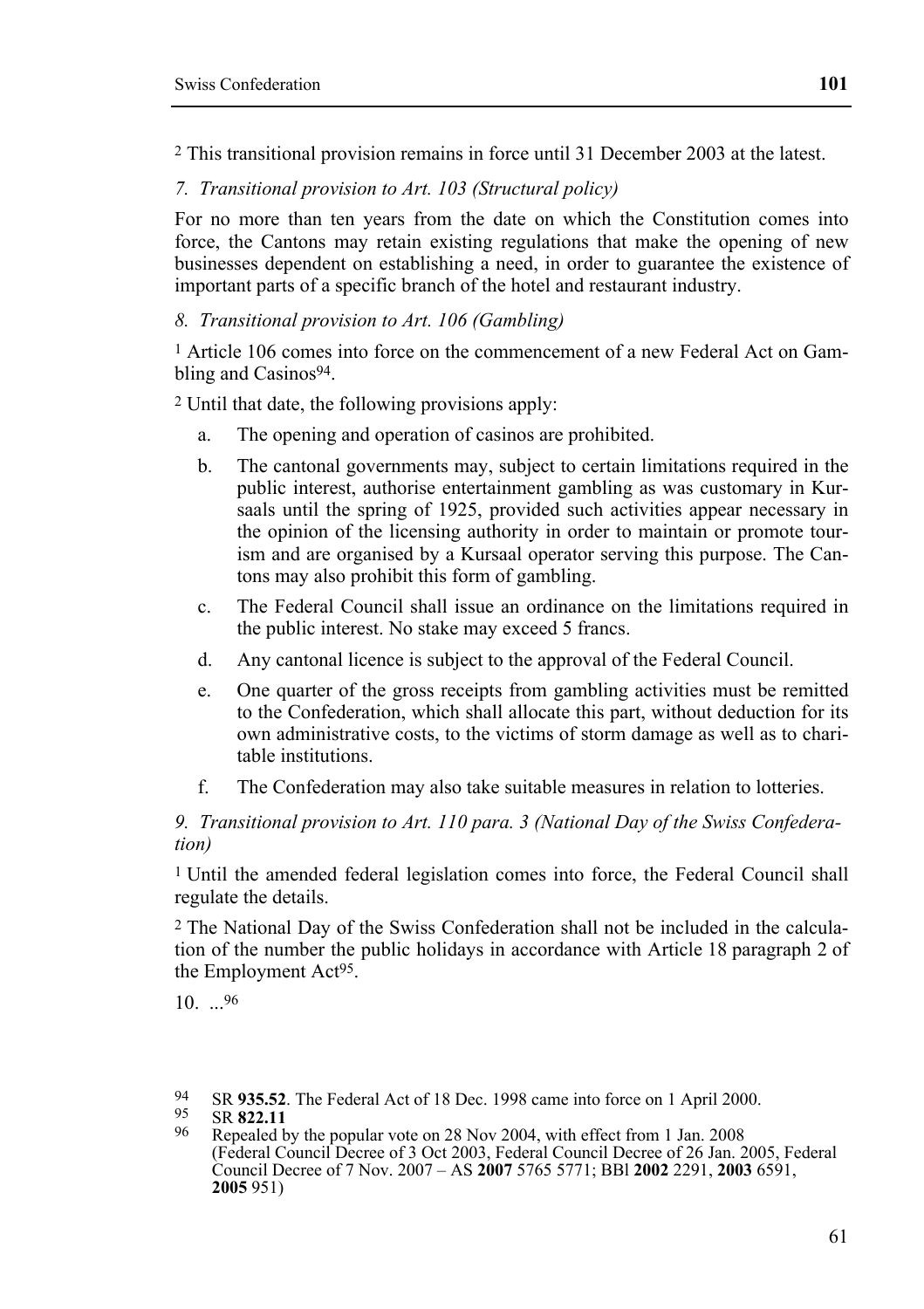2 This transitional provision remains in force until 31 December 2003 at the latest.

*7. Transitional provision to Art. 103 (Structural policy)* 

For no more than ten years from the date on which the Constitution comes into force, the Cantons may retain existing regulations that make the opening of new businesses dependent on establishing a need, in order to guarantee the existence of important parts of a specific branch of the hotel and restaurant industry.

### *8. Transitional provision to Art. 106 (Gambling)*

1 Article 106 comes into force on the commencement of a new Federal Act on Gambling and Casinos<sup>94</sup>

2 Until that date, the following provisions apply:

- a. The opening and operation of casinos are prohibited.
- b. The cantonal governments may, subject to certain limitations required in the public interest, authorise entertainment gambling as was customary in Kursaals until the spring of 1925, provided such activities appear necessary in the opinion of the licensing authority in order to maintain or promote tourism and are organised by a Kursaal operator serving this purpose. The Cantons may also prohibit this form of gambling.
- c. The Federal Council shall issue an ordinance on the limitations required in the public interest. No stake may exceed 5 francs.
- d. Any cantonal licence is subject to the approval of the Federal Council.
- e. One quarter of the gross receipts from gambling activities must be remitted to the Confederation, which shall allocate this part, without deduction for its own administrative costs, to the victims of storm damage as well as to charitable institutions.
- f. The Confederation may also take suitable measures in relation to lotteries.

#### *9. Transitional provision to Art. 110 para. 3 (National Day of the Swiss Confederation)*

1 Until the amended federal legislation comes into force, the Federal Council shall regulate the details.

2 The National Day of the Swiss Confederation shall not be included in the calculation of the number the public holidays in accordance with Article 18 paragraph 2 of the Employment Act95.

10. ...96

- 94 SR **935.52**. The Federal Act of 18 Dec. 1998 came into force on 1 April 2000.<br>95 SR 822.11<br>96 Repealed by the popular vote on 28 Nov 2004, with effect from 1 Jan. 2008
- 
- (Federal Council Decree of 3 Oct 2003, Federal Council Decree of 26 Jan. 2005, Federal Council Decree of 7 Nov. 2007 – AS **2007** 5765 5771; BBl **2002** 2291, **2003** 6591, **2005** 951)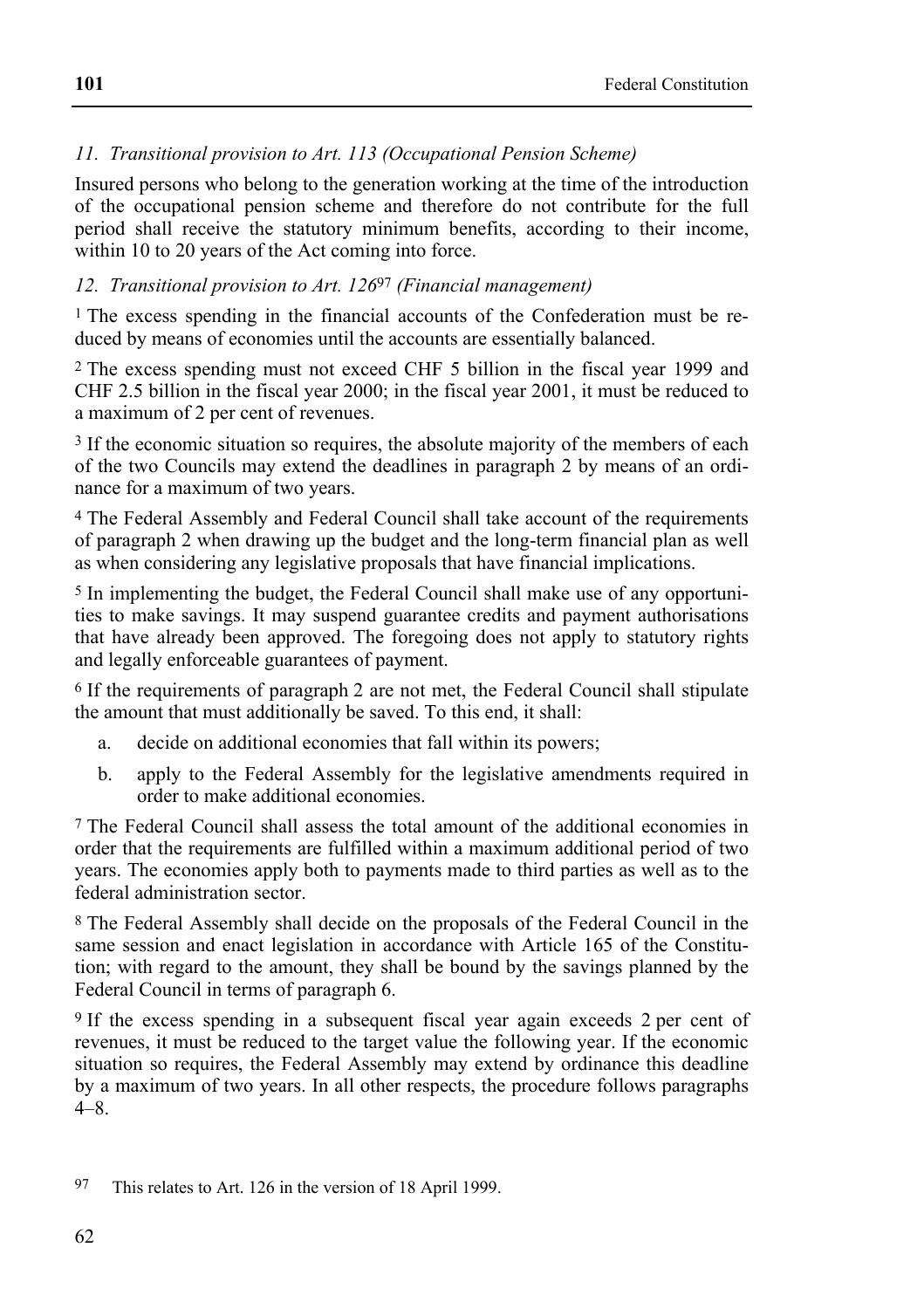## *11. Transitional provision to Art. 113 (Occupational Pension Scheme)*

Insured persons who belong to the generation working at the time of the introduction of the occupational pension scheme and therefore do not contribute for the full period shall receive the statutory minimum benefits, according to their income, within 10 to 20 years of the Act coming into force.

#### *12. Transitional provision to Art. 126*97 *(Financial management)*

<sup>1</sup> The excess spending in the financial accounts of the Confederation must be reduced by means of economies until the accounts are essentially balanced.

2 The excess spending must not exceed CHF 5 billion in the fiscal year 1999 and CHF 2.5 billion in the fiscal year 2000; in the fiscal year 2001, it must be reduced to a maximum of 2 per cent of revenues.

3 If the economic situation so requires, the absolute majority of the members of each of the two Councils may extend the deadlines in paragraph 2 by means of an ordinance for a maximum of two years.

4 The Federal Assembly and Federal Council shall take account of the requirements of paragraph 2 when drawing up the budget and the long-term financial plan as well as when considering any legislative proposals that have financial implications.

5 In implementing the budget, the Federal Council shall make use of any opportunities to make savings. It may suspend guarantee credits and payment authorisations that have already been approved. The foregoing does not apply to statutory rights and legally enforceable guarantees of payment.

6 If the requirements of paragraph 2 are not met, the Federal Council shall stipulate the amount that must additionally be saved. To this end, it shall:

- a. decide on additional economies that fall within its powers;
- b. apply to the Federal Assembly for the legislative amendments required in order to make additional economies.

7 The Federal Council shall assess the total amount of the additional economies in order that the requirements are fulfilled within a maximum additional period of two years. The economies apply both to payments made to third parties as well as to the federal administration sector.

8 The Federal Assembly shall decide on the proposals of the Federal Council in the same session and enact legislation in accordance with Article 165 of the Constitution; with regard to the amount, they shall be bound by the savings planned by the Federal Council in terms of paragraph 6.

9 If the excess spending in a subsequent fiscal year again exceeds 2 per cent of revenues, it must be reduced to the target value the following year. If the economic situation so requires, the Federal Assembly may extend by ordinance this deadline by a maximum of two years. In all other respects, the procedure follows paragraphs  $4 - 8$ 

<sup>97</sup> This relates to Art. 126 in the version of 18 April 1999.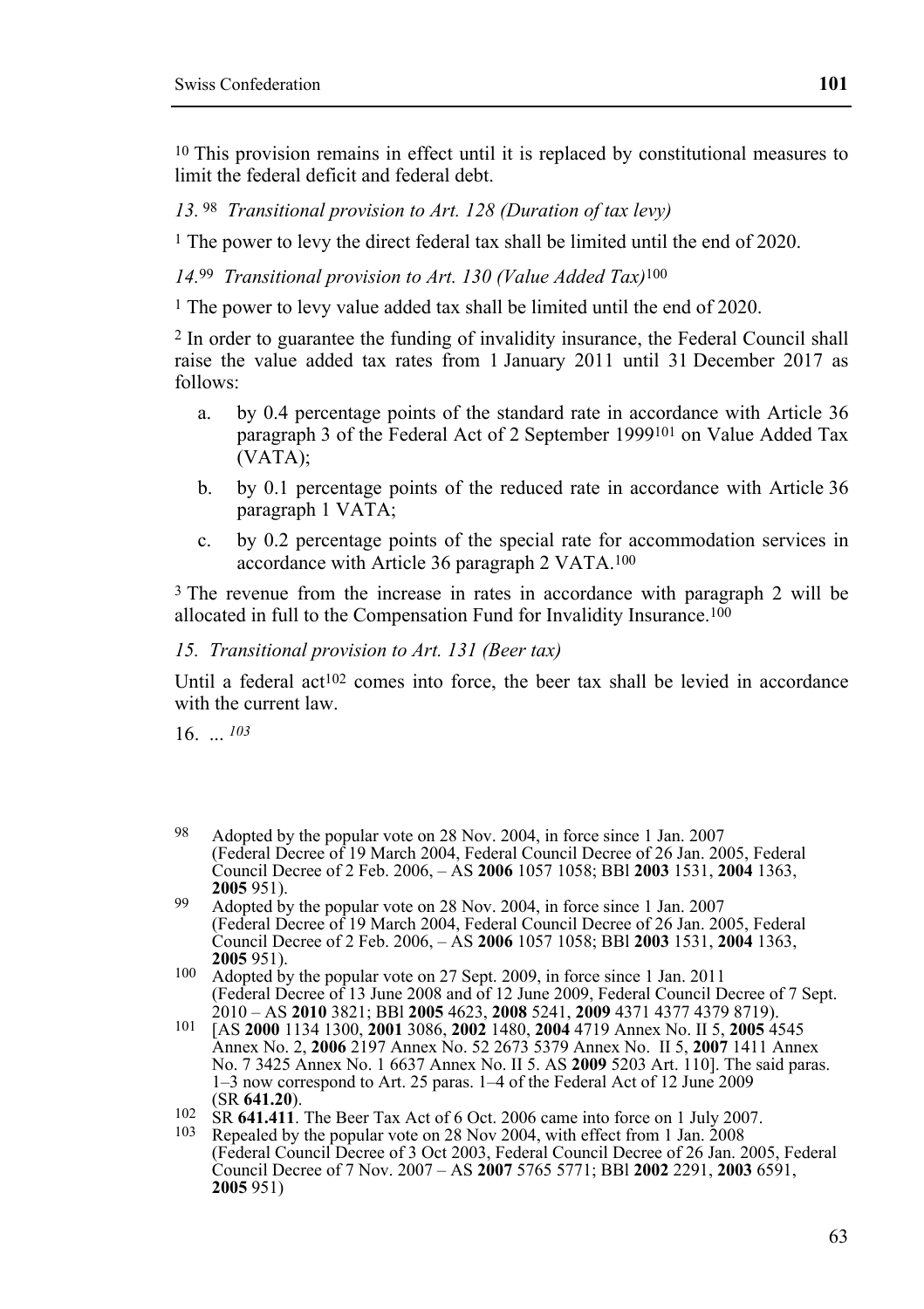10 This provision remains in effect until it is replaced by constitutional measures to limit the federal deficit and federal debt.

*13.* 98 *Transitional provision to Art. 128 (Duration of tax levy)* 

1 The power to levy the direct federal tax shall be limited until the end of 2020.

*14.*99 *Transitional provision to Art. 130 (Value Added Tax)*100

<sup>1</sup> The power to levy value added tax shall be limited until the end of 2020.

2 In order to guarantee the funding of invalidity insurance, the Federal Council shall raise the value added tax rates from 1 January 2011 until 31 December 2017 as follows:

- a. by 0.4 percentage points of the standard rate in accordance with Article 36 paragraph 3 of the Federal Act of 2 September 1999101 on Value Added Tax (VATA);
- b. by 0.1 percentage points of the reduced rate in accordance with Article 36 paragraph 1 VATA;
- c. by 0.2 percentage points of the special rate for accommodation services in accordance with Article 36 paragraph 2 VATA.100

3 The revenue from the increase in rates in accordance with paragraph 2 will be allocated in full to the Compensation Fund for Invalidity Insurance.100

#### *15. Transitional provision to Art. 131 (Beer tax)*

Until a federal act<sup>102</sup> comes into force, the beer tax shall be levied in accordance with the current law

16. ... *103*

<sup>98</sup> Adopted by the popular vote on 28 Nov. 2004, in force since 1 Jan. 2007 (Federal Decree of 19 March 2004, Federal Council Decree of 26 Jan. 2005, Federal Council Decree of 2 Feb. 2006, – AS **2006** 1057 1058; BBl **2003** 1531, **2004** 1363,

<sup>&</sup>lt;sup>99</sup> Adopted by the popular vote on 28 Nov. 2004, in force since 1 Jan. 2007 (Federal Decree of 19 March 2004, Federal Council Decree of 26 Jan. 2005, Federal Council Decree of 2 Feb. 2006, – AS **2006** 1057 1058; BBl **2003** 1531, **2004** 1363,

<sup>&</sup>lt;sup>100</sup> Adopted by the popular vote on 27 Sept. 2009, in force since 1 Jan. 2011 (Federal Decree of 13 June 2008 and of 12 June 2009, Federal Council Decree of 7 Sept.

<sup>2010 –</sup> AS 2010 3821; BBI 2005 4623, 2008 5241, 2009 4371 4377 4379 8719).<br>[AS 2000 1134 1300, 2001 3086, 2002 1480, 2004 4719 Annex No. II 5, 2005 4545<br>Annex No. 2, 2006 2197 Annex No. 52 2673 5379 Annex No. II 5, 2007 141 No. 7 3425 Annex No. 1 6637 Annex No. II 5. AS **2009** 5203 Art. 110]. The said paras. 1–3 now correspond to Art. 25 paras. 1–4 of the Federal Act of 12 June 2009

<sup>(</sup>SR **641.20**). 102 SR **641.411**. The Beer Tax Act of 6 Oct. 2006 came into force on 1 July 2007. 103 Repealed by the popular vote on 28 Nov 2004, with effect from 1 Jan. 2008

<sup>(</sup>Federal Council Decree of 3 Oct 2003, Federal Council Decree of 26 Jan. 2005, Federal Council Decree of 7 Nov. 2007 – AS **2007** 5765 5771; BBl **2002** 2291, **2003** 6591, **2005** 951)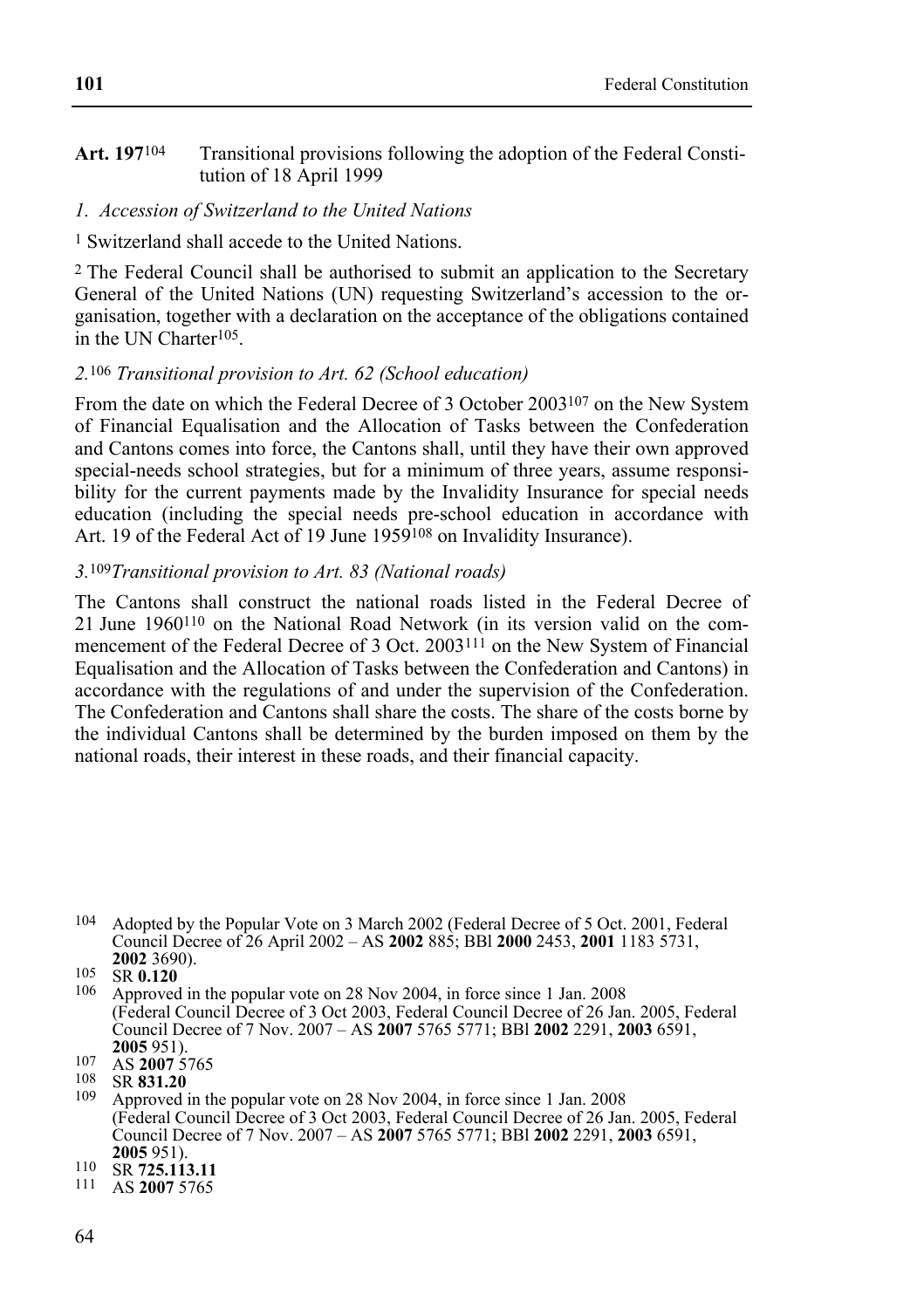#### **Art. 197**104 Transitional provisions following the adoption of the Federal Constitution of 18 April 1999

#### *1. Accession of Switzerland to the United Nations*

#### 1 Switzerland shall accede to the United Nations.

2 The Federal Council shall be authorised to submit an application to the Secretary General of the United Nations (UN) requesting Switzerland's accession to the organisation, together with a declaration on the acceptance of the obligations contained in the UN Charter105.

#### *2.*106 *Transitional provision to Art. 62 (School education)*

From the date on which the Federal Decree of 3 October 2003107 on the New System of Financial Equalisation and the Allocation of Tasks between the Confederation and Cantons comes into force, the Cantons shall, until they have their own approved special-needs school strategies, but for a minimum of three years, assume responsibility for the current payments made by the Invalidity Insurance for special needs education (including the special needs pre-school education in accordance with Art. 19 of the Federal Act of 19 June 1959<sup>108</sup> on Invalidity Insurance).

#### *3.*109*Transitional provision to Art. 83 (National roads)*

The Cantons shall construct the national roads listed in the Federal Decree of 21 June 1960110 on the National Road Network (in its version valid on the commencement of the Federal Decree of 3 Oct. 2003<sup>111</sup> on the New System of Financial Equalisation and the Allocation of Tasks between the Confederation and Cantons) in accordance with the regulations of and under the supervision of the Confederation. The Confederation and Cantons shall share the costs. The share of the costs borne by the individual Cantons shall be determined by the burden imposed on them by the national roads, their interest in these roads, and their financial capacity.

**2002 2008**<br><sup>106</sup> Approved in the popular vote on 28 Nov 2004, in force since 1 Jan. 2008 (Federal Council Decree of 3 Oct 2003, Federal Council Decree of 26 Jan. 2005, Federal Council Decree of 7 Nov. 2007 – AS **2007** 5765 5771; BBl **2002** 2291, **2003** 6591,

<sup>104</sup> Adopted by the Popular Vote on 3 March 2002 (Federal Decree of 5 Oct. 2001, Federal Council Decree of 26 April 2002 – AS **2002** 885; BBl **2000** 2453, **2001** 1183 5731,

**<sup>2005</sup>**951). 107 AS **2007** 5765 108 SR **831.20** 109 Approved in the popular vote on 28 Nov 2004, in force since 1 Jan. 2008 (Federal Council Decree of 3 Oct 2003, Federal Council Decree of 26 Jan. 2005, Federal Council Decree of 7 Nov. 2007 – AS **2007** 5765 5771; BBl **2002** 2291, **2003** 6591,

**<sup>2005</sup>**951). 110 SR **725.113.11** 111 AS **2007** 5765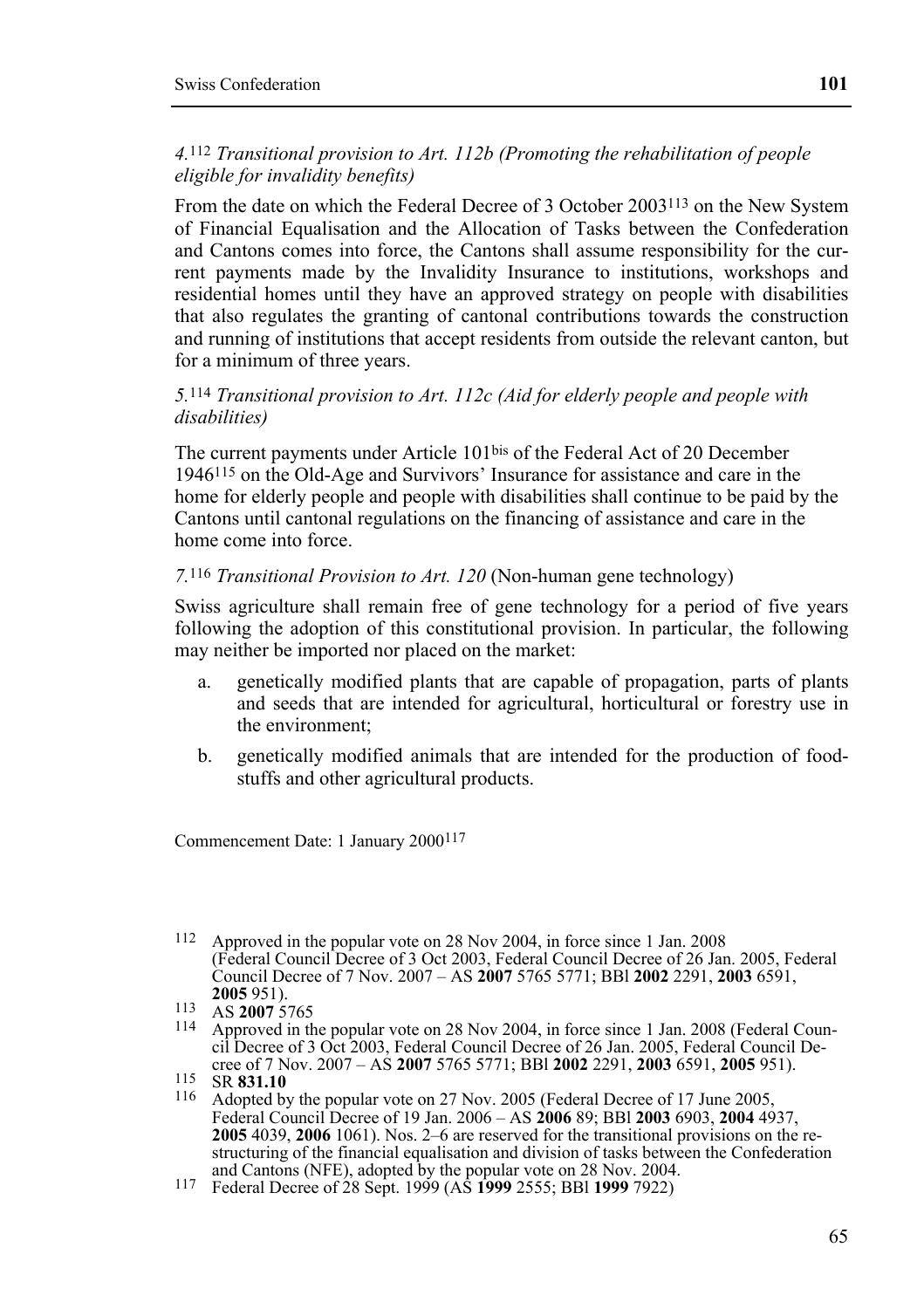#### *4.*112 *Transitional provision to Art. 112b (Promoting the rehabilitation of people eligible for invalidity benefits)*

From the date on which the Federal Decree of 3 October 2003113 on the New System of Financial Equalisation and the Allocation of Tasks between the Confederation and Cantons comes into force, the Cantons shall assume responsibility for the current payments made by the Invalidity Insurance to institutions, workshops and residential homes until they have an approved strategy on people with disabilities that also regulates the granting of cantonal contributions towards the construction and running of institutions that accept residents from outside the relevant canton, but for a minimum of three years.

#### *5.*114 *Transitional provision to Art. 112c (Aid for elderly people and people with disabilities)*

The current payments under Article 101bis of the Federal Act of 20 December 1946115 on the Old-Age and Survivors' Insurance for assistance and care in the home for elderly people and people with disabilities shall continue to be paid by the Cantons until cantonal regulations on the financing of assistance and care in the home come into force.

#### *7.*116 *Transitional Provision to Art. 120* (Non-human gene technology)

Swiss agriculture shall remain free of gene technology for a period of five years following the adoption of this constitutional provision. In particular, the following may neither be imported nor placed on the market:

- a. genetically modified plants that are capable of propagation, parts of plants and seeds that are intended for agricultural, horticultural or forestry use in the environment;
- b. genetically modified animals that are intended for the production of foodstuffs and other agricultural products.

Commencement Date: 1 January 2000117

<sup>112</sup> Approved in the popular vote on 28 Nov 2004, in force since 1 Jan. 2008 (Federal Council Decree of 3 Oct 2003, Federal Council Decree of 26 Jan. 2005, Federal Council Decree of 7 Nov. 2007 – AS **2007** 5765 5771; BBl **2002** 2291, **2003** 6591,

<sup>&</sup>lt;sup>113</sup> AS **2007** 5765<br><sup>114</sup> Approved in the popular vote on 28 Nov 2004, in force since 1 Jan. 2008 (Federal Council Decree of 3 Oct 2003, Federal Council Decree of 26 Jan. 2005, Federal Council Decree of 7 Nov. 2007 – AS 2007 5765 5771; BBI 2002 2291, 2003 6591, 2005 951).

cree of 7 Nov. 2007 – AS **2007** 5765 5771; BBl **2002** 2291, **2003** 6591, **2005** 951). 115 SR **831.10** 116 Adopted by the popular vote on 27 Nov. 2005 (Federal Decree of 17 June 2005, Federal Council Decree of 19 Jan. 2006 – AS **2006** 89; BBl **2003** 6903, **2004** 4937, **2005** 4039, **2006** 1061). Nos. 2–6 are reserved for the transitional provisions on the restructuring of the financial equalisation and division of tasks between the Confederation and Cantons (NFE), adopted by the popular vote on 28 Nov. 2004. 117 Federal Decree of 28 Sept. 1999 (AS **1999** 2555; BBl **1999** 7922)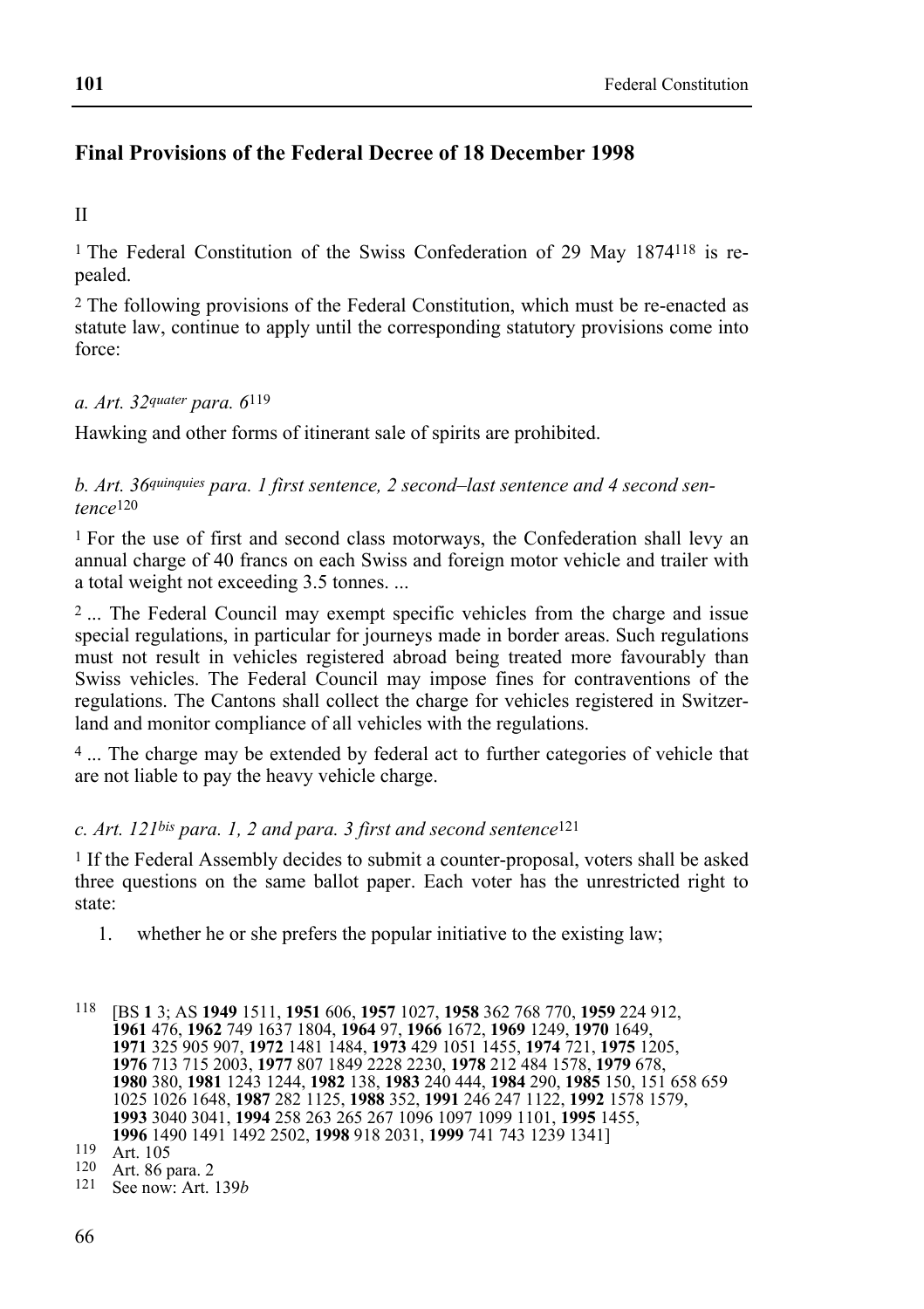# **Final Provisions of the Federal Decree of 18 December 1998**

II

1 The Federal Constitution of the Swiss Confederation of 29 May 1874118 is repealed.

2 The following provisions of the Federal Constitution, which must be re-enacted as statute law, continue to apply until the corresponding statutory provisions come into force:

#### *a. Art. 32quater para. 6*119

Hawking and other forms of itinerant sale of spirits are prohibited.

*b. Art. 36quinquies para. 1 first sentence, 2 second–last sentence and 4 second sentence*120

1 For the use of first and second class motorways, the Confederation shall levy an annual charge of 40 francs on each Swiss and foreign motor vehicle and trailer with a total weight not exceeding 3.5 tonnes. ...

<sup>2</sup>... The Federal Council may exempt specific vehicles from the charge and issue special regulations, in particular for journeys made in border areas. Such regulations must not result in vehicles registered abroad being treated more favourably than Swiss vehicles. The Federal Council may impose fines for contraventions of the regulations. The Cantons shall collect the charge for vehicles registered in Switzerland and monitor compliance of all vehicles with the regulations.

4 ... The charge may be extended by federal act to further categories of vehicle that are not liable to pay the heavy vehicle charge.

#### *c. Art. 121bis para. 1, 2 and para. 3 first and second sentence*121

1 If the Federal Assembly decides to submit a counter-proposal, voters shall be asked three questions on the same ballot paper. Each voter has the unrestricted right to state:

1. whether he or she prefers the popular initiative to the existing law;

<sup>118 [</sup>BS **1** 3; AS **1949** 1511, **1951** 606, **1957** 1027, **1958** 362 768 770, **1959** 224 912, **1961** 476, **1962** 749 1637 1804, **1964** 97, **1966** 1672, **1969** 1249, **1970** 1649, **1971** 325 905 907, **1972** 1481 1484, **1973** 429 1051 1455, **1974** 721, **1975** 1205, **1976** 713 715 2003, **1977** 807 1849 2228 2230, **1978** 212 484 1578, **1979** 678, **1980** 380, **1981** 1243 1244, **1982** 138, **1983** 240 444, **1984** 290, **1985** 150, 151 658 659 1025 1026 1648, **1987** 282 1125, **1988** 352, **1991** 246 247 1122, **1992** 1578 1579, **1993** 3040 3041, **1994** 258 263 265 267 1096 1097 1099 1101, **1995** 1455, **1996** 1490 1491 1492 2502, **1998** 918 2031, **1999** 741 743 1239 1341]<br>
119 Art. 105<br>
120 Art. 86 para. 2<br>
121 See now: Art. 139*b*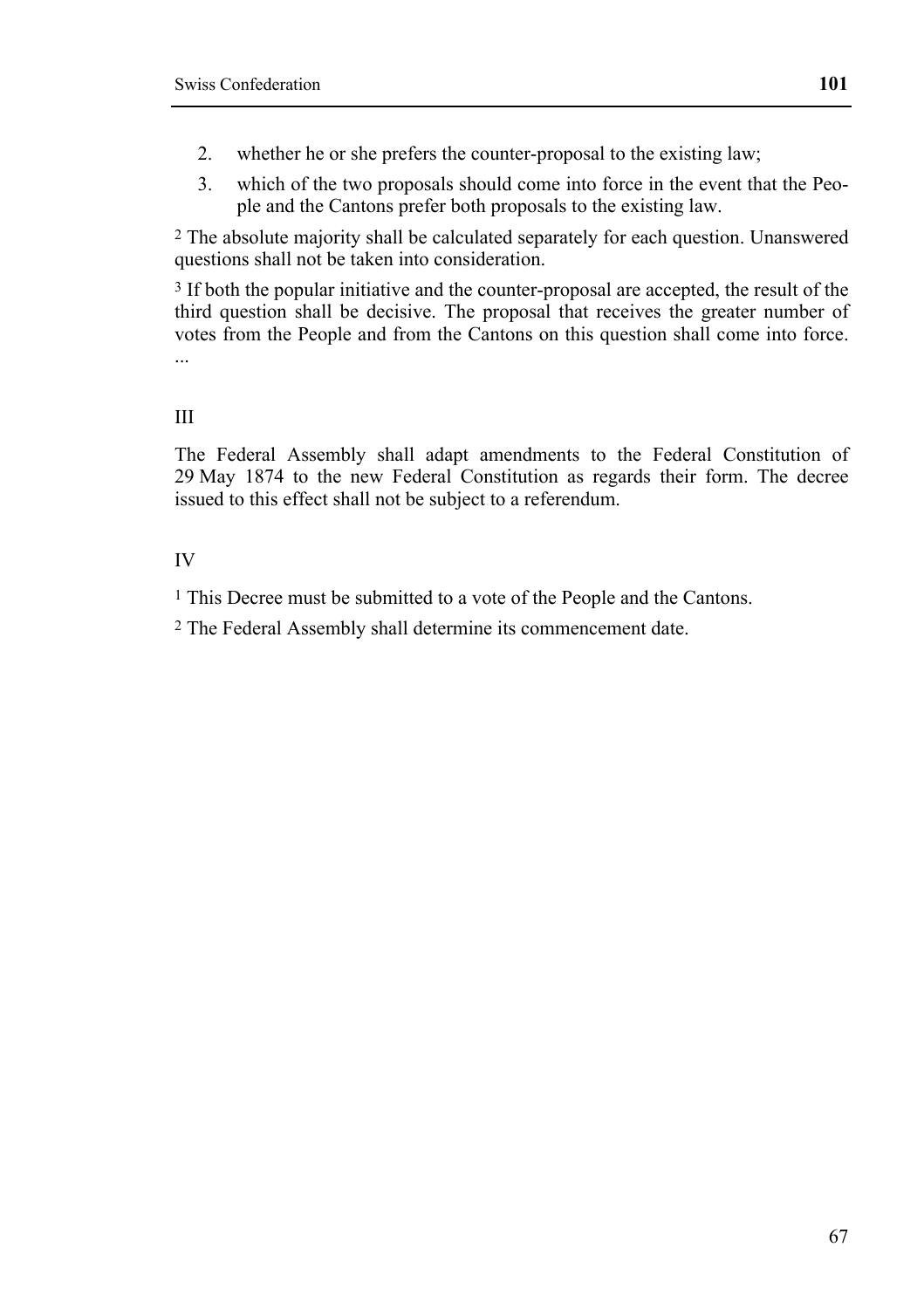- 2. whether he or she prefers the counter-proposal to the existing law;
- 3. which of the two proposals should come into force in the event that the People and the Cantons prefer both proposals to the existing law.

2 The absolute majority shall be calculated separately for each question. Unanswered questions shall not be taken into consideration.

3 If both the popular initiative and the counter-proposal are accepted, the result of the third question shall be decisive. The proposal that receives the greater number of votes from the People and from the Cantons on this question shall come into force. ...

III

The Federal Assembly shall adapt amendments to the Federal Constitution of 29 May 1874 to the new Federal Constitution as regards their form. The decree issued to this effect shall not be subject to a referendum.

IV

1 This Decree must be submitted to a vote of the People and the Cantons.

2 The Federal Assembly shall determine its commencement date.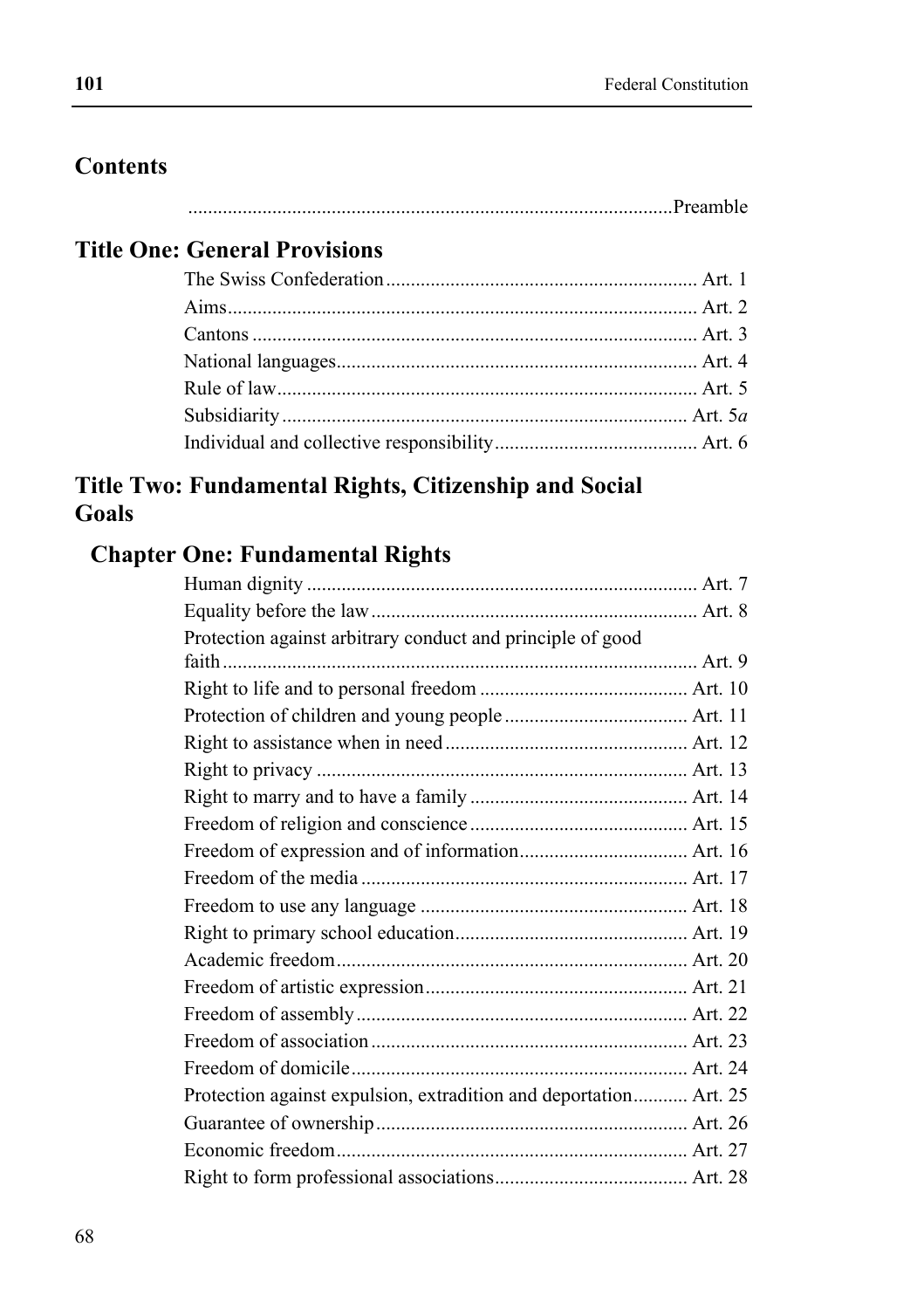# **Contents**

# **Title One: General Provisions**

# **Title Two: Fundamental Rights, Citizenship and Social Goals**

# **Chapter One: Fundamental Rights**

| Protection against arbitrary conduct and principle of good        |  |
|-------------------------------------------------------------------|--|
|                                                                   |  |
|                                                                   |  |
|                                                                   |  |
|                                                                   |  |
|                                                                   |  |
|                                                                   |  |
|                                                                   |  |
|                                                                   |  |
|                                                                   |  |
|                                                                   |  |
|                                                                   |  |
|                                                                   |  |
|                                                                   |  |
|                                                                   |  |
|                                                                   |  |
|                                                                   |  |
| Protection against expulsion, extradition and deportation Art. 25 |  |
|                                                                   |  |
|                                                                   |  |
|                                                                   |  |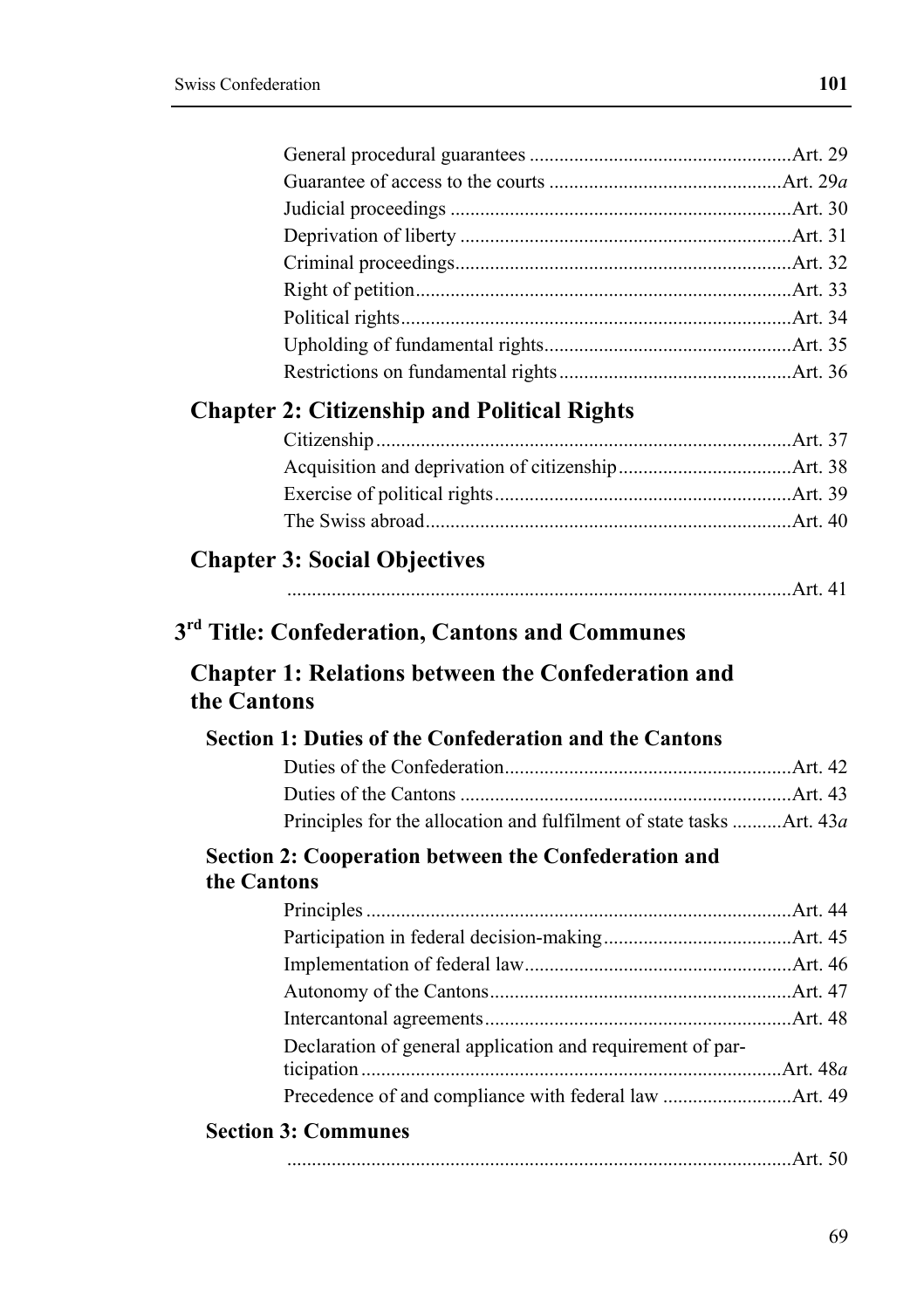|             | <b>Chapter 2: Citizenship and Political Rights</b>                   |  |
|-------------|----------------------------------------------------------------------|--|
|             |                                                                      |  |
|             |                                                                      |  |
|             |                                                                      |  |
|             |                                                                      |  |
|             |                                                                      |  |
|             | <b>Chapter 3: Social Objectives</b>                                  |  |
|             |                                                                      |  |
|             | 3 <sup>rd</sup> Title: Confederation, Cantons and Communes           |  |
| the Cantons | <b>Chapter 1: Relations between the Confederation and</b>            |  |
|             | Section 1: Duties of the Confederation and the Cantons               |  |
|             |                                                                      |  |
|             |                                                                      |  |
|             | Principles for the allocation and fulfilment of state tasks Art. 43a |  |
|             |                                                                      |  |
| the Cantons | Section 2: Cooperation between the Confederation and                 |  |
|             |                                                                      |  |
|             |                                                                      |  |
|             |                                                                      |  |
|             |                                                                      |  |
|             |                                                                      |  |
|             | Declaration of general application and requirement of par-           |  |
|             |                                                                      |  |
|             |                                                                      |  |
|             |                                                                      |  |
|             |                                                                      |  |
|             | <b>Section 3: Communes</b>                                           |  |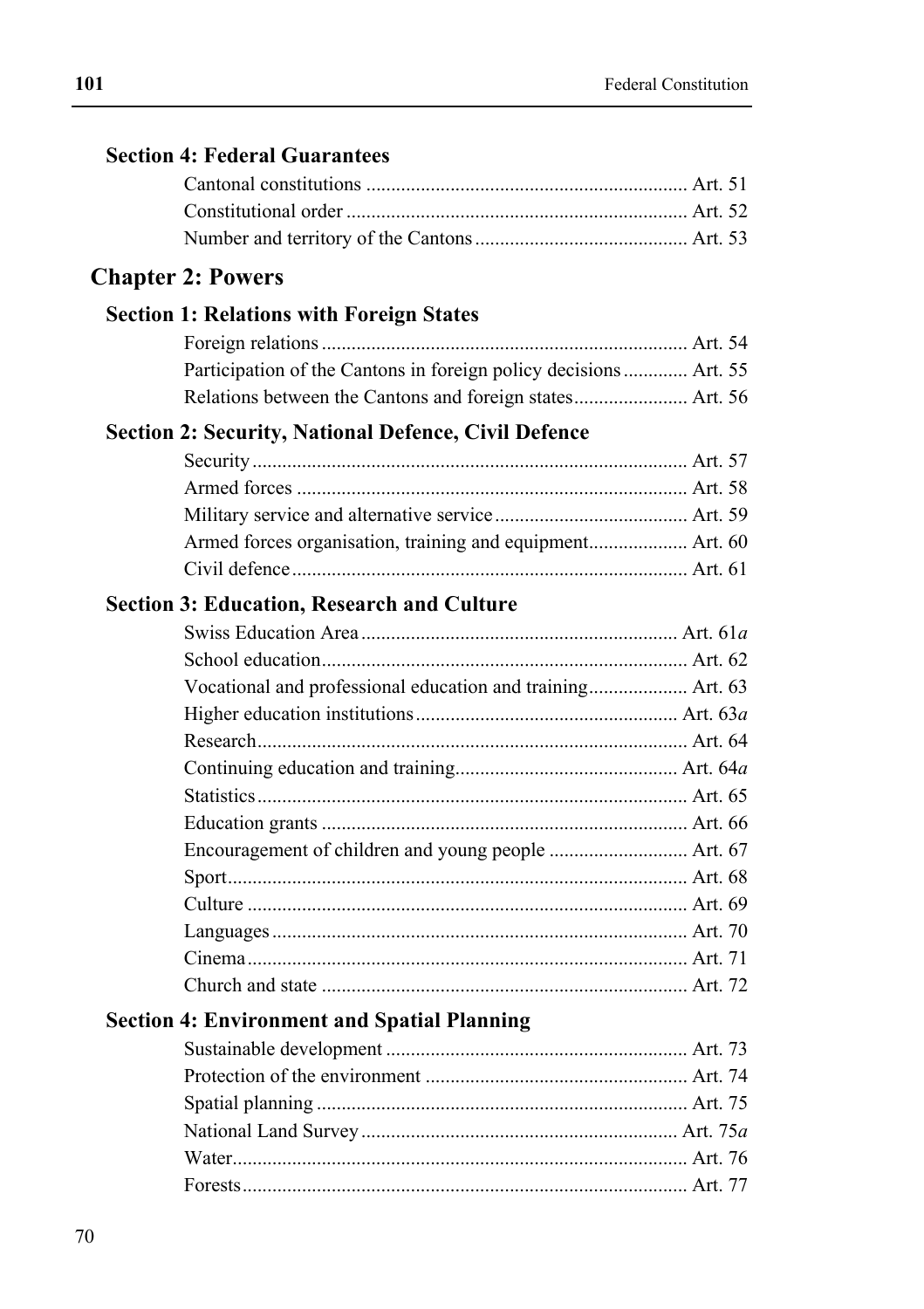| <b>Section 4: Federal Guarantees</b>                             |  |
|------------------------------------------------------------------|--|
|                                                                  |  |
|                                                                  |  |
|                                                                  |  |
| <b>Chapter 2: Powers</b>                                         |  |
| <b>Section 1: Relations with Foreign States</b>                  |  |
|                                                                  |  |
| Participation of the Cantons in foreign policy decisions Art. 55 |  |
|                                                                  |  |
| <b>Section 2: Security, National Defence, Civil Defence</b>      |  |
|                                                                  |  |
|                                                                  |  |
|                                                                  |  |
| Armed forces organisation, training and equipment Art. 60        |  |
|                                                                  |  |
| <b>Section 3: Education, Research and Culture</b>                |  |
|                                                                  |  |
|                                                                  |  |
| Vocational and professional education and training Art. 63       |  |
|                                                                  |  |
|                                                                  |  |
|                                                                  |  |
|                                                                  |  |
|                                                                  |  |
|                                                                  |  |
|                                                                  |  |
|                                                                  |  |
|                                                                  |  |
|                                                                  |  |
|                                                                  |  |
| <b>Section 4: Environment and Spatial Planning</b>               |  |
|                                                                  |  |
|                                                                  |  |
|                                                                  |  |
|                                                                  |  |
|                                                                  |  |
|                                                                  |  |
|                                                                  |  |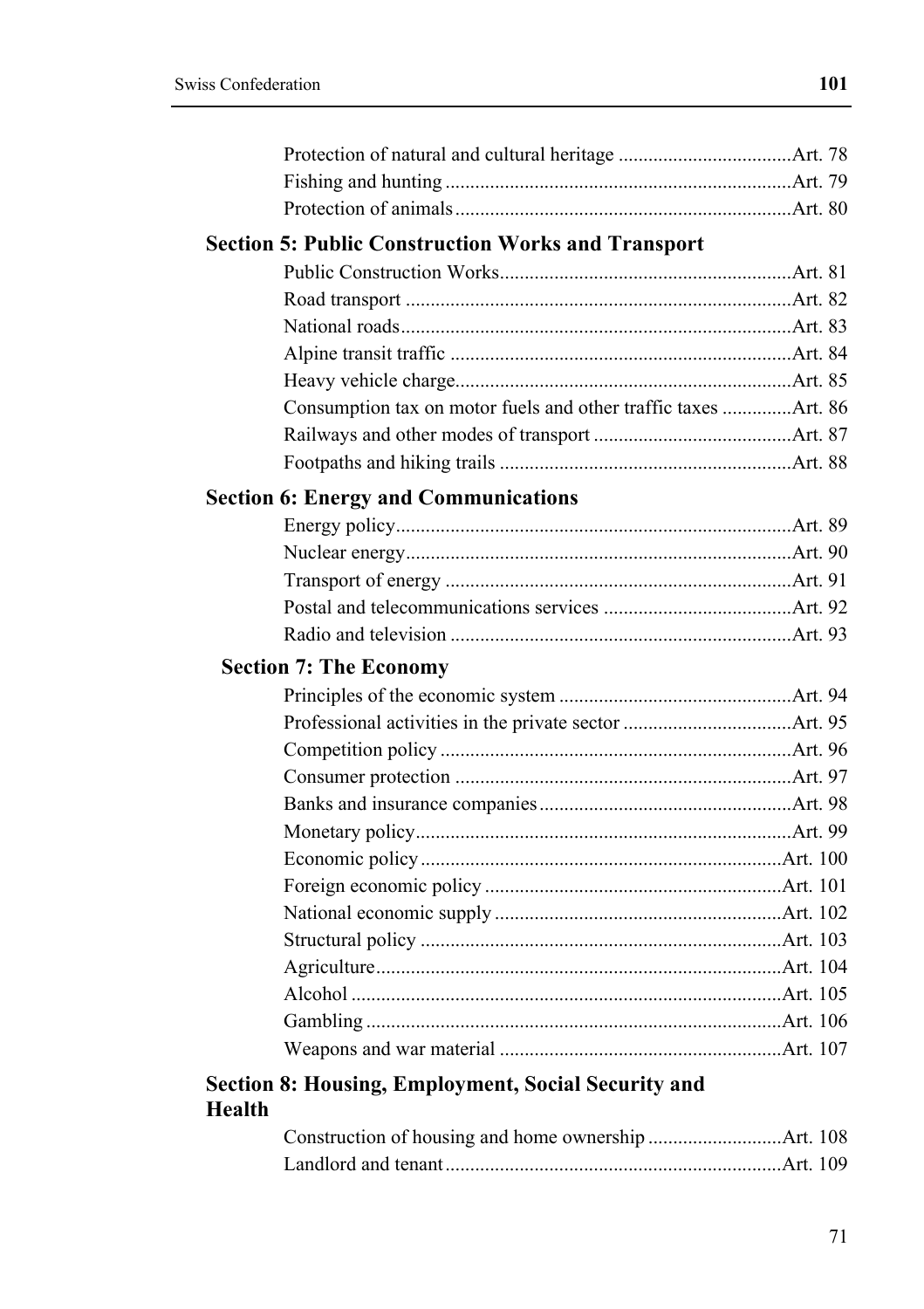| <b>Section 5: Public Construction Works and Transport</b>      |  |
|----------------------------------------------------------------|--|
|                                                                |  |
|                                                                |  |
|                                                                |  |
|                                                                |  |
|                                                                |  |
| Consumption tax on motor fuels and other traffic taxes Art. 86 |  |
|                                                                |  |
|                                                                |  |
| <b>Section 6: Energy and Communications</b>                    |  |
|                                                                |  |
|                                                                |  |
|                                                                |  |
|                                                                |  |
|                                                                |  |
| <b>Section 7: The Economy</b>                                  |  |
|                                                                |  |
|                                                                |  |
|                                                                |  |
|                                                                |  |
|                                                                |  |
|                                                                |  |
|                                                                |  |
|                                                                |  |
|                                                                |  |
|                                                                |  |
|                                                                |  |
|                                                                |  |
|                                                                |  |
|                                                                |  |
| <b>Section 8: Housing, Employment, Social Security and</b>     |  |

# **Health**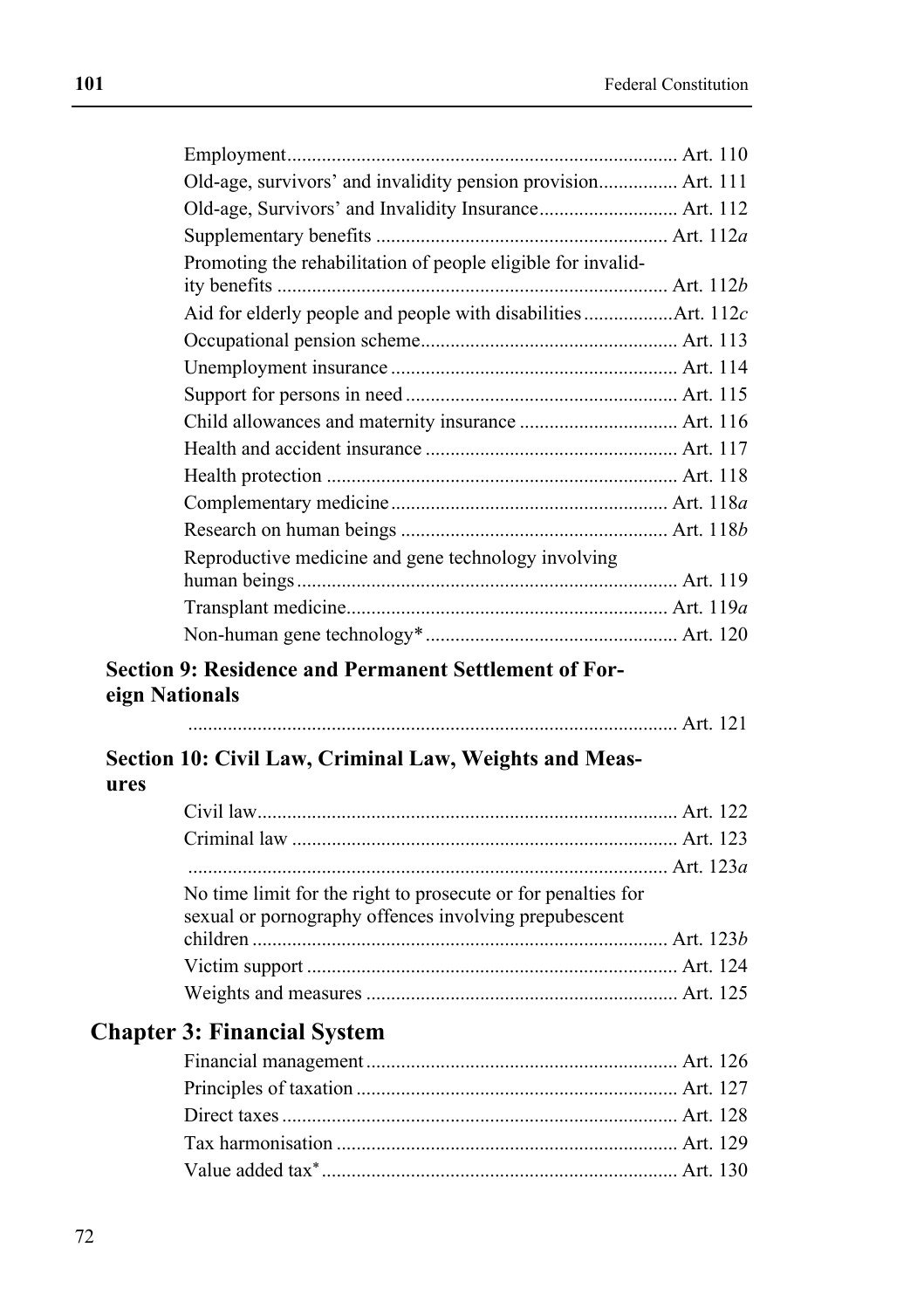| Old-age, survivors' and invalidity pension provision Art. 111 |  |
|---------------------------------------------------------------|--|
|                                                               |  |
|                                                               |  |
| Promoting the rehabilitation of people eligible for invalid-  |  |
|                                                               |  |
|                                                               |  |
|                                                               |  |
|                                                               |  |
|                                                               |  |
|                                                               |  |
|                                                               |  |
|                                                               |  |
|                                                               |  |
|                                                               |  |
| Reproductive medicine and gene technology involving           |  |
|                                                               |  |
|                                                               |  |
|                                                               |  |

# **Section 9: Residence and Permanent Settlement of Foreign Nationals**

# **Section 10: Civil Law, Criminal Law, Weights and Measures**

| No time limit for the right to prosecute or for penalties for<br>sexual or pornography offences involving prepubescent |  |
|------------------------------------------------------------------------------------------------------------------------|--|
|                                                                                                                        |  |
|                                                                                                                        |  |
|                                                                                                                        |  |

# **Chapter 3: Financial System**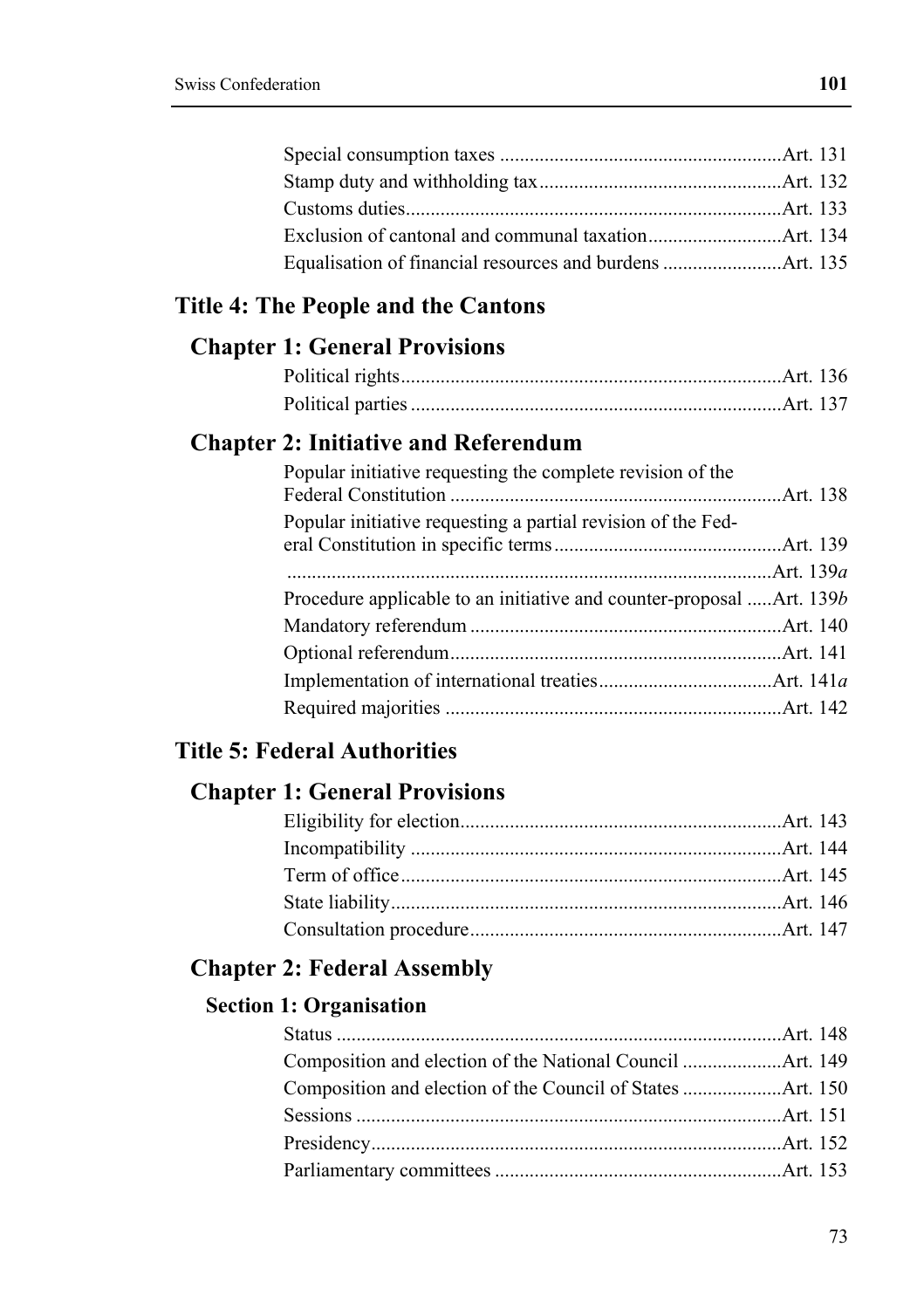| Consideration toxed | +۰۰ ۸ |
|---------------------|-------|

**101** 

# **Title 4: The People and the Cantons**

#### **Chapter 1: General Provisions**

#### **Chapter 2: Initiative and Referendum**

| Popular initiative requesting the complete revision of the            |  |
|-----------------------------------------------------------------------|--|
| Popular initiative requesting a partial revision of the Fed-          |  |
|                                                                       |  |
|                                                                       |  |
| Procedure applicable to an initiative and counter-proposal  Art. 139b |  |
|                                                                       |  |
|                                                                       |  |
|                                                                       |  |
|                                                                       |  |

# **Title 5: Federal Authorities**

### **Chapter 1: General Provisions**

#### **Chapter 2: Federal Assembly**

#### **Section 1: Organisation**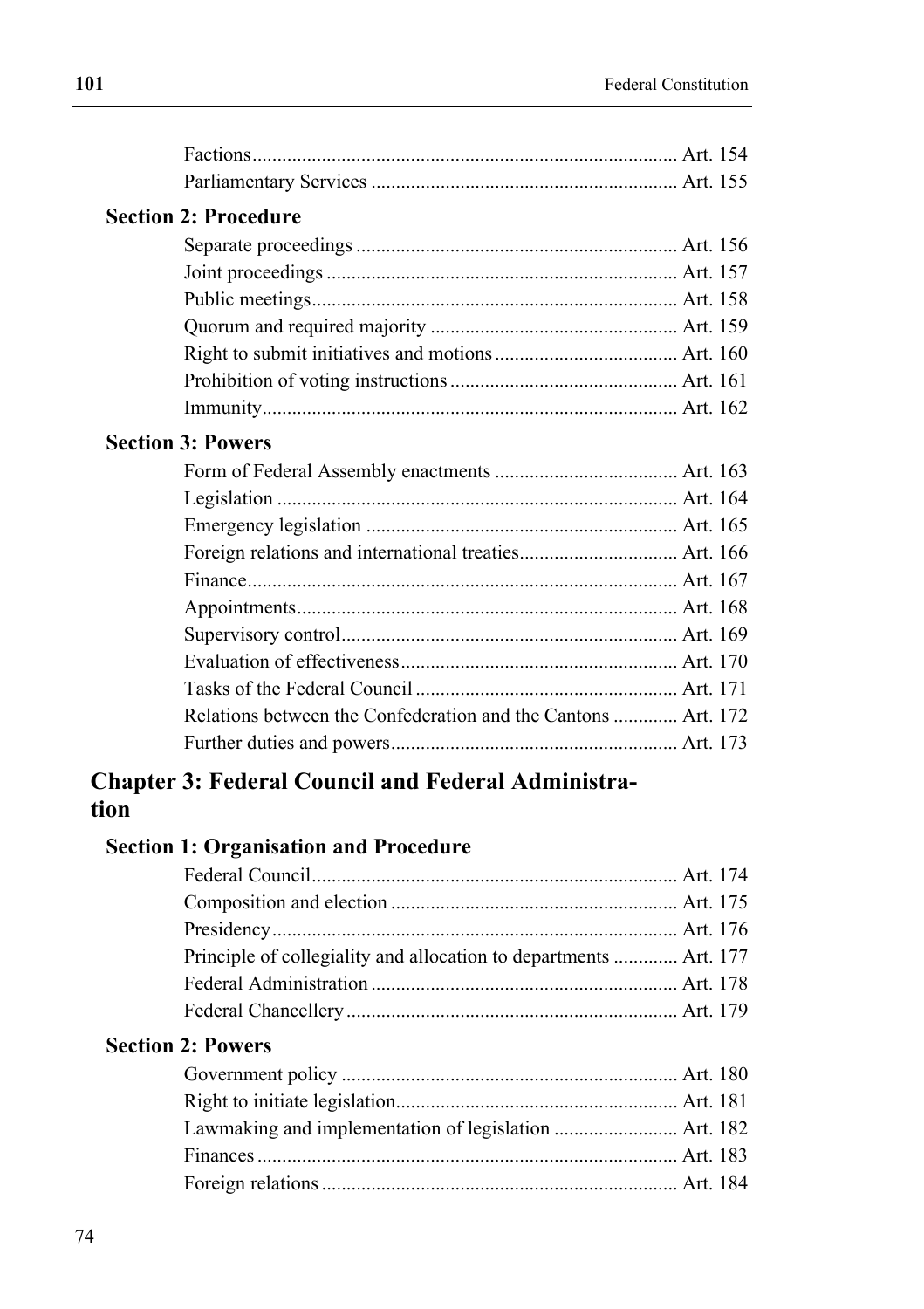# **Section 2: Procedure**

### **Section 3: Powers**

| Relations between the Confederation and the Cantons  Art. 172 |  |
|---------------------------------------------------------------|--|
|                                                               |  |
|                                                               |  |

# **Chapter 3: Federal Council and Federal Administration**

#### **Section 1: Organisation and Procedure**

| Principle of collegiality and allocation to departments  Art. 177 |  |
|-------------------------------------------------------------------|--|
|                                                                   |  |
|                                                                   |  |

### **Section 2: Powers**